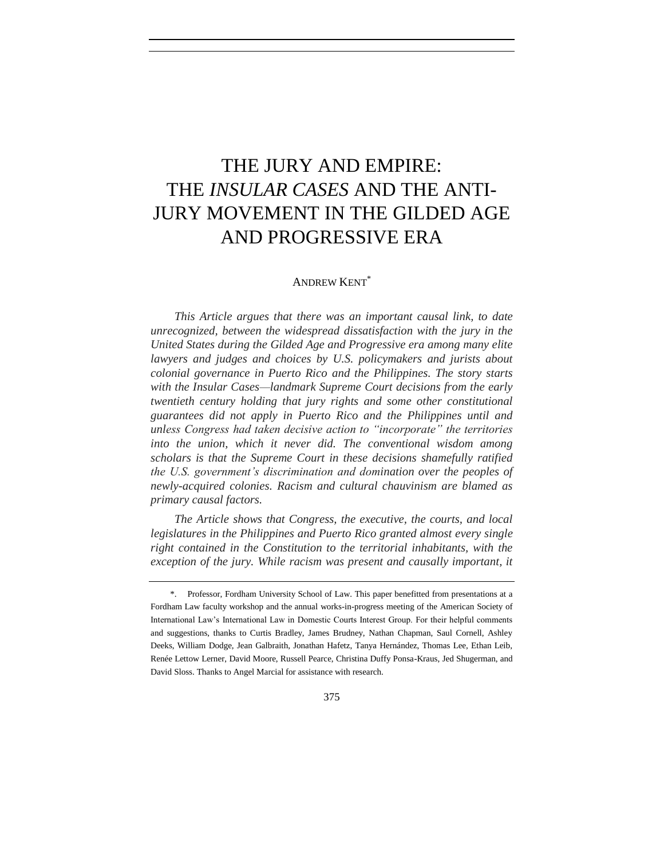# THE JURY AND EMPIRE: THE *INSULAR CASES* AND THE ANTI-JURY MOVEMENT IN THE GILDED AGE AND PROGRESSIVE ERA

# ANDREW KENT\*

*This Article argues that there was an important causal link, to date unrecognized, between the widespread dissatisfaction with the jury in the United States during the Gilded Age and Progressive era among many elite lawyers and judges and choices by U.S. policymakers and jurists about colonial governance in Puerto Rico and the Philippines. The story starts with the Insular Cases—landmark Supreme Court decisions from the early twentieth century holding that jury rights and some other constitutional guarantees did not apply in Puerto Rico and the Philippines until and unless Congress had taken decisive action to "incorporate" the territories into the union, which it never did. The conventional wisdom among scholars is that the Supreme Court in these decisions shamefully ratified the U.S. government's discrimination and domination over the peoples of newly-acquired colonies. Racism and cultural chauvinism are blamed as primary causal factors.*

*The Article shows that Congress, the executive, the courts, and local legislatures in the Philippines and Puerto Rico granted almost every single right contained in the Constitution to the territorial inhabitants, with the exception of the jury. While racism was present and causally important, it* 

<sup>\*.</sup> Professor, Fordham University School of Law. This paper benefitted from presentations at a Fordham Law faculty workshop and the annual works-in-progress meeting of the American Society of International Law's International Law in Domestic Courts Interest Group. For their helpful comments and suggestions, thanks to Curtis Bradley, James Brudney, Nathan Chapman, Saul Cornell, Ashley Deeks, William Dodge, Jean Galbraith, Jonathan Hafetz, Tanya Hernández, Thomas Lee, Ethan Leib, Renée Lettow Lerner, David Moore, Russell Pearce, Christina Duffy Ponsa-Kraus, Jed Shugerman, and David Sloss. Thanks to Angel Marcial for assistance with research.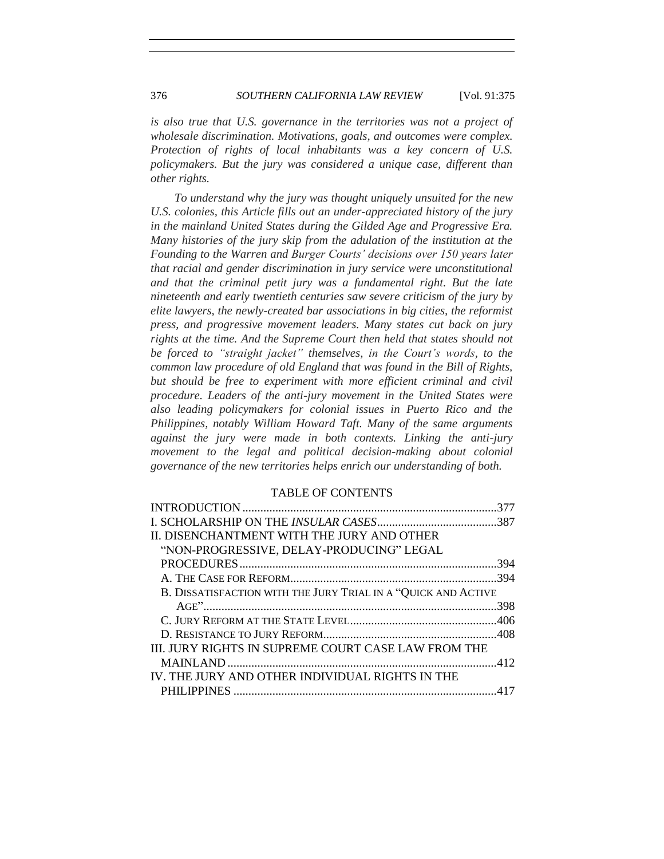# 376 *SOUTHERN CALIFORNIA LAW REVIEW* [Vol. 91:375

*is also true that U.S. governance in the territories was not a project of wholesale discrimination. Motivations, goals, and outcomes were complex. Protection of rights of local inhabitants was a key concern of U.S. policymakers. But the jury was considered a unique case, different than other rights.*

*To understand why the jury was thought uniquely unsuited for the new U.S. colonies, this Article fills out an under-appreciated history of the jury in the mainland United States during the Gilded Age and Progressive Era. Many histories of the jury skip from the adulation of the institution at the Founding to the Warren and Burger Courts' decisions over 150 years later that racial and gender discrimination in jury service were unconstitutional and that the criminal petit jury was a fundamental right. But the late nineteenth and early twentieth centuries saw severe criticism of the jury by elite lawyers, the newly-created bar associations in big cities, the reformist press, and progressive movement leaders. Many states cut back on jury rights at the time. And the Supreme Court then held that states should not be forced to "straight jacket" themselves, in the Court's words, to the common law procedure of old England that was found in the Bill of Rights,*  but should be free to experiment with more efficient criminal and civil *procedure. Leaders of the anti-jury movement in the United States were also leading policymakers for colonial issues in Puerto Rico and the Philippines, notably William Howard Taft. Many of the same arguments against the jury were made in both contexts. Linking the anti-jury movement to the legal and political decision-making about colonial governance of the new territories helps enrich our understanding of both.*

### TABLE OF CONTENTS

| II. DISENCHANTMENT WITH THE JURY AND OTHER                    |  |
|---------------------------------------------------------------|--|
| "NON-PROGRESSIVE, DELAY-PRODUCING" LEGAL                      |  |
|                                                               |  |
|                                                               |  |
| B. DISSATISFACTION WITH THE JURY TRIAL IN A "QUICK AND ACTIVE |  |
|                                                               |  |
|                                                               |  |
|                                                               |  |
| III. JURY RIGHTS IN SUPREME COURT CASE LAW FROM THE           |  |
|                                                               |  |
| IV. THE JURY AND OTHER INDIVIDUAL RIGHTS IN THE               |  |
|                                                               |  |
|                                                               |  |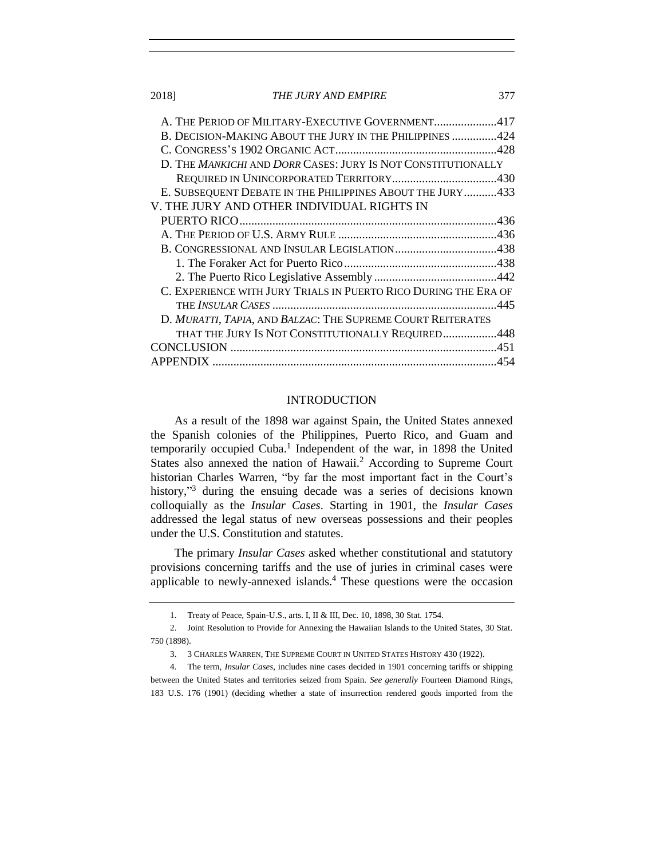2018] *THE JURY AND EMPIRE* 377

| A. THE PERIOD OF MILITARY-EXECUTIVE GOVERNMENT417               |
|-----------------------------------------------------------------|
| B. DECISION-MAKING ABOUT THE JURY IN THE PHILIPPINES 424        |
|                                                                 |
| D. THE MANKICHI AND DORR CASES: JURY IS NOT CONSTITUTIONALLY    |
|                                                                 |
| E. SUBSEQUENT DEBATE IN THE PHILIPPINES ABOUT THE JURY433       |
| V. THE JURY AND OTHER INDIVIDUAL RIGHTS IN                      |
|                                                                 |
|                                                                 |
|                                                                 |
|                                                                 |
|                                                                 |
| C. EXPERIENCE WITH JURY TRIALS IN PUERTO RICO DURING THE ERA OF |
|                                                                 |
| D. MURATTI, TAPIA, AND BALZAC: THE SUPREME COURT REITERATES     |
| THAT THE JURY IS NOT CONSTITUTIONALLY REQUIRED448               |
|                                                                 |
| 454                                                             |
|                                                                 |

#### INTRODUCTION

<span id="page-2-0"></span>As a result of the 1898 war against Spain, the United States annexed the Spanish colonies of the Philippines, Puerto Rico, and Guam and temporarily occupied Cuba.<sup>1</sup> Independent of the war, in 1898 the United States also annexed the nation of Hawaii.<sup>2</sup> According to Supreme Court historian Charles Warren, "by far the most important fact in the Court's history,"<sup>3</sup> during the ensuing decade was a series of decisions known colloquially as the *Insular Cases*. Starting in 1901, the *Insular Cases* addressed the legal status of new overseas possessions and their peoples under the U.S. Constitution and statutes.

The primary *Insular Cases* asked whether constitutional and statutory provisions concerning tariffs and the use of juries in criminal cases were applicable to newly-annexed islands. $4$  These questions were the occasion

<sup>1.</sup> Treaty of Peace, Spain-U.S., arts. I, II & III, Dec. 10, 1898, 30 Stat. 1754.

<sup>2.</sup> Joint Resolution to Provide for Annexing the Hawaiian Islands to the United States, 30 Stat. 750 (1898).

<sup>3.</sup> 3 CHARLES WARREN, THE SUPREME COURT IN UNITED STATES HISTORY 430 (1922).

<sup>4.</sup> The term, *Insular Cases*, includes nine cases decided in 1901 concerning tariffs or shipping between the United States and territories seized from Spain. *See generally* Fourteen Diamond Rings, 183 U.S. 176 (1901) (deciding whether a state of insurrection rendered goods imported from the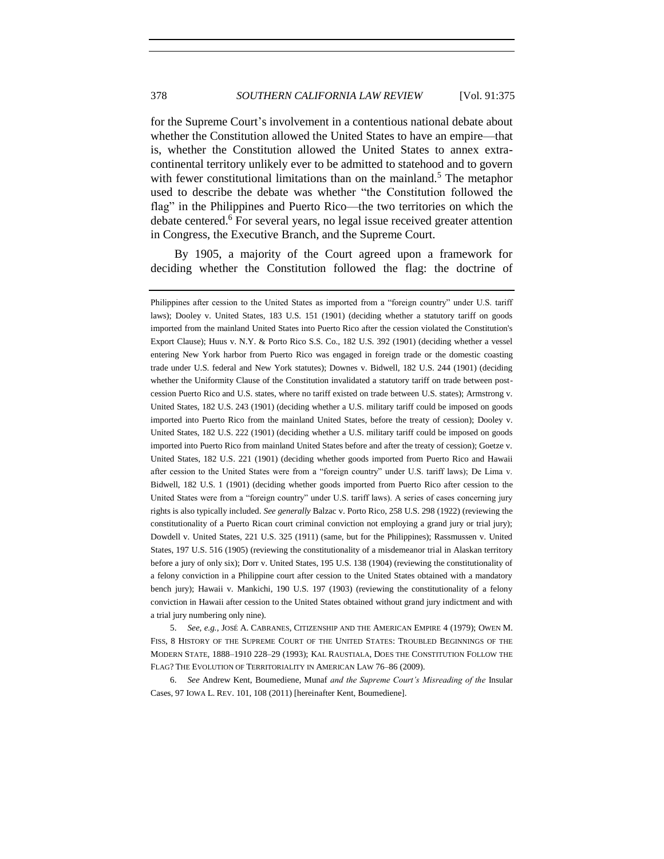<span id="page-3-0"></span>for the Supreme Court's involvement in a contentious national debate about whether the Constitution allowed the United States to have an empire—that is, whether the Constitution allowed the United States to annex extracontinental territory unlikely ever to be admitted to statehood and to govern with fewer constitutional limitations than on the mainland.<sup>5</sup> The metaphor used to describe the debate was whether "the Constitution followed the flag" in the Philippines and Puerto Rico—the two territories on which the debate centered.<sup>6</sup> For several years, no legal issue received greater attention in Congress, the Executive Branch, and the Supreme Court.

<span id="page-3-1"></span>By 1905, a majority of the Court agreed upon a framework for deciding whether the Constitution followed the flag: the doctrine of

5. *See, e.g.*, JOSÉ A. CABRANES, CITIZENSHIP AND THE AMERICAN EMPIRE 4 (1979); OWEN M. FISS, 8 HISTORY OF THE SUPREME COURT OF THE UNITED STATES: TROUBLED BEGINNINGS OF THE MODERN STATE, 1888–1910 228–29 (1993); KAL RAUSTIALA, DOES THE CONSTITUTION FOLLOW THE FLAG? THE EVOLUTION OF TERRITORIALITY IN AMERICAN LAW 76–86 (2009).

6. *See* Andrew Kent, Boumediene, Munaf *and the Supreme Court's Misreading of the* Insular Cases, 97 IOWA L. REV. 101, 108 (2011) [hereinafter Kent, Boumediene].

Philippines after cession to the United States as imported from a "foreign country" under U.S. tariff laws); Dooley v. United States, 183 U.S. 151 (1901) (deciding whether a statutory tariff on goods imported from the mainland United States into Puerto Rico after the cession violated the Constitution's Export Clause); Huus v. N.Y. & Porto Rico S.S. Co., 182 U.S. 392 (1901) (deciding whether a vessel entering New York harbor from Puerto Rico was engaged in foreign trade or the domestic coasting trade under U.S. federal and New York statutes); Downes v. Bidwell, 182 U.S. 244 (1901) (deciding whether the Uniformity Clause of the Constitution invalidated a statutory tariff on trade between postcession Puerto Rico and U.S. states, where no tariff existed on trade between U.S. states); Armstrong v. United States, 182 U.S. 243 (1901) (deciding whether a U.S. military tariff could be imposed on goods imported into Puerto Rico from the mainland United States, before the treaty of cession); Dooley v. United States, 182 U.S. 222 (1901) (deciding whether a U.S. military tariff could be imposed on goods imported into Puerto Rico from mainland United States before and after the treaty of cession); Goetze v. United States, 182 U.S. 221 (1901) (deciding whether goods imported from Puerto Rico and Hawaii after cession to the United States were from a "foreign country" under U.S. tariff laws); De Lima v. Bidwell, 182 U.S. 1 (1901) (deciding whether goods imported from Puerto Rico after cession to the United States were from a "foreign country" under U.S. tariff laws). A series of cases concerning jury rights is also typically included. *See generally* Balzac v. Porto Rico, 258 U.S. 298 (1922) (reviewing the constitutionality of a Puerto Rican court criminal conviction not employing a grand jury or trial jury); Dowdell v. United States, 221 U.S. 325 (1911) (same, but for the Philippines); Rassmussen v. United States, 197 U.S. 516 (1905) (reviewing the constitutionality of a misdemeanor trial in Alaskan territory before a jury of only six); Dorr v. United States, 195 U.S. 138 (1904) (reviewing the constitutionality of a felony conviction in a Philippine court after cession to the United States obtained with a mandatory bench jury); Hawaii v. Mankichi, 190 U.S. 197 (1903) (reviewing the constitutionality of a felony conviction in Hawaii after cession to the United States obtained without grand jury indictment and with a trial jury numbering only nine).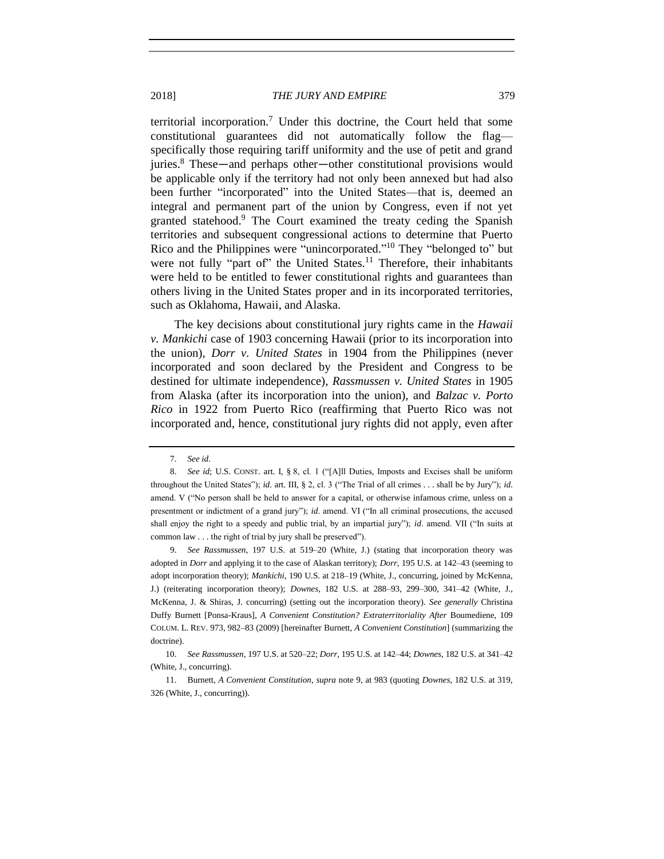<span id="page-4-0"></span>territorial incorporation.<sup>7</sup> Under this doctrine, the Court held that some constitutional guarantees did not automatically follow the flag specifically those requiring tariff uniformity and the use of petit and grand juries.<sup>8</sup> These—and perhaps other—other constitutional provisions would be applicable only if the territory had not only been annexed but had also been further "incorporated" into the United States—that is, deemed an integral and permanent part of the union by Congress, even if not yet granted statehood.<sup>9</sup> The Court examined the treaty ceding the Spanish territories and subsequent congressional actions to determine that Puerto Rico and the Philippines were "unincorporated."<sup>10</sup> They "belonged to" but were not fully "part of" the United States.<sup>11</sup> Therefore, their inhabitants were held to be entitled to fewer constitutional rights and guarantees than others living in the United States proper and in its incorporated territories, such as Oklahoma, Hawaii, and Alaska.

The key decisions about constitutional jury rights came in the *Hawaii v. Mankichi* case of 1903 concerning Hawaii (prior to its incorporation into the union), *Dorr v. United States* in 1904 from the Philippines (never incorporated and soon declared by the President and Congress to be destined for ultimate independence), *Rassmussen v. United States* in 1905 from Alaska (after its incorporation into the union), and *Balzac v. Porto Rico* in 1922 from Puerto Rico (reaffirming that Puerto Rico was not incorporated and, hence, constitutional jury rights did not apply, even after

9. *See Rassmussen*, 197 U.S. at 519–20 (White, J.) (stating that incorporation theory was adopted in *Dorr* and applying it to the case of Alaskan territory); *Dorr*, 195 U.S. at 142–43 (seeming to adopt incorporation theory); *Mankichi*, 190 U.S. at 218–19 (White, J., concurring, joined by McKenna, J.) (reiterating incorporation theory); *Downes*, 182 U.S. at 288–93, 299–300, 341–42 (White, J., McKenna, J. & Shiras, J. concurring) (setting out the incorporation theory). *See generally* Christina Duffy Burnett [Ponsa-Kraus], *A Convenient Constitution? Extraterritoriality After* Boumediene, 109 COLUM. L. REV. 973, 982–83 (2009) [hereinafter Burnett, *A Convenient Constitution*] (summarizing the doctrine).

<sup>7.</sup> *See id*.

<sup>8.</sup> *See id*; U.S. CONST. art. I, § 8, cl. 1 ("[A]ll Duties, Imposts and Excises shall be uniform throughout the United States"); *id*. art. III, § 2, cl. 3 ("The Trial of all crimes . . . shall be by Jury"); *id*. amend. V ("No person shall be held to answer for a capital, or otherwise infamous crime, unless on a presentment or indictment of a grand jury"); *id*. amend. VI ("In all criminal prosecutions, the accused shall enjoy the right to a speedy and public trial, by an impartial jury"); *id*. amend. VII ("In suits at common law . . . the right of trial by jury shall be preserved").

<sup>10.</sup> *See Rassmussen*, 197 U.S. at 520–22; *Dorr*, 195 U.S. at 142–44; *Downes*, 182 U.S. at 341–42 (White, J., concurring).

<sup>11.</sup> Burnett, *A Convenient Constitution*, *supra* not[e 9,](#page-4-0) at 983 (quoting *Downes*, 182 U.S. at 319, 326 (White, J., concurring)).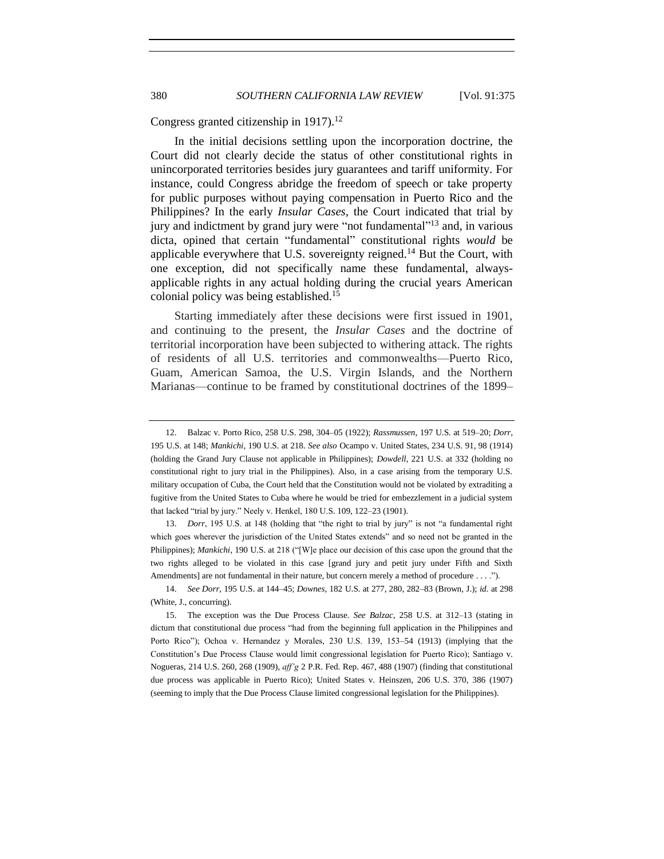Congress granted citizenship in 1917).<sup>12</sup>

<span id="page-5-0"></span>In the initial decisions settling upon the incorporation doctrine, the Court did not clearly decide the status of other constitutional rights in unincorporated territories besides jury guarantees and tariff uniformity. For instance, could Congress abridge the freedom of speech or take property for public purposes without paying compensation in Puerto Rico and the Philippines? In the early *Insular Cases*, the Court indicated that trial by jury and indictment by grand jury were "not fundamental"<sup>13</sup> and, in various dicta, opined that certain "fundamental" constitutional rights *would* be applicable everywhere that U.S. sovereignty reigned.<sup>14</sup> But the Court, with one exception, did not specifically name these fundamental, alwaysapplicable rights in any actual holding during the crucial years American colonial policy was being established. 15

<span id="page-5-1"></span>Starting immediately after these decisions were first issued in 1901, and continuing to the present, the *Insular Cases* and the doctrine of territorial incorporation have been subjected to withering attack. The rights of residents of all U.S. territories and commonwealths—Puerto Rico, Guam, American Samoa, the U.S. Virgin Islands, and the Northern Marianas—continue to be framed by constitutional doctrines of the 1899–

13. *Dorr*, 195 U.S. at 148 (holding that "the right to trial by jury" is not "a fundamental right which goes wherever the jurisdiction of the United States extends" and so need not be granted in the Philippines); *Mankichi*, 190 U.S. at 218 ("[W]e place our decision of this case upon the ground that the two rights alleged to be violated in this case [grand jury and petit jury under Fifth and Sixth Amendments] are not fundamental in their nature, but concern merely a method of procedure . . . .").

<sup>12.</sup> Balzac v. Porto Rico, 258 U.S. 298, 304–05 (1922); *Rassmussen*, 197 U.S. at 519–20; *Dorr*, 195 U.S. at 148; *Mankichi*, 190 U.S. at 218. *See also* Ocampo v. United States, 234 U.S. 91, 98 (1914) (holding the Grand Jury Clause not applicable in Philippines); *Dowdell*, 221 U.S. at 332 (holding no constitutional right to jury trial in the Philippines). Also, in a case arising from the temporary U.S. military occupation of Cuba, the Court held that the Constitution would not be violated by extraditing a fugitive from the United States to Cuba where he would be tried for embezzlement in a judicial system that lacked "trial by jury." Neely v. Henkel, 180 U.S. 109, 122–23 (1901).

<sup>14.</sup> *See Dorr*, 195 U.S. at 144–45; *Downes*, 182 U.S. at 277, 280, 282–83 (Brown, J.); *id.* at 298 (White, J., concurring).

<sup>15.</sup> The exception was the Due Process Clause. *See Balzac*, 258 U.S. at 312–13 (stating in dictum that constitutional due process "had from the beginning full application in the Philippines and Porto Rico"); Ochoa v. Hernandez y Morales, 230 U.S. 139, 153–54 (1913) (implying that the Constitution's Due Process Clause would limit congressional legislation for Puerto Rico); Santiago v. Nogueras, 214 U.S. 260, 268 (1909), *aff'g* 2 P.R. Fed. Rep. 467, 488 (1907) (finding that constitutional due process was applicable in Puerto Rico); United States v. Heinszen, 206 U.S. 370, 386 (1907) (seeming to imply that the Due Process Clause limited congressional legislation for the Philippines).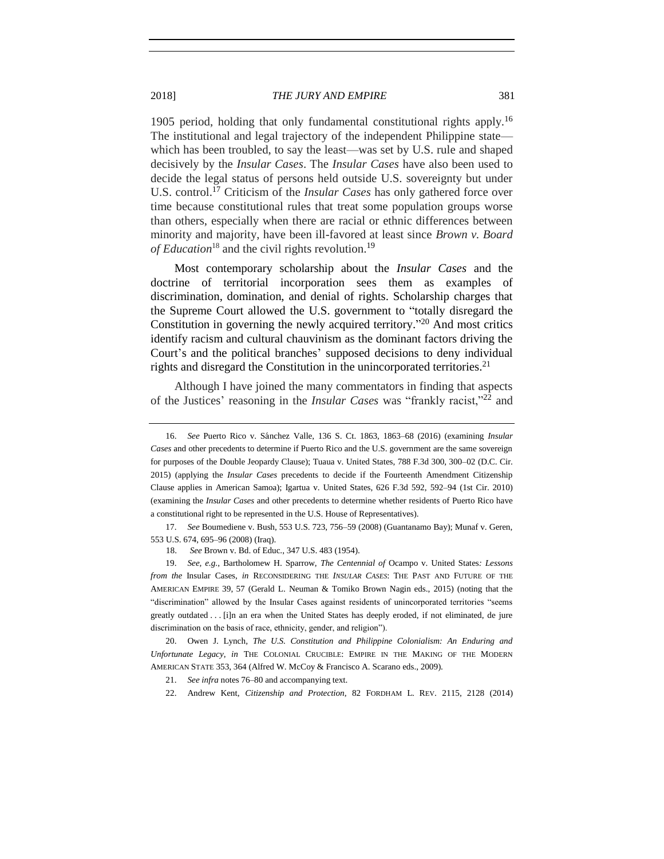1905 period, holding that only fundamental constitutional rights apply.<sup>16</sup> The institutional and legal trajectory of the independent Philippine state which has been troubled, to say the least—was set by U.S. rule and shaped decisively by the *Insular Cases*. The *Insular Cases* have also been used to decide the legal status of persons held outside U.S. sovereignty but under U.S. control.<sup>17</sup> Criticism of the *Insular Cases* has only gathered force over time because constitutional rules that treat some population groups worse than others, especially when there are racial or ethnic differences between minority and majority, have been ill-favored at least since *Brown v. Board* of Education<sup>18</sup> and the civil rights revolution.<sup>19</sup>

<span id="page-6-2"></span><span id="page-6-1"></span>Most contemporary scholarship about the *Insular Cases* and the doctrine of territorial incorporation sees them as examples of discrimination, domination, and denial of rights. Scholarship charges that the Supreme Court allowed the U.S. government to "totally disregard the Constitution in governing the newly acquired territory." <sup>20</sup> And most critics identify racism and cultural chauvinism as the dominant factors driving the Court's and the political branches' supposed decisions to deny individual rights and disregard the Constitution in the unincorporated territories.<sup>21</sup>

<span id="page-6-0"></span>Although I have joined the many commentators in finding that aspects of the Justices' reasoning in the *Insular Cases* was "frankly racist,"<sup>22</sup> and

17. *See* Boumediene v. Bush, 553 U.S. 723, 756–59 (2008) (Guantanamo Bay); Munaf v. Geren, 553 U.S. 674, 695–96 (2008) (Iraq).

18. *See* Brown v. Bd. of Educ., 347 U.S. 483 (1954).

19. *See, e.g.*, Bartholomew H. Sparrow, *The Centennial of* Ocampo v. United States*: Lessons from the* Insular Cases, *in* RECONSIDERING THE *INSULAR CASES*: THE PAST AND FUTURE OF THE AMERICAN EMPIRE 39, 57 (Gerald L. Neuman & Tomiko Brown Nagin eds., 2015) (noting that the "discrimination" allowed by the Insular Cases against residents of unincorporated territories "seems greatly outdated . . . [i]n an era when the United States has deeply eroded, if not eliminated, de jure discrimination on the basis of race, ethnicity, gender, and religion").

20. Owen J. Lynch*, The U.S. Constitution and Philippine Colonialism: An Enduring and Unfortunate Legacy*, *in* THE COLONIAL CRUCIBLE: EMPIRE IN THE MAKING OF THE MODERN AMERICAN STATE 353, 364 (Alfred W. McCoy & Francisco A. Scarano eds., 2009).

21. *See infra* note[s 76](#page-18-0)[–80](#page-18-1) and accompanying text.

22. Andrew Kent, *Citizenship and Protection*, 82 FORDHAM L. REV. 2115, 2128 (2014)

<sup>16.</sup> *See* Puerto Rico v. Sánchez Valle, 136 S. Ct. 1863, 1863–68 (2016) (examining *Insular Cases* and other precedents to determine if Puerto Rico and the U.S. government are the same sovereign for purposes of the Double Jeopardy Clause); Tuaua v. United States, 788 F.3d 300, 300–02 (D.C. Cir. 2015) (applying the *Insular Cases* precedents to decide if the Fourteenth Amendment Citizenship Clause applies in American Samoa); Igartua v. United States, 626 F.3d 592, 592–94 (1st Cir. 2010) (examining the *Insular Cases* and other precedents to determine whether residents of Puerto Rico have a constitutional right to be represented in the U.S. House of Representatives).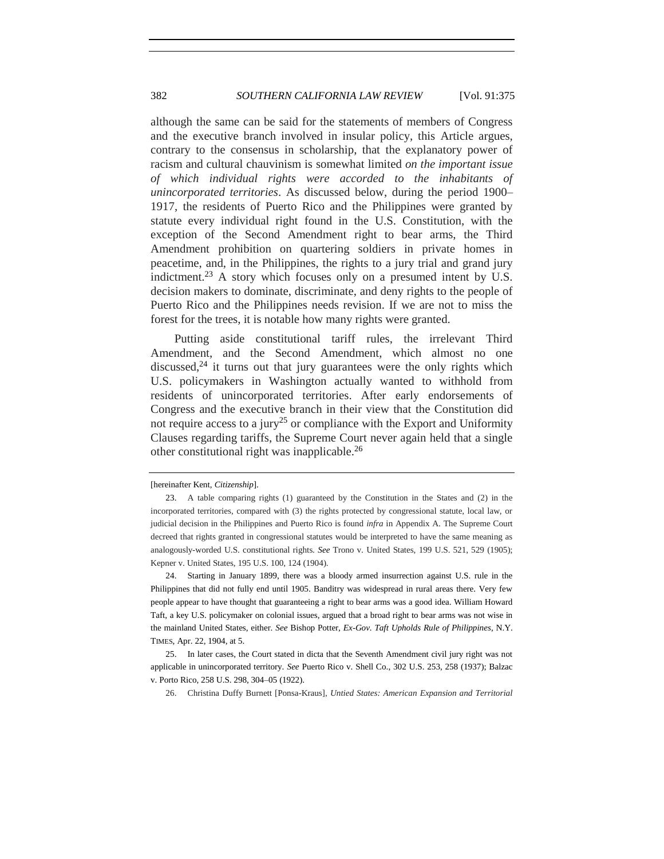although the same can be said for the statements of members of Congress and the executive branch involved in insular policy, this Article argues, contrary to the consensus in scholarship, that the explanatory power of racism and cultural chauvinism is somewhat limited *on the important issue of which individual rights were accorded to the inhabitants of unincorporated territories*. As discussed below, during the period 1900– 1917, the residents of Puerto Rico and the Philippines were granted by statute every individual right found in the U.S. Constitution, with the exception of the Second Amendment right to bear arms, the Third Amendment prohibition on quartering soldiers in private homes in peacetime, and, in the Philippines, the rights to a jury trial and grand jury indictment.<sup>23</sup> A story which focuses only on a presumed intent by U.S. decision makers to dominate, discriminate, and deny rights to the people of Puerto Rico and the Philippines needs revision. If we are not to miss the forest for the trees, it is notable how many rights were granted.

Putting aside constitutional tariff rules, the irrelevant Third Amendment, and the Second Amendment, which almost no one discussed, $24$  it turns out that jury guarantees were the only rights which U.S. policymakers in Washington actually wanted to withhold from residents of unincorporated territories. After early endorsements of Congress and the executive branch in their view that the Constitution did not require access to a jury<sup>25</sup> or compliance with the Export and Uniformity Clauses regarding tariffs, the Supreme Court never again held that a single other constitutional right was inapplicable.<sup>26</sup>

<span id="page-7-0"></span><sup>[</sup>hereinafter Kent, *Citizenship*].

<sup>23.</sup> A table comparing rights (1) guaranteed by the Constitution in the States and (2) in the incorporated territories, compared with (3) the rights protected by congressional statute, local law, or judicial decision in the Philippines and Puerto Rico is found *infra* in Appendix A. The Supreme Court decreed that rights granted in congressional statutes would be interpreted to have the same meaning as analogously-worded U.S. constitutional rights. *See* Trono v. United States, 199 U.S. 521, 529 (1905); Kepner v. United States, 195 U.S. 100, 124 (1904).

<sup>24.</sup> Starting in January 1899, there was a bloody armed insurrection against U.S. rule in the Philippines that did not fully end until 1905. Banditry was widespread in rural areas there. Very few people appear to have thought that guaranteeing a right to bear arms was a good idea. William Howard Taft, a key U.S. policymaker on colonial issues, argued that a broad right to bear arms was not wise in the mainland United States, either. *See* Bishop Potter, *Ex-Gov. Taft Upholds Rule of Philippines*, N.Y. TIMES, Apr. 22, 1904, at 5.

<sup>25.</sup> In later cases, the Court stated in dicta that the Seventh Amendment civil jury right was not applicable in unincorporated territory. *See* Puerto Rico v. Shell Co., 302 U.S. 253, 258 (1937); Balzac v. Porto Rico, 258 U.S. 298, 304–05 (1922).

<sup>26.</sup> Christina Duffy Burnett [Ponsa-Kraus], *Untied States: American Expansion and Territorial*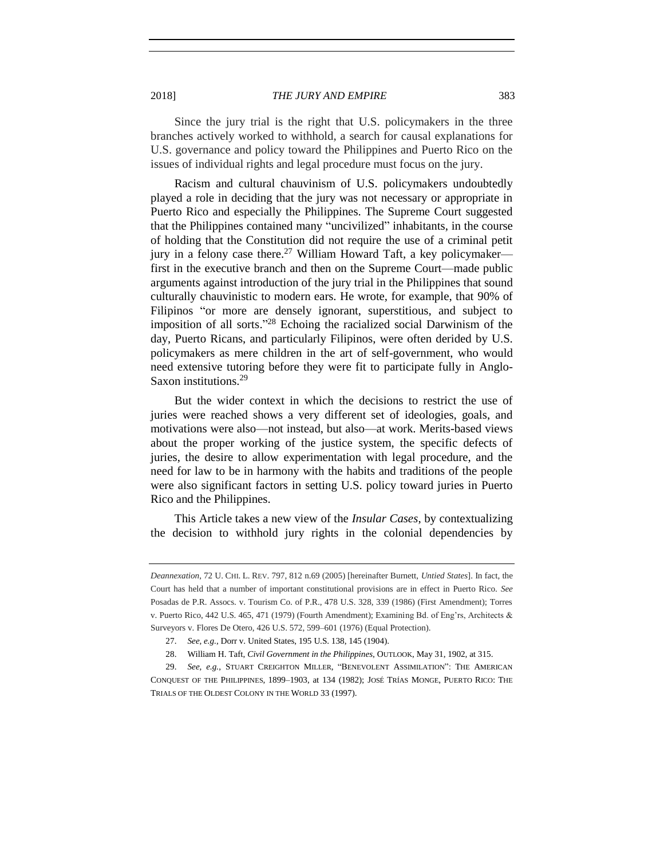2018] *THE JURY AND EMPIRE* 383

Since the jury trial is the right that U.S. policymakers in the three branches actively worked to withhold, a search for causal explanations for U.S. governance and policy toward the Philippines and Puerto Rico on the issues of individual rights and legal procedure must focus on the jury.

Racism and cultural chauvinism of U.S. policymakers undoubtedly played a role in deciding that the jury was not necessary or appropriate in Puerto Rico and especially the Philippines. The Supreme Court suggested that the Philippines contained many "uncivilized" inhabitants, in the course of holding that the Constitution did not require the use of a criminal petit jury in a felony case there.<sup>27</sup> William Howard Taft, a key policymaker first in the executive branch and then on the Supreme Court—made public arguments against introduction of the jury trial in the Philippines that sound culturally chauvinistic to modern ears. He wrote, for example, that 90% of Filipinos "or more are densely ignorant, superstitious, and subject to imposition of all sorts." <sup>28</sup> Echoing the racialized social Darwinism of the day, Puerto Ricans, and particularly Filipinos, were often derided by U.S. policymakers as mere children in the art of self-government, who would need extensive tutoring before they were fit to participate fully in Anglo-Saxon institutions.<sup>29</sup>

<span id="page-8-0"></span>But the wider context in which the decisions to restrict the use of juries were reached shows a very different set of ideologies, goals, and motivations were also—not instead, but also—at work. Merits-based views about the proper working of the justice system, the specific defects of juries, the desire to allow experimentation with legal procedure, and the need for law to be in harmony with the habits and traditions of the people were also significant factors in setting U.S. policy toward juries in Puerto Rico and the Philippines.

This Article takes a new view of the *Insular Cases*, by contextualizing the decision to withhold jury rights in the colonial dependencies by

*Deannexation*, 72 U. CHI. L. REV. 797, 812 n.69 (2005) [hereinafter Burnett, *Untied States*]. In fact, the Court has held that a number of important constitutional provisions are in effect in Puerto Rico. *See* Posadas de P.R. Assocs. v. Tourism Co. of P.R., 478 U.S. 328, 339 (1986) (First Amendment); Torres v. Puerto Rico, 442 U.S. 465, 471 (1979) (Fourth Amendment); Examining Bd. of Eng'rs, Architects & Surveyors v. Flores De Otero, 426 U.S. 572, 599–601 (1976) (Equal Protection).

<sup>27.</sup> *See, e.g.*, Dorr v. United States, 195 U.S. 138, 145 (1904).

<sup>28.</sup> William H. Taft, *Civil Government in the Philippines*, OUTLOOK, May 31, 1902, at 315.

<sup>29.</sup> *See, e.g.*, STUART CREIGHTON MILLER, "BENEVOLENT ASSIMILATION": THE AMERICAN CONQUEST OF THE PHILIPPINES, 1899–1903, at 134 (1982); JOSÉ TRÍAS MONGE, PUERTO RICO: THE TRIALS OF THE OLDEST COLONY IN THE WORLD 33 (1997).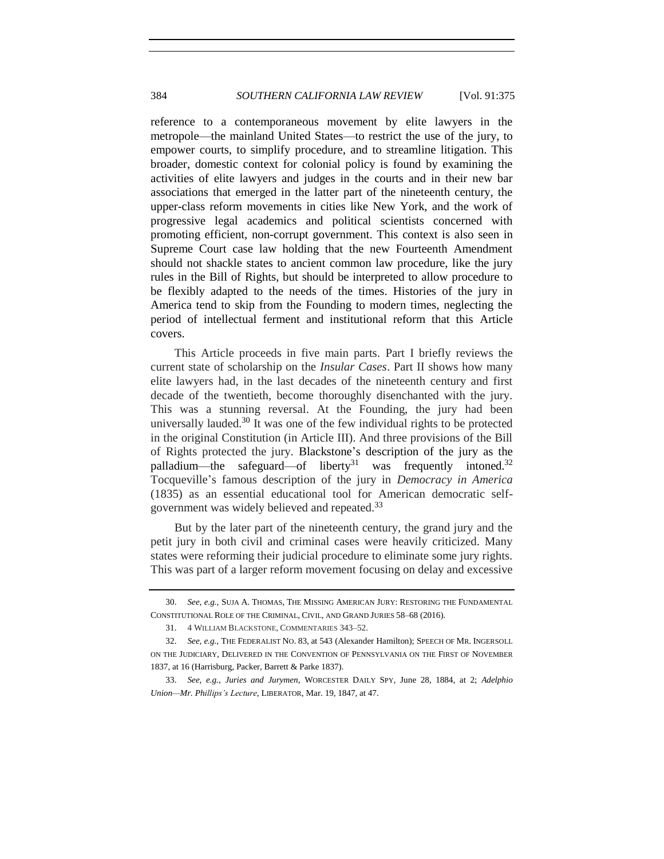reference to a contemporaneous movement by elite lawyers in the metropole—the mainland United States—to restrict the use of the jury, to empower courts, to simplify procedure, and to streamline litigation. This broader, domestic context for colonial policy is found by examining the activities of elite lawyers and judges in the courts and in their new bar associations that emerged in the latter part of the nineteenth century, the upper-class reform movements in cities like New York, and the work of progressive legal academics and political scientists concerned with promoting efficient, non-corrupt government. This context is also seen in Supreme Court case law holding that the new Fourteenth Amendment should not shackle states to ancient common law procedure, like the jury rules in the Bill of Rights, but should be interpreted to allow procedure to be flexibly adapted to the needs of the times. Histories of the jury in America tend to skip from the Founding to modern times, neglecting the period of intellectual ferment and institutional reform that this Article covers.

This Article proceeds in five main parts. Part I briefly reviews the current state of scholarship on the *Insular Cases*. Part II shows how many elite lawyers had, in the last decades of the nineteenth century and first decade of the twentieth, become thoroughly disenchanted with the jury. This was a stunning reversal. At the Founding, the jury had been universally lauded.<sup>30</sup> It was one of the few individual rights to be protected in the original Constitution (in Article III). And three provisions of the Bill of Rights protected the jury. Blackstone's description of the jury as the palladium—the safeguard—of liberty<sup>31</sup> was frequently intoned.<sup>32</sup> Tocqueville's famous description of the jury in *Democracy in America* (1835) as an essential educational tool for American democratic selfgovernment was widely believed and repeated.<sup>33</sup>

<span id="page-9-0"></span>But by the later part of the nineteenth century, the grand jury and the petit jury in both civil and criminal cases were heavily criticized. Many states were reforming their judicial procedure to eliminate some jury rights. This was part of a larger reform movement focusing on delay and excessive

<sup>30.</sup> *See, e.g.*, SUJA A. THOMAS, THE MISSING AMERICAN JURY: RESTORING THE FUNDAMENTAL CONSTITUTIONAL ROLE OF THE CRIMINAL, CIVIL, AND GRAND JURIES 58–68 (2016).

<sup>31.</sup> 4 WILLIAM BLACKSTONE, COMMENTARIES 343–52.

<sup>32.</sup> *See, e.g.*, THE FEDERALIST NO. 83, at 543 (Alexander Hamilton); SPEECH OF MR. INGERSOLL ON THE JUDICIARY, DELIVERED IN THE CONVENTION OF PENNSYLVANIA ON THE FIRST OF NOVEMBER 1837, at 16 (Harrisburg, Packer, Barrett & Parke 1837).

<sup>33.</sup> *See, e.g.*, *Juries and Jurymen*, WORCESTER DAILY SPY, June 28, 1884, at 2; *Adelphio Union—Mr. Phillips's Lecture*, LIBERATOR, Mar. 19, 1847, at 47.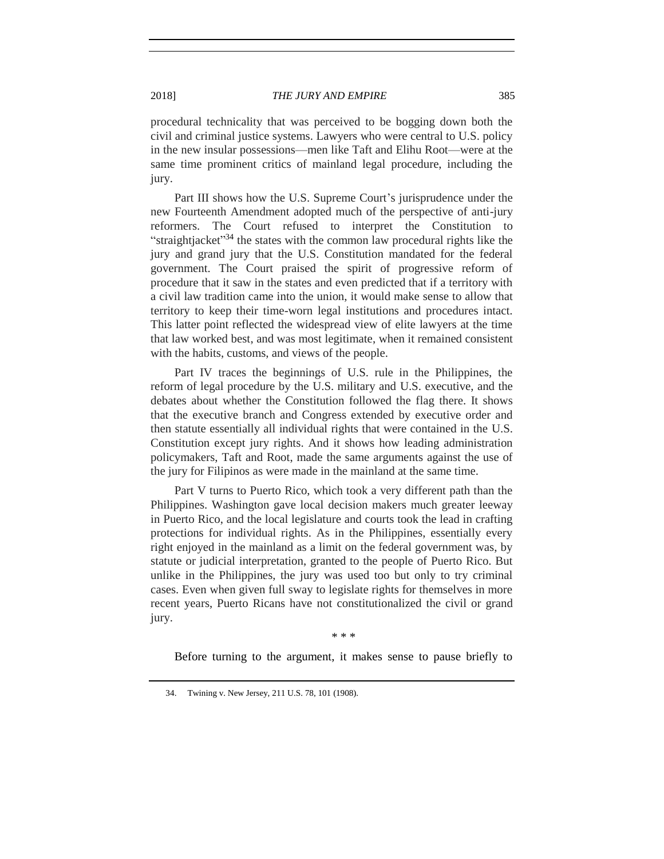procedural technicality that was perceived to be bogging down both the civil and criminal justice systems. Lawyers who were central to U.S. policy in the new insular possessions—men like Taft and Elihu Root—were at the same time prominent critics of mainland legal procedure, including the jury.

Part III shows how the U.S. Supreme Court's jurisprudence under the new Fourteenth Amendment adopted much of the perspective of anti-jury reformers. The Court refused to interpret the Constitution to "straightjacket"<sup>34</sup> the states with the common law procedural rights like the jury and grand jury that the U.S. Constitution mandated for the federal government. The Court praised the spirit of progressive reform of procedure that it saw in the states and even predicted that if a territory with a civil law tradition came into the union, it would make sense to allow that territory to keep their time-worn legal institutions and procedures intact. This latter point reflected the widespread view of elite lawyers at the time that law worked best, and was most legitimate, when it remained consistent with the habits, customs, and views of the people.

Part IV traces the beginnings of U.S. rule in the Philippines, the reform of legal procedure by the U.S. military and U.S. executive, and the debates about whether the Constitution followed the flag there. It shows that the executive branch and Congress extended by executive order and then statute essentially all individual rights that were contained in the U.S. Constitution except jury rights. And it shows how leading administration policymakers, Taft and Root, made the same arguments against the use of the jury for Filipinos as were made in the mainland at the same time.

Part V turns to Puerto Rico, which took a very different path than the Philippines. Washington gave local decision makers much greater leeway in Puerto Rico, and the local legislature and courts took the lead in crafting protections for individual rights. As in the Philippines, essentially every right enjoyed in the mainland as a limit on the federal government was, by statute or judicial interpretation, granted to the people of Puerto Rico. But unlike in the Philippines, the jury was used too but only to try criminal cases. Even when given full sway to legislate rights for themselves in more recent years, Puerto Ricans have not constitutionalized the civil or grand jury.

\* \* \*

Before turning to the argument, it makes sense to pause briefly to

<sup>34.</sup> Twining v. New Jersey, 211 U.S. 78, 101 (1908).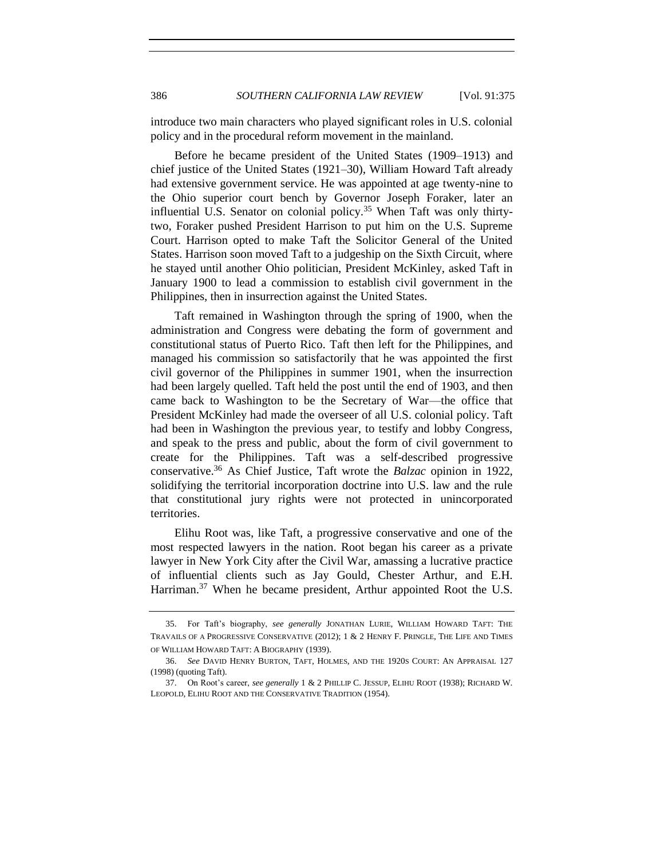introduce two main characters who played significant roles in U.S. colonial policy and in the procedural reform movement in the mainland.

Before he became president of the United States (1909–1913) and chief justice of the United States (1921–30), William Howard Taft already had extensive government service. He was appointed at age twenty-nine to the Ohio superior court bench by Governor Joseph Foraker, later an influential U.S. Senator on colonial policy.<sup>35</sup> When Taft was only thirtytwo, Foraker pushed President Harrison to put him on the U.S. Supreme Court. Harrison opted to make Taft the Solicitor General of the United States. Harrison soon moved Taft to a judgeship on the Sixth Circuit, where he stayed until another Ohio politician, President McKinley, asked Taft in January 1900 to lead a commission to establish civil government in the Philippines, then in insurrection against the United States.

Taft remained in Washington through the spring of 1900, when the administration and Congress were debating the form of government and constitutional status of Puerto Rico. Taft then left for the Philippines, and managed his commission so satisfactorily that he was appointed the first civil governor of the Philippines in summer 1901, when the insurrection had been largely quelled. Taft held the post until the end of 1903, and then came back to Washington to be the Secretary of War—the office that President McKinley had made the overseer of all U.S. colonial policy. Taft had been in Washington the previous year, to testify and lobby Congress, and speak to the press and public, about the form of civil government to create for the Philippines. Taft was a self-described progressive conservative. <sup>36</sup> As Chief Justice, Taft wrote the *Balzac* opinion in 1922, solidifying the territorial incorporation doctrine into U.S. law and the rule that constitutional jury rights were not protected in unincorporated territories.

Elihu Root was, like Taft, a progressive conservative and one of the most respected lawyers in the nation. Root began his career as a private lawyer in New York City after the Civil War, amassing a lucrative practice of influential clients such as Jay Gould, Chester Arthur, and E.H. Harriman.<sup>37</sup> When he became president, Arthur appointed Root the U.S.

<span id="page-11-0"></span><sup>35.</sup> For Taft's biography, *see generally* JONATHAN LURIE, WILLIAM HOWARD TAFT: THE TRAVAILS OF A PROGRESSIVE CONSERVATIVE (2012); 1 & 2 HENRY F. PRINGLE, THE LIFE AND TIMES OF WILLIAM HOWARD TAFT: A BIOGRAPHY (1939).

<sup>36.</sup> *See* DAVID HENRY BURTON, TAFT, HOLMES, AND THE 1920S COURT: AN APPRAISAL 127 (1998) (quoting Taft).

<sup>37.</sup> On Root's career, *see generally* 1 & 2 PHILLIP C. JESSUP, ELIHU ROOT (1938); RICHARD W. LEOPOLD, ELIHU ROOT AND THE CONSERVATIVE TRADITION (1954).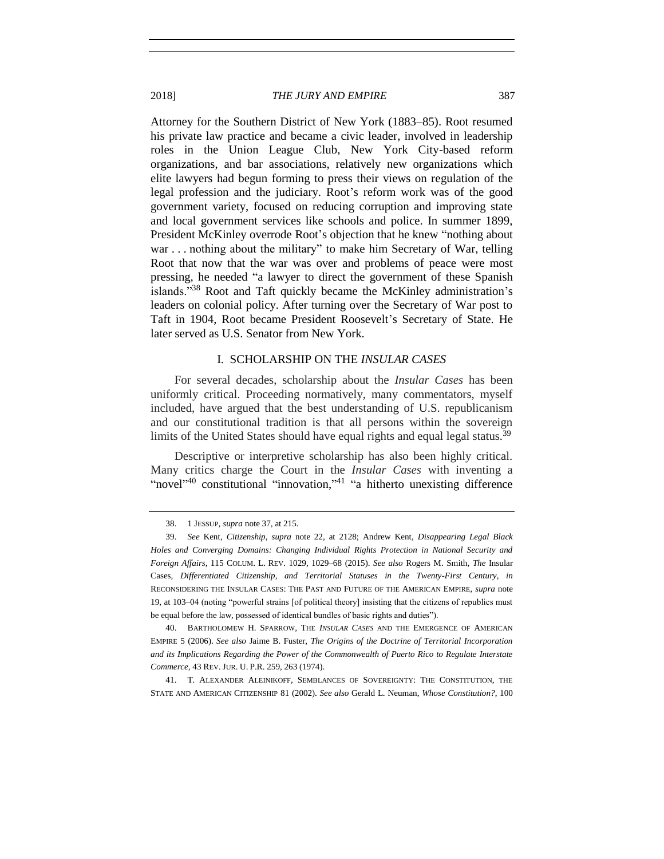2018] *THE JURY AND EMPIRE* 387

Attorney for the Southern District of New York (1883–85). Root resumed his private law practice and became a civic leader, involved in leadership roles in the Union League Club, New York City-based reform organizations, and bar associations, relatively new organizations which elite lawyers had begun forming to press their views on regulation of the legal profession and the judiciary. Root's reform work was of the good government variety, focused on reducing corruption and improving state and local government services like schools and police. In summer 1899, President McKinley overrode Root's objection that he knew "nothing about war . . . nothing about the military" to make him Secretary of War, telling Root that now that the war was over and problems of peace were most pressing, he needed "a lawyer to direct the government of these Spanish islands."<sup>38</sup> Root and Taft quickly became the McKinley administration's leaders on colonial policy. After turning over the Secretary of War post to Taft in 1904, Root became President Roosevelt's Secretary of State. He later served as U.S. Senator from New York.

# I. SCHOLARSHIP ON THE *INSULAR CASES*

<span id="page-12-0"></span>For several decades, scholarship about the *Insular Cases* has been uniformly critical. Proceeding normatively, many commentators, myself included, have argued that the best understanding of U.S. republicanism and our constitutional tradition is that all persons within the sovereign limits of the United States should have equal rights and equal legal status.<sup>39</sup>

Descriptive or interpretive scholarship has also been highly critical. Many critics charge the Court in the *Insular Cases* with inventing a "novel"<sup>40</sup> constitutional "innovation,"<sup>41</sup> "a hitherto unexisting difference

40. BARTHOLOMEW H. SPARROW, THE *INSULAR CASES* AND THE EMERGENCE OF AMERICAN EMPIRE 5 (2006). *See also* Jaime B. Fuster, *The Origins of the Doctrine of Territorial Incorporation and its Implications Regarding the Power of the Commonwealth of Puerto Rico to Regulate Interstate Commerce*, 43 REV. JUR. U. P.R. 259, 263 (1974).

41. T. ALEXANDER ALEINIKOFF, SEMBLANCES OF SOVEREIGNTY: THE CONSTITUTION, THE STATE AND AMERICAN CITIZENSHIP 81 (2002). *See also* Gerald L. Neuman, *Whose Constitution?*, 100

<sup>38.</sup> 1 JESSUP, *supra* not[e 37,](#page-11-0) at 215.

<sup>39.</sup> *See* Kent, *Citizenship*, *supra* note [22,](#page-6-0) at 2128; Andrew Kent, *Disappearing Legal Black Holes and Converging Domains: Changing Individual Rights Protection in National Security and Foreign Affairs*, 115 COLUM. L. REV. 1029, 1029–68 (2015). *See also* Rogers M. Smith, *The* Insular Cases*, Differentiated Citizenship, and Territorial Statuses in the Twenty-First Century*, *in* RECONSIDERING THE INSULAR CASES: THE PAST AND FUTURE OF THE AMERICAN EMPIRE, *supra* note [19,](#page-6-1) at 103–04 (noting "powerful strains [of political theory] insisting that the citizens of republics must be equal before the law, possessed of identical bundles of basic rights and duties").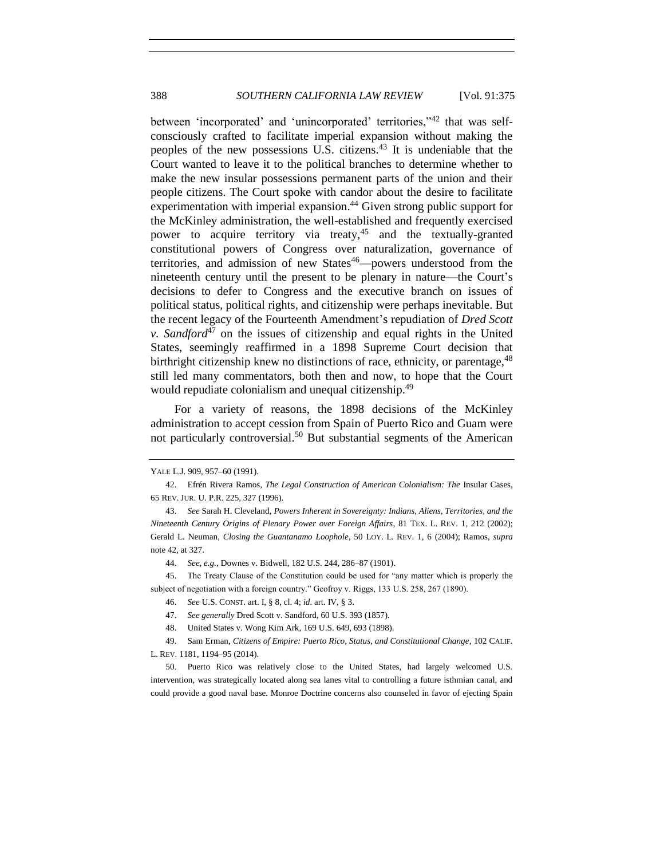<span id="page-13-1"></span><span id="page-13-0"></span>between 'incorporated' and 'unincorporated' territories,"<sup>42</sup> that was selfconsciously crafted to facilitate imperial expansion without making the peoples of the new possessions U.S. citizens.<sup>43</sup> It is undeniable that the Court wanted to leave it to the political branches to determine whether to make the new insular possessions permanent parts of the union and their people citizens. The Court spoke with candor about the desire to facilitate experimentation with imperial expansion.<sup>44</sup> Given strong public support for the McKinley administration, the well-established and frequently exercised power to acquire territory via treaty,  $45$  and the textually-granted constitutional powers of Congress over naturalization, governance of territories, and admission of new States<sup>46</sup>—powers understood from the nineteenth century until the present to be plenary in nature—the Court's decisions to defer to Congress and the executive branch on issues of political status, political rights, and citizenship were perhaps inevitable. But the recent legacy of the Fourteenth Amendment's repudiation of *Dred Scott v. Sandford*<sup>47</sup> on the issues of citizenship and equal rights in the United States, seemingly reaffirmed in a 1898 Supreme Court decision that birthright citizenship knew no distinctions of race, ethnicity, or parentage,  $48$ still led many commentators, both then and now, to hope that the Court would repudiate colonialism and unequal citizenship.<sup>49</sup>

For a variety of reasons, the 1898 decisions of the McKinley administration to accept cession from Spain of Puerto Rico and Guam were not particularly controversial.<sup>50</sup> But substantial segments of the American

YALE L.J. 909, 957–60 (1991).

<sup>42.</sup> Efrén Rivera Ramos, *The Legal Construction of American Colonialism: The* Insular Cases, 65 REV. JUR. U. P.R. 225, 327 (1996).

<sup>43.</sup> *See* Sarah H. Cleveland, *Powers Inherent in Sovereignty: Indians, Aliens, Territories, and the Nineteenth Century Origins of Plenary Power over Foreign Affairs*, 81 TEX. L. REV. 1, 212 (2002); Gerald L. Neuman, *Closing the Guantanamo Loophole*, 50 LOY. L. REV. 1, 6 (2004); Ramos, *supra* note [42,](#page-13-0) at 327.

<sup>44.</sup> *See, e.g.*, Downes v. Bidwell, 182 U.S. 244, 286–87 (1901).

<sup>45.</sup> The Treaty Clause of the Constitution could be used for "any matter which is properly the subject of negotiation with a foreign country." Geofroy v. Riggs, 133 U.S. 258, 267 (1890).

<sup>46.</sup> *See* U.S. CONST. art. I, § 8, cl. 4; *id*. art. IV, § 3.

<sup>47.</sup> *See generally* Dred Scott v. Sandford, 60 U.S. 393 (1857).

<sup>48.</sup> United States v. Wong Kim Ark, 169 U.S. 649, 693 (1898).

<sup>49.</sup> Sam Erman, *Citizens of Empire: Puerto Rico, Status, and Constitutional Change*, 102 CALIF. L. REV. 1181, 1194–95 (2014).

<sup>50.</sup> Puerto Rico was relatively close to the United States, had largely welcomed U.S. intervention, was strategically located along sea lanes vital to controlling a future isthmian canal, and could provide a good naval base. Monroe Doctrine concerns also counseled in favor of ejecting Spain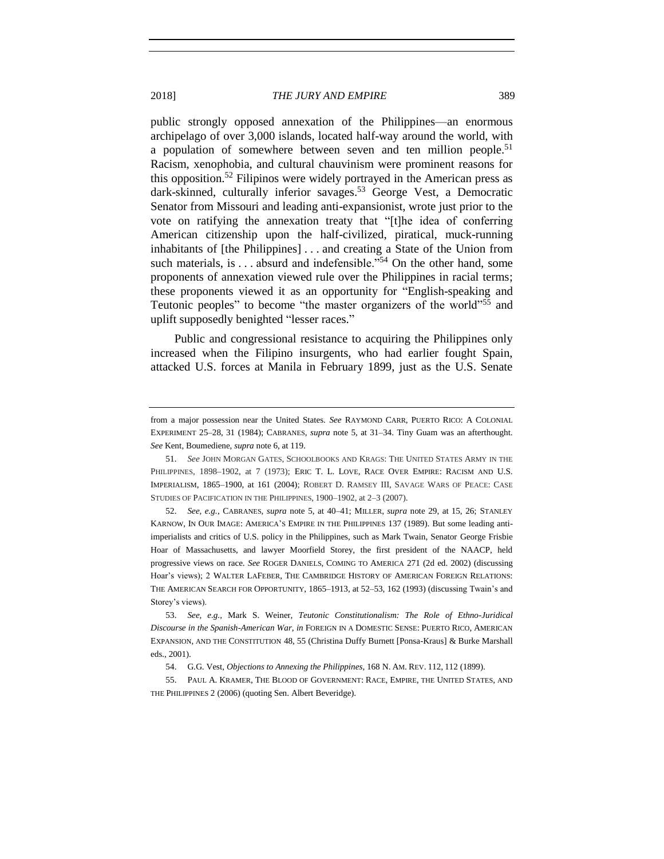<span id="page-14-1"></span><span id="page-14-0"></span>public strongly opposed annexation of the Philippines—an enormous archipelago of over 3,000 islands, located half-way around the world, with a population of somewhere between seven and ten million people.<sup>51</sup> Racism, xenophobia, and cultural chauvinism were prominent reasons for this opposition.<sup>52</sup> Filipinos were widely portrayed in the American press as dark-skinned, culturally inferior savages.<sup>53</sup> George Vest, a Democratic Senator from Missouri and leading anti-expansionist, wrote just prior to the vote on ratifying the annexation treaty that "[t]he idea of conferring American citizenship upon the half-civilized, piratical, muck-running inhabitants of [the Philippines] . . . and creating a State of the Union from such materials, is . . . absurd and indefensible."<sup>54</sup> On the other hand, some proponents of annexation viewed rule over the Philippines in racial terms; these proponents viewed it as an opportunity for "English-speaking and Teutonic peoples" to become "the master organizers of the world"<sup>55</sup> and uplift supposedly benighted "lesser races."

Public and congressional resistance to acquiring the Philippines only increased when the Filipino insurgents, who had earlier fought Spain, attacked U.S. forces at Manila in February 1899, just as the U.S. Senate

from a major possession near the United States. *See* RAYMOND CARR, PUERTO RICO: A COLONIAL EXPERIMENT 25–28, 31 (1984); CABRANES, *supra* note [5,](#page-3-0) at 31–34. Tiny Guam was an afterthought. *See* Kent, Boumediene, *supra* not[e 6,](#page-3-1) at 119.

<sup>51.</sup> *See* JOHN MORGAN GATES, SCHOOLBOOKS AND KRAGS: THE UNITED STATES ARMY IN THE PHILIPPINES, 1898-1902, at 7 (1973); ERIC T. L. LOVE, RACE OVER EMPIRE: RACISM AND U.S. IMPERIALISM, 1865–1900, at 161 (2004); ROBERT D. RAMSEY III, SAVAGE WARS OF PEACE: CASE STUDIES OF PACIFICATION IN THE PHILIPPINES, 1900–1902, at 2–3 (2007).

<sup>52.</sup> *See, e.g.*, CABRANES, *supra* note [5,](#page-3-0) at 40–41; MILLER, *supra* note [29,](#page-8-0) at 15, 26; STANLEY KARNOW, IN OUR IMAGE: AMERICA'S EMPIRE IN THE PHILIPPINES 137 (1989). But some leading antiimperialists and critics of U.S. policy in the Philippines, such as Mark Twain, Senator George Frisbie Hoar of Massachusetts, and lawyer Moorfield Storey, the first president of the NAACP, held progressive views on race. *See* ROGER DANIELS, COMING TO AMERICA 271 (2d ed. 2002) (discussing Hoar's views); 2 WALTER LAFEBER, THE CAMBRIDGE HISTORY OF AMERICAN FOREIGN RELATIONS: THE AMERICAN SEARCH FOR OPPORTUNITY, 1865–1913, at 52–53, 162 (1993) (discussing Twain's and Storey's views).

<sup>53.</sup> *See, e.g.*, Mark S. Weiner, *Teutonic Constitutionalism: The Role of Ethno-Juridical Discourse in the Spanish-American War*, *in* FOREIGN IN A DOMESTIC SENSE: PUERTO RICO, AMERICAN EXPANSION, AND THE CONSTITUTION 48, 55 (Christina Duffy Burnett [Ponsa-Kraus] & Burke Marshall eds., 2001).

<sup>54.</sup> G.G. Vest, *Objections to Annexing the Philippines*, 168 N. AM. REV. 112, 112 (1899).

<sup>55.</sup> PAUL A. KRAMER, THE BLOOD OF GOVERNMENT: RACE, EMPIRE, THE UNITED STATES, AND THE PHILIPPINES 2 (2006) (quoting Sen. Albert Beveridge).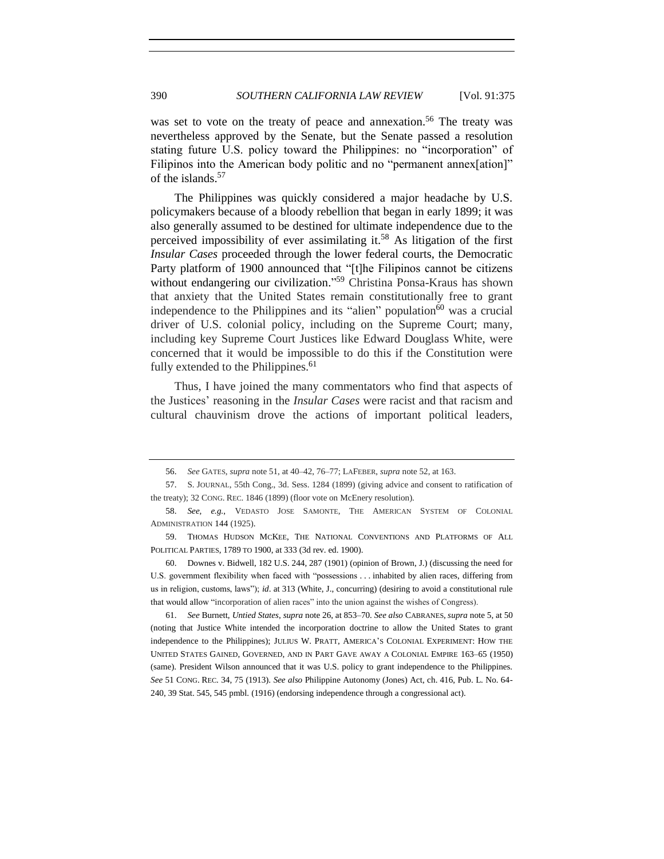was set to vote on the treaty of peace and annexation.<sup>56</sup> The treaty was nevertheless approved by the Senate, but the Senate passed a resolution stating future U.S. policy toward the Philippines: no "incorporation" of Filipinos into the American body politic and no "permanent annex[ation]" of the islands.<sup>57</sup>

The Philippines was quickly considered a major headache by U.S. policymakers because of a bloody rebellion that began in early 1899; it was also generally assumed to be destined for ultimate independence due to the perceived impossibility of ever assimilating it.<sup>58</sup> As litigation of the first *Insular Cases* proceeded through the lower federal courts, the Democratic Party platform of 1900 announced that "[t]he Filipinos cannot be citizens without endangering our civilization."<sup>59</sup> Christina Ponsa-Kraus has shown that anxiety that the United States remain constitutionally free to grant independence to the Philippines and its "alien" population $60$  was a crucial driver of U.S. colonial policy, including on the Supreme Court; many, including key Supreme Court Justices like Edward Douglass White, were concerned that it would be impossible to do this if the Constitution were fully extended to the Philippines.<sup>61</sup>

Thus, I have joined the many commentators who find that aspects of the Justices' reasoning in the *Insular Cases* were racist and that racism and cultural chauvinism drove the actions of important political leaders,

61. *See* Burnett, *Untied States*, *supra* not[e 26,](#page-7-0) at 853–70. *See also* CABRANES, *supra* not[e 5,](#page-3-0) at 50 (noting that Justice White intended the incorporation doctrine to allow the United States to grant independence to the Philippines); JULIUS W. PRATT, AMERICA'S COLONIAL EXPERIMENT: HOW THE UNITED STATES GAINED, GOVERNED, AND IN PART GAVE AWAY A COLONIAL EMPIRE 163–65 (1950) (same). President Wilson announced that it was U.S. policy to grant independence to the Philippines. *See* 51 CONG. REC. 34, 75 (1913). *See also* Philippine Autonomy (Jones) Act, ch. 416, Pub. L. No. 64- 240, 39 Stat. 545, 545 pmbl. (1916) (endorsing independence through a congressional act).

<sup>56.</sup> *See* GATES, *supra* not[e 51,](#page-14-0) at 40–42, 76–77; LAFEBER, *supra* note [52,](#page-14-1) at 163.

<sup>57.</sup> S. JOURNAL, 55th Cong., 3d. Sess. 1284 (1899) (giving advice and consent to ratification of the treaty); 32 CONG. REC. 1846 (1899) (floor vote on McEnery resolution).

<sup>58.</sup> *See, e.g.*, VEDASTO JOSE SAMONTE, THE AMERICAN SYSTEM OF COLONIAL ADMINISTRATION 144 (1925).

<sup>59.</sup> THOMAS HUDSON MCKEE, THE NATIONAL CONVENTIONS AND PLATFORMS OF ALL POLITICAL PARTIES, 1789 TO 1900, at 333 (3d rev. ed. 1900).

<sup>60.</sup> Downes v. Bidwell, 182 U.S. 244, 287 (1901) (opinion of Brown, J.) (discussing the need for U.S. government flexibility when faced with "possessions . . . inhabited by alien races, differing from us in religion, customs, laws"); *id*. at 313 (White, J., concurring) (desiring to avoid a constitutional rule that would allow "incorporation of alien races" into the union against the wishes of Congress).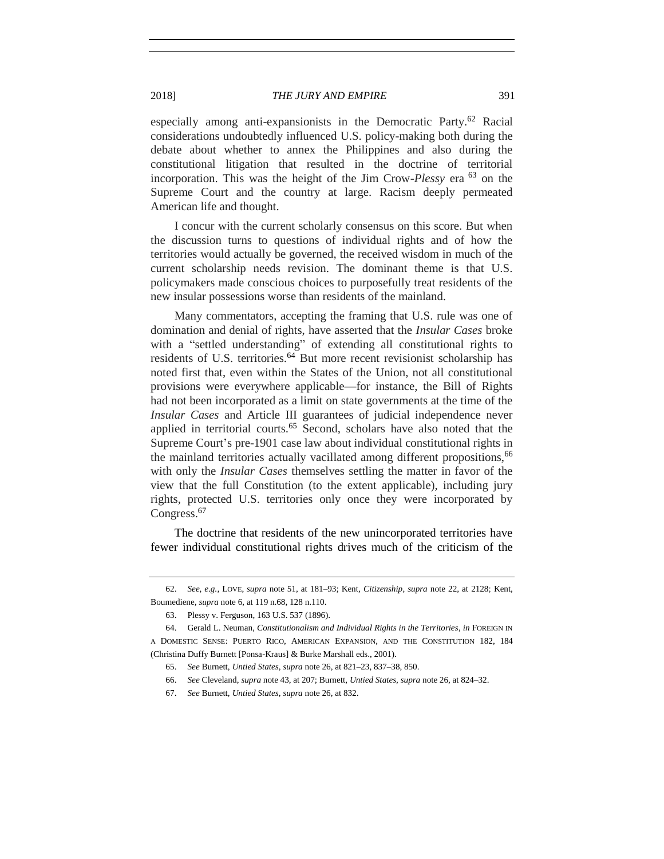## 2018] *THE JURY AND EMPIRE* 391

especially among anti-expansionists in the Democratic Party.<sup>62</sup> Racial considerations undoubtedly influenced U.S. policy-making both during the debate about whether to annex the Philippines and also during the constitutional litigation that resulted in the doctrine of territorial incorporation. This was the height of the Jim Crow-*Plessy* era <sup>63</sup> on the Supreme Court and the country at large. Racism deeply permeated American life and thought.

I concur with the current scholarly consensus on this score. But when the discussion turns to questions of individual rights and of how the territories would actually be governed, the received wisdom in much of the current scholarship needs revision. The dominant theme is that U.S. policymakers made conscious choices to purposefully treat residents of the new insular possessions worse than residents of the mainland.

Many commentators, accepting the framing that U.S. rule was one of domination and denial of rights, have asserted that the *Insular Cases* broke with a "settled understanding" of extending all constitutional rights to residents of U.S. territories.<sup>64</sup> But more recent revisionist scholarship has noted first that, even within the States of the Union, not all constitutional provisions were everywhere applicable—for instance, the Bill of Rights had not been incorporated as a limit on state governments at the time of the *Insular Cases* and Article III guarantees of judicial independence never applied in territorial courts.<sup>65</sup> Second, scholars have also noted that the Supreme Court's pre-1901 case law about individual constitutional rights in the mainland territories actually vacillated among different propositions,<sup>66</sup> with only the *Insular Cases* themselves settling the matter in favor of the view that the full Constitution (to the extent applicable), including jury rights, protected U.S. territories only once they were incorporated by Congress.<sup>67</sup>

The doctrine that residents of the new unincorporated territories have fewer individual constitutional rights drives much of the criticism of the

<sup>62.</sup> *See, e.g.*, LOVE, *supra* note [51,](#page-14-0) at 181–93; Kent*, Citizenship*, *supra* note [22,](#page-6-0) at 2128; Kent, Boumediene, *supra* not[e 6,](#page-3-1) at 119 n.68, 128 n.110.

<sup>63.</sup> Plessy v. Ferguson, 163 U.S. 537 (1896).

<sup>64.</sup> Gerald L. Neuman, *Constitutionalism and Individual Rights in the Territories*, *in* FOREIGN IN A DOMESTIC SENSE: PUERTO RICO, AMERICAN EXPANSION, AND THE CONSTITUTION 182, 184 (Christina Duffy Burnett [Ponsa-Kraus] & Burke Marshall eds., 2001).

<sup>65.</sup> *See* Burnett, *Untied States*, *supra* not[e 26,](#page-7-0) at 821–23, 837–38, 850.

<sup>66.</sup> *See* Cleveland, *supra* not[e 43,](#page-13-1) at 207; Burnett, *Untied States*, *supra* not[e 26,](#page-7-0) at 824–32.

<sup>67.</sup> *See* Burnett, *Untied States*, *supra* not[e 26,](#page-7-0) at 832.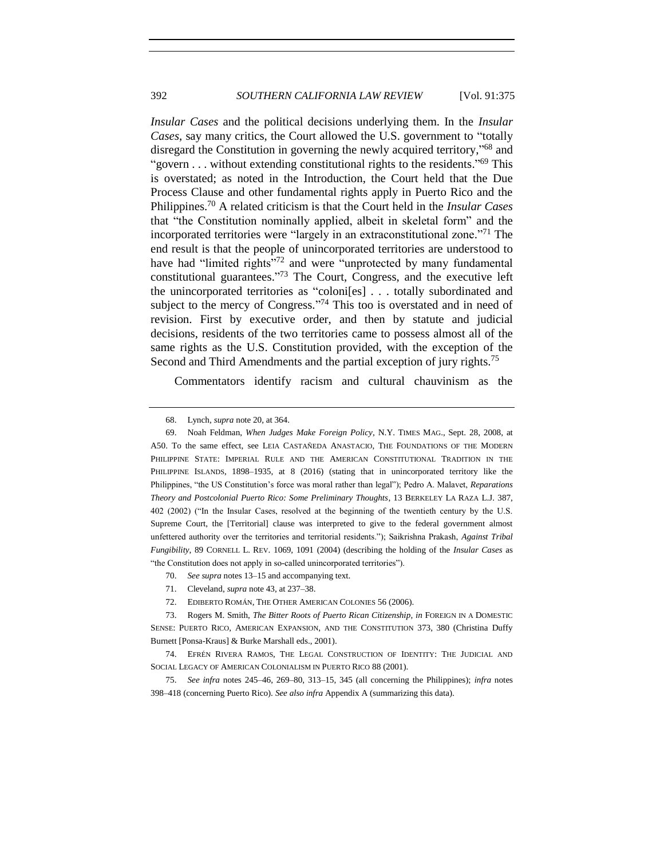*Insular Cases* and the political decisions underlying them. In the *Insular Cases*, say many critics, the Court allowed the U.S. government to "totally disregard the Constitution in governing the newly acquired territory,"<sup>68</sup> and "govern . . . without extending constitutional rights to the residents."<sup>69</sup> This is overstated; as noted in the Introduction, the Court held that the Due Process Clause and other fundamental rights apply in Puerto Rico and the Philippines.<sup>70</sup> A related criticism is that the Court held in the *Insular Cases* that "the Constitution nominally applied, albeit in skeletal form" and the incorporated territories were "largely in an extraconstitutional zone." <sup>71</sup> The end result is that the people of unincorporated territories are understood to have had "limited rights"<sup>72</sup> and were "unprotected by many fundamental constitutional guarantees." <sup>73</sup> The Court, Congress, and the executive left the unincorporated territories as "coloni[es] . . . totally subordinated and subject to the mercy of Congress."<sup>74</sup> This too is overstated and in need of revision. First by executive order, and then by statute and judicial decisions, residents of the two territories came to possess almost all of the same rights as the U.S. Constitution provided, with the exception of the Second and Third Amendments and the partial exception of jury rights.<sup>75</sup>

<span id="page-17-0"></span>Commentators identify racism and cultural chauvinism as the

- 70. *See supra* note[s 13](#page-5-0)[–15](#page-5-1) and accompanying text.
- 71. Cleveland, *supra* not[e 43,](#page-13-1) at 237–38.
- 72. EDIBERTO ROMÁN, THE OTHER AMERICAN COLONIES 56 (2006).

<sup>68.</sup> Lynch*, supra* not[e 20,](#page-6-2) at 364.

<sup>69.</sup> Noah Feldman, *When Judges Make Foreign Policy*, N.Y. TIMES MAG., Sept. 28, 2008, at A50. To the same effect, see LEIA CASTAÑEDA ANASTACIO, THE FOUNDATIONS OF THE MODERN PHILIPPINE STATE: IMPERIAL RULE AND THE AMERICAN CONSTITUTIONAL TRADITION IN THE PHILIPPINE ISLANDS, 1898-1935, at 8 (2016) (stating that in unincorporated territory like the Philippines, "the US Constitution's force was moral rather than legal"); Pedro A. Malavet, *Reparations Theory and Postcolonial Puerto Rico: Some Preliminary Thoughts*, 13 BERKELEY LA RAZA L.J. 387, 402 (2002) ("In the Insular Cases, resolved at the beginning of the twentieth century by the U.S. Supreme Court, the [Territorial] clause was interpreted to give to the federal government almost unfettered authority over the territories and territorial residents."); Saikrishna Prakash, *Against Tribal Fungibility*, 89 CORNELL L. REV. 1069, 1091 (2004) (describing the holding of the *Insular Cases* as "the Constitution does not apply in so-called unincorporated territories").

<sup>73.</sup> Rogers M. Smith, *The Bitter Roots of Puerto Rican Citizenship*, *in* FOREIGN IN A DOMESTIC SENSE: PUERTO RICO, AMERICAN EXPANSION, AND THE CONSTITUTION 373, 380 (Christina Duffy Burnett [Ponsa-Kraus] & Burke Marshall eds., 2001).

<sup>74.</sup> EFRÉN RIVERA RAMOS, THE LEGAL CONSTRUCTION OF IDENTITY: THE JUDICIAL AND SOCIAL LEGACY OF AMERICAN COLONIALISM IN PUERTO RICO 88 (2001).

<sup>75.</sup> *See infra* notes [245–](#page-45-0)46, [269–](#page-48-0)80, [313–](#page-54-0)15, [345](#page-60-0) (all concerning the Philippines); *infra* notes [398–](#page-67-1)[418](#page-70-1) (concerning Puerto Rico). *See also infra* Appendix A (summarizing this data).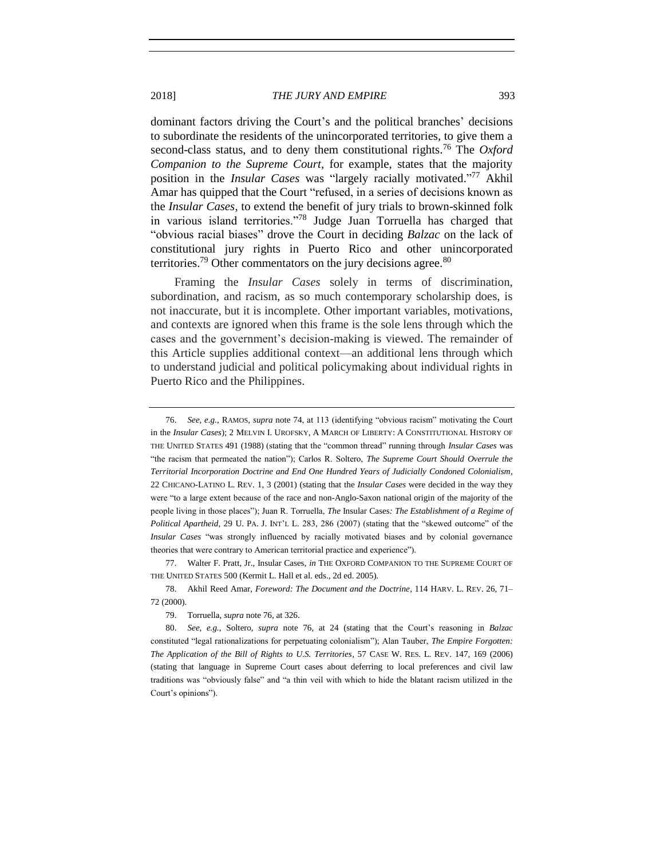## 2018] *THE JURY AND EMPIRE* 393

<span id="page-18-0"></span>dominant factors driving the Court's and the political branches' decisions to subordinate the residents of the unincorporated territories, to give them a second-class status, and to deny them constitutional rights.<sup>76</sup> The *Oxford Companion to the Supreme Court*, for example, states that the majority position in the *Insular Cases* was "largely racially motivated." <sup>77</sup> Akhil Amar has quipped that the Court "refused, in a series of decisions known as the *Insular Cases*, to extend the benefit of jury trials to brown-skinned folk in various island territories."<sup>78</sup> Judge Juan Torruella has charged that "obvious racial biases" drove the Court in deciding *Balzac* on the lack of constitutional jury rights in Puerto Rico and other unincorporated territories.<sup>79</sup> Other commentators on the jury decisions agree.<sup>80</sup>

<span id="page-18-1"></span>Framing the *Insular Cases* solely in terms of discrimination, subordination, and racism, as so much contemporary scholarship does, is not inaccurate, but it is incomplete. Other important variables, motivations, and contexts are ignored when this frame is the sole lens through which the cases and the government's decision-making is viewed. The remainder of this Article supplies additional context—an additional lens through which to understand judicial and political policymaking about individual rights in Puerto Rico and the Philippines.

77. Walter F. Pratt, Jr., Insular Cases, *in* THE OXFORD COMPANION TO THE SUPREME COURT OF THE UNITED STATES 500 (Kermit L. Hall et al. eds., 2d ed. 2005).

78. Akhil Reed Amar, *Foreword: The Document and the Doctrine*, 114 HARV. L. REV. 26, 71– 72 (2000).

79. Torruella, *supra* note [76,](#page-18-0) at 326.

80. *See, e.g.*, Soltero, *supra* note [76,](#page-18-0) at 24 (stating that the Court's reasoning in *Balzac* constituted "legal rationalizations for perpetuating colonialism"); Alan Tauber, *The Empire Forgotten: The Application of the Bill of Rights to U.S. Territories*, 57 CASE W. RES. L. REV. 147, 169 (2006) (stating that language in Supreme Court cases about deferring to local preferences and civil law traditions was "obviously false" and "a thin veil with which to hide the blatant racism utilized in the Court's opinions").

<sup>76.</sup> *See, e.g.*, RAMOS, *supra* not[e 74,](#page-17-0) at 113 (identifying "obvious racism" motivating the Court in the *Insular Cases*); 2 MELVIN I. UROFSKY, A MARCH OF LIBERTY: A CONSTITUTIONAL HISTORY OF THE UNITED STATES 491 (1988) (stating that the "common thread" running through *Insular Cases* was "the racism that permeated the nation"); Carlos R. Soltero, *The Supreme Court Should Overrule the Territorial Incorporation Doctrine and End One Hundred Years of Judicially Condoned Colonialism*, 22 CHICANO-LATINO L. REV. 1, 3 (2001) (stating that the *Insular Cases* were decided in the way they were "to a large extent because of the race and non-Anglo-Saxon national origin of the majority of the people living in those places"); Juan R. Torruella, *The* Insular Cases*: The Establishment of a Regime of Political Apartheid*, 29 U. PA. J. INT'L L. 283, 286 (2007) (stating that the "skewed outcome" of the *Insular Cases* "was strongly influenced by racially motivated biases and by colonial governance theories that were contrary to American territorial practice and experience").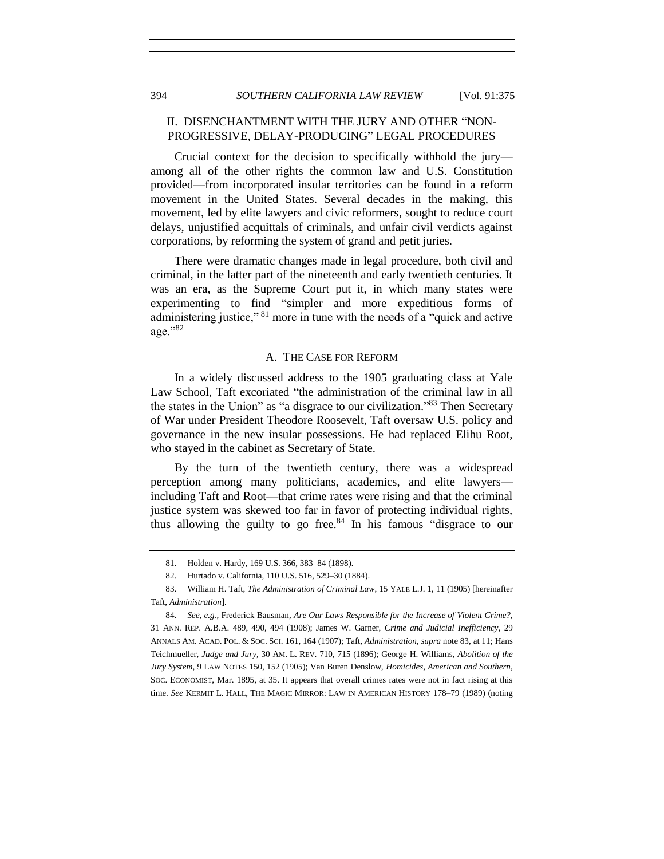## <span id="page-19-0"></span>II. DISENCHANTMENT WITH THE JURY AND OTHER "NON-PROGRESSIVE, DELAY-PRODUCING" LEGAL PROCEDURES

Crucial context for the decision to specifically withhold the jury among all of the other rights the common law and U.S. Constitution provided—from incorporated insular territories can be found in a reform movement in the United States. Several decades in the making, this movement, led by elite lawyers and civic reformers, sought to reduce court delays, unjustified acquittals of criminals, and unfair civil verdicts against corporations, by reforming the system of grand and petit juries.

There were dramatic changes made in legal procedure, both civil and criminal, in the latter part of the nineteenth and early twentieth centuries. It was an era, as the Supreme Court put it, in which many states were experimenting to find "simpler and more expeditious forms of administering justice," <sup>81</sup> more in tune with the needs of a "quick and active age."<sup>82</sup>

## <span id="page-19-2"></span>A. THE CASE FOR REFORM

<span id="page-19-1"></span>In a widely discussed address to the 1905 graduating class at Yale Law School, Taft excoriated "the administration of the criminal law in all the states in the Union" as "a disgrace to our civilization."<sup>83</sup> Then Secretary of War under President Theodore Roosevelt, Taft oversaw U.S. policy and governance in the new insular possessions. He had replaced Elihu Root, who stayed in the cabinet as Secretary of State.

By the turn of the twentieth century, there was a widespread perception among many politicians, academics, and elite lawyers including Taft and Root—that crime rates were rising and that the criminal justice system was skewed too far in favor of protecting individual rights, thus allowing the guilty to go free.<sup>84</sup> In his famous "disgrace to our

<span id="page-19-3"></span><sup>81.</sup> Holden v. Hardy, 169 U.S. 366, 383–84 (1898).

<sup>82.</sup> Hurtado v. California, 110 U.S. 516, 529–30 (1884).

<sup>83.</sup> William H. Taft, *The Administration of Criminal Law*, 15 YALE L.J. 1, 11 (1905) [hereinafter Taft, *Administration*].

<sup>84.</sup> *See, e.g.*, Frederick Bausman, *Are Our Laws Responsible for the Increase of Violent Crime?*, 31 ANN. REP. A.B.A. 489, 490, 494 (1908); James W. Garner, *Crime and Judicial Inefficiency*, 29 ANNALS AM. ACAD. POL. & SOC. SCI. 161, 164 (1907); Taft, *Administration*, *supra* not[e 83,](#page-19-2) at 11; Hans Teichmueller, *Judge and Jury*, 30 AM. L. REV. 710, 715 (1896); George H. Williams, *Abolition of the Jury System*, 9 LAW NOTES 150, 152 (1905); Van Buren Denslow, *Homicides, American and Southern*, SOC. ECONOMIST, Mar. 1895, at 35. It appears that overall crimes rates were not in fact rising at this time. *See* KERMIT L. HALL, THE MAGIC MIRROR: LAW IN AMERICAN HISTORY 178–79 (1989) (noting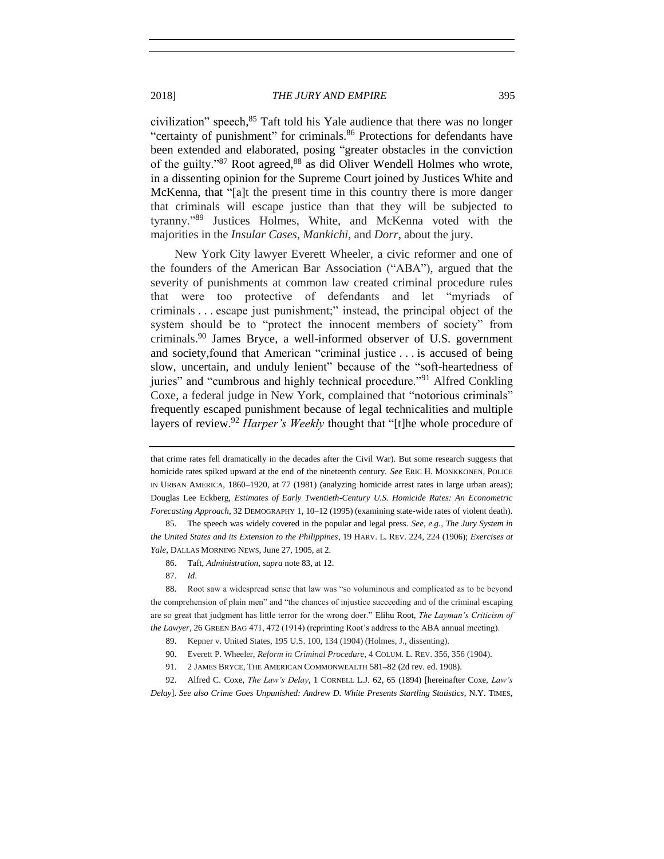2018] *THE JURY AND EMPIRE* 395

civilization" speech, <sup>85</sup> Taft told his Yale audience that there was no longer "certainty of punishment" for criminals.<sup>86</sup> Protections for defendants have been extended and elaborated, posing "greater obstacles in the conviction of the guilty."<sup>87</sup> Root agreed,<sup>88</sup> as did Oliver Wendell Holmes who wrote, in a dissenting opinion for the Supreme Court joined by Justices White and McKenna, that "[a]t the present time in this country there is more danger that criminals will escape justice than that they will be subjected to tyranny."<sup>89</sup> Justices Holmes, White, and McKenna voted with the majorities in the *Insular Cases*, *Mankichi*, and *Dorr*, about the jury.

New York City lawyer Everett Wheeler, a civic reformer and one of the founders of the American Bar Association ("ABA"), argued that the severity of punishments at common law created criminal procedure rules that were too protective of defendants and let "myriads of criminals . . . escape just punishment;" instead, the principal object of the system should be to "protect the innocent members of society" from criminals.<sup>90</sup> James Bryce, a well-informed observer of U.S. government and society,found that American "criminal justice . . . is accused of being slow, uncertain, and unduly lenient" because of the "soft-heartedness of juries" and "cumbrous and highly technical procedure."<sup>91</sup> Alfred Conkling Coxe, a federal judge in New York, complained that "notorious criminals" frequently escaped punishment because of legal technicalities and multiple layers of review.<sup>92</sup> *Harper's Weekly* thought that "[t]he whole procedure of

- 86. Taft, *Administration*, *supra* not[e 83,](#page-19-2) at 12.
- 87. *Id*.

88. Root saw a widespread sense that law was "so voluminous and complicated as to be beyond the comprehension of plain men" and "the chances of injustice succeeding and of the criminal escaping are so great that judgment has little terror for the wrong doer." Elihu Root, *The Layman's Criticism of the Lawyer,* 26 GREEN BAG 471, 472 (1914) (reprinting Root's address to the ABA annual meeting).

- 89. Kepner v. United States, 195 U.S. 100, 134 (1904) (Holmes, J., dissenting).
- 90. Everett P. Wheeler, *Reform in Criminal Procedure*, 4 COLUM. L. REV. 356, 356 (1904).
- 91. 2 JAMES BRYCE, THE AMERICAN COMMONWEALTH 581–82 (2d rev. ed. 1908).

92. Alfred C. Coxe, *The Law's Delay*, 1 CORNELL L.J. 62, 65 (1894) [hereinafter Coxe, *Law's Delay*]. *See also Crime Goes Unpunished: Andrew D. White Presents Startling Statistics*, N.Y. TIMES,

<span id="page-20-0"></span>that crime rates fell dramatically in the decades after the Civil War). But some research suggests that homicide rates spiked upward at the end of the nineteenth century. *See* ERIC H. MONKKONEN, POLICE IN URBAN AMERICA, 1860–1920, at 77 (1981) (analyzing homicide arrest rates in large urban areas); Douglas Lee Eckberg, *Estimates of Early Twentieth-Century U.S. Homicide Rates: An Econometric Forecasting Approach*, 32 DEMOGRAPHY 1, 10–12 (1995) (examining state-wide rates of violent death).

<sup>85.</sup> The speech was widely covered in the popular and legal press. *See, e.g.*, *The Jury System in the United States and its Extension to the Philippines*, 19 HARV. L. REV. 224, 224 (1906); *Exercises at Yale*, DALLAS MORNING NEWS, June 27, 1905, at 2.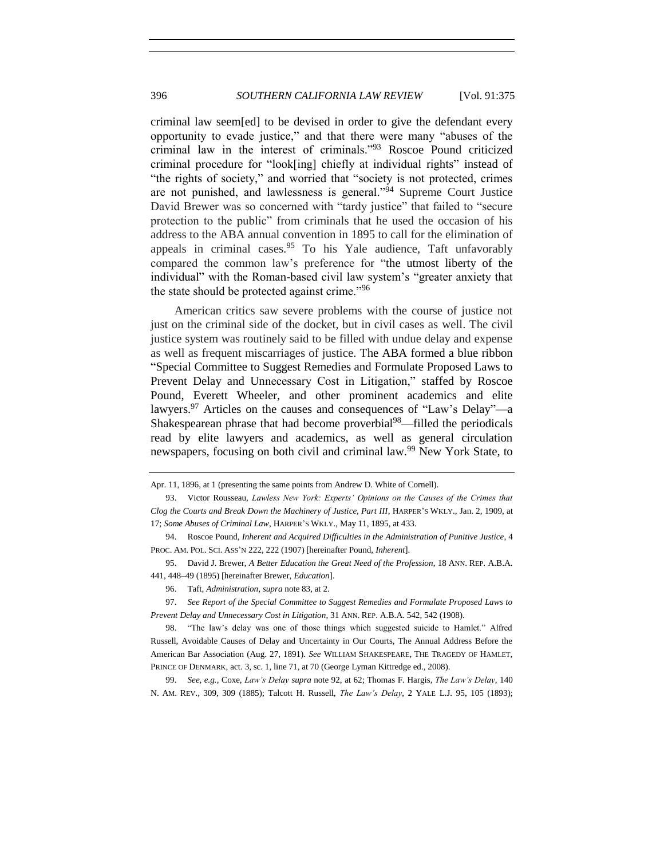<span id="page-21-0"></span>criminal law seem[ed] to be devised in order to give the defendant every opportunity to evade justice," and that there were many "abuses of the criminal law in the interest of criminals."<sup>93</sup> Roscoe Pound criticized criminal procedure for "look[ing] chiefly at individual rights" instead of "the rights of society," and worried that "society is not protected, crimes are not punished, and lawlessness is general."<sup>94</sup> Supreme Court Justice David Brewer was so concerned with "tardy justice" that failed to "secure protection to the public" from criminals that he used the occasion of his address to the ABA annual convention in 1895 to call for the elimination of appeals in criminal cases.  $95$  To his Yale audience, Taft unfavorably compared the common law's preference for "the utmost liberty of the individual" with the Roman-based civil law system's "greater anxiety that the state should be protected against crime."<sup>96</sup>

<span id="page-21-3"></span><span id="page-21-2"></span>American critics saw severe problems with the course of justice not just on the criminal side of the docket, but in civil cases as well. The civil justice system was routinely said to be filled with undue delay and expense as well as frequent miscarriages of justice. The ABA formed a blue ribbon "Special Committee to Suggest Remedies and Formulate Proposed Laws to Prevent Delay and Unnecessary Cost in Litigation," staffed by Roscoe Pound, Everett Wheeler, and other prominent academics and elite lawyers.<sup>97</sup> Articles on the causes and consequences of "Law's Delay"—a Shakespearean phrase that had become proverbial<sup>98</sup>—filled the periodicals read by elite lawyers and academics, as well as general circulation newspapers, focusing on both civil and criminal law.<sup>99</sup> New York State, to

99. *See, e.g.*, Coxe, *Law's Delay supra* not[e 92,](#page-20-0) at 62; Thomas F. Hargis, *The Law's Delay*, 140 N. AM. REV., 309, 309 (1885); Talcott H. Russell, *The Law's Delay*, 2 YALE L.J. 95, 105 (1893);

<span id="page-21-4"></span><span id="page-21-1"></span>Apr. 11, 1896, at 1 (presenting the same points from Andrew D. White of Cornell).

<sup>93.</sup> Victor Rousseau, *Lawless New York: Experts' Opinions on the Causes of the Crimes that Clog the Courts and Break Down the Machinery of Justice, Part III*, HARPER'S WKLY., Jan. 2, 1909, at 17; *Some Abuses of Criminal Law*, HARPER'S WKLY., May 11, 1895, at 433.

<sup>94.</sup> Roscoe Pound, *Inherent and Acquired Difficulties in the Administration of Punitive Justice*, 4 PROC. AM. POL. SCI. ASS'N 222, 222 (1907) [hereinafter Pound, *Inherent*].

<sup>95.</sup> David J. Brewer, *A Better Education the Great Need of the Profession*, 18 ANN. REP. A.B.A. 441, 448–49 (1895) [hereinafter Brewer, *Education*].

<sup>96.</sup> Taft, *Administration*, *supra* not[e 83,](#page-19-2) at 2.

<sup>97.</sup> *See Report of the Special Committee to Suggest Remedies and Formulate Proposed Laws to Prevent Delay and Unnecessary Cost in Litigation*, 31 ANN. REP. A.B.A. 542, 542 (1908).

<sup>98.</sup> "The law's delay was one of those things which suggested suicide to Hamlet." Alfred Russell, Avoidable Causes of Delay and Uncertainty in Our Courts, The Annual Address Before the American Bar Association (Aug. 27, 1891). *See* WILLIAM SHAKESPEARE, THE TRAGEDY OF HAMLET, PRINCE OF DENMARK, act. 3, sc. 1, line 71, at 70 (George Lyman Kittredge ed., 2008).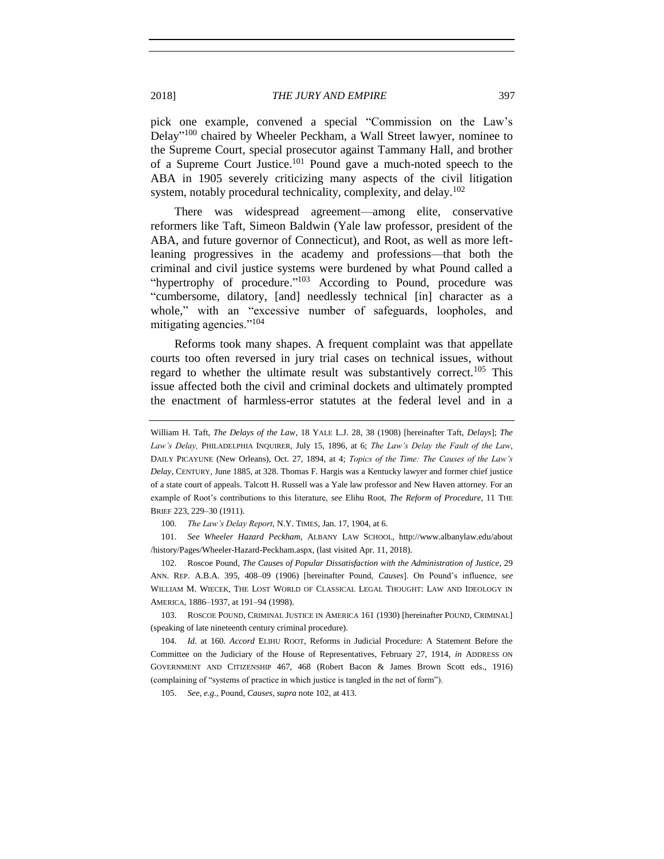pick one example, convened a special "Commission on the Law's Delay"<sup>100</sup> chaired by Wheeler Peckham, a Wall Street lawyer, nominee to the Supreme Court, special prosecutor against Tammany Hall, and brother of a Supreme Court Justice. <sup>101</sup> Pound gave a much-noted speech to the ABA in 1905 severely criticizing many aspects of the civil litigation system, notably procedural technicality, complexity, and delay.<sup>102</sup>

<span id="page-22-0"></span>There was widespread agreement—among elite, conservative reformers like Taft, Simeon Baldwin (Yale law professor, president of the ABA, and future governor of Connecticut), and Root, as well as more leftleaning progressives in the academy and professions—that both the criminal and civil justice systems were burdened by what Pound called a "hypertrophy of procedure."<sup>103</sup> According to Pound, procedure was "cumbersome, dilatory, [and] needlessly technical [in] character as a whole," with an "excessive number of safeguards, loopholes, and mitigating agencies."<sup>104</sup>

<span id="page-22-2"></span><span id="page-22-1"></span>Reforms took many shapes. A frequent complaint was that appellate courts too often reversed in jury trial cases on technical issues, without regard to whether the ultimate result was substantively correct.<sup>105</sup> This issue affected both the civil and criminal dockets and ultimately prompted the enactment of harmless-error statutes at the federal level and in a

100. *The Law's Delay Report*, N.Y. TIMES, Jan. 17, 1904, at 6.

101. *See Wheeler Hazard Peckham*, ALBANY LAW SCHOOL, http://www.albanylaw.edu/about /history/Pages/Wheeler-Hazard-Peckham.aspx, (last visited Apr. 11, 2018).

102. Roscoe Pound, *The Causes of Popular Dissatisfaction with the Administration of Justice*, 29 ANN. REP. A.B.A. 395, 408–09 (1906) [hereinafter Pound, *Causes*]. On Pound's influence, *see* WILLIAM M. WIECEK, THE LOST WORLD OF CLASSICAL LEGAL THOUGHT: LAW AND IDEOLOGY IN AMERICA, 1886–1937, at 191–94 (1998).

103. ROSCOE POUND, CRIMINAL JUSTICE IN AMERICA 161 (1930) [hereinafter POUND, CRIMINAL] (speaking of late nineteenth century criminal procedure).

104. *Id*. at 160. *Accord* ELIHU ROOT, Reforms in Judicial Procedure: A Statement Before the Committee on the Judiciary of the House of Representatives, February 27, 1914, *in* ADDRESS ON GOVERNMENT AND CITIZENSHIP 467, 468 (Robert Bacon & James Brown Scott eds., 1916) (complaining of "systems of practice in which justice is tangled in the net of form").

105. *See, e.g.*, Pound, *Causes*, *supra* not[e 102,](#page-22-0) at 413.

William H. Taft, *The Delays of the Law*, 18 YALE L.J. 28, 38 (1908) [hereinafter Taft, *Delays*]; *The Law's Delay,* PHILADELPHIA INQUIRER, July 15, 1896, at 6; *The Law's Delay the Fault of the Law*, DAILY PICAYUNE (New Orleans), Oct. 27, 1894, at 4; *Topics of the Time: The Causes of the Law's Delay*, CENTURY, June 1885, at 328. Thomas F. Hargis was a Kentucky lawyer and former chief justice of a state court of appeals. Talcott H. Russell was a Yale law professor and New Haven attorney. For an example of Root's contributions to this literature, *see* Elihu Root, *The Reform of Procedure*, 11 THE BRIEF 223, 229–30 (1911).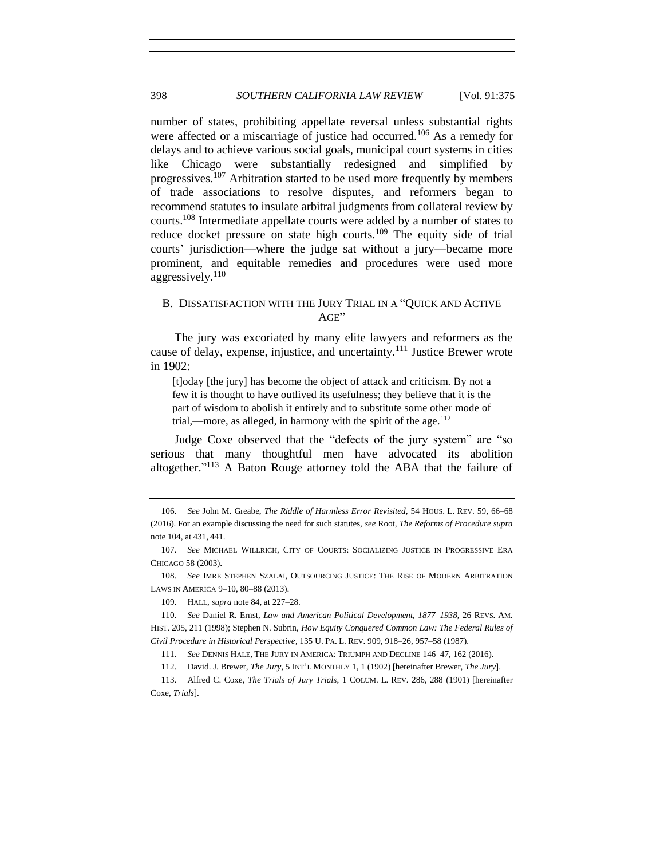<span id="page-23-3"></span>number of states, prohibiting appellate reversal unless substantial rights were affected or a miscarriage of justice had occurred.<sup>106</sup> As a remedy for delays and to achieve various social goals, municipal court systems in cities like Chicago were substantially redesigned and simplified by progressives.<sup>107</sup> Arbitration started to be used more frequently by members of trade associations to resolve disputes, and reformers began to recommend statutes to insulate arbitral judgments from collateral review by courts.<sup>108</sup> Intermediate appellate courts were added by a number of states to reduce docket pressure on state high courts.<sup>109</sup> The equity side of trial courts' jurisdiction—where the judge sat without a jury—became more prominent, and equitable remedies and procedures were used more aggressively. $110$ 

# <span id="page-23-0"></span>B. DISSATISFACTION WITH THE JURY TRIAL IN A "QUICK AND ACTIVE AGE"

The jury was excoriated by many elite lawyers and reformers as the cause of delay, expense, injustice, and uncertainty.<sup>111</sup> Justice Brewer wrote in 1902:

<span id="page-23-4"></span><span id="page-23-1"></span>[t]oday [the jury] has become the object of attack and criticism. By not a few it is thought to have outlived its usefulness; they believe that it is the part of wisdom to abolish it entirely and to substitute some other mode of trial,—more, as alleged, in harmony with the spirit of the age. $112$ 

<span id="page-23-2"></span>Judge Coxe observed that the "defects of the jury system" are "so serious that many thoughtful men have advocated its abolition altogether." <sup>113</sup> A Baton Rouge attorney told the ABA that the failure of

109. HALL, *supra* not[e 84,](#page-19-3) at 227–28.

111. *See* DENNIS HALE, THE JURY IN AMERICA: TRIUMPH AND DECLINE 146–47, 162 (2016).

113. Alfred C. Coxe, *The Trials of Jury Trials*, 1 COLUM. L. REV. 286, 288 (1901) [hereinafter Coxe, *Trials*].

<sup>106.</sup> *See* John M. Greabe, *The Riddle of Harmless Error Revisited*, 54 HOUS. L. REV. 59, 66–68 (2016). For an example discussing the need for such statutes, *see* Root, *The Reforms of Procedure supra* note [104,](#page-22-1) at 431, 441.

<sup>107.</sup> *See* MICHAEL WILLRICH, CITY OF COURTS: SOCIALIZING JUSTICE IN PROGRESSIVE ERA CHICAGO 58 (2003).

<sup>108.</sup> *See* IMRE STEPHEN SZALAI, OUTSOURCING JUSTICE: THE RISE OF MODERN ARBITRATION LAWS IN AMERICA 9–10, 80–88 (2013).

<sup>110.</sup> *See* Daniel R. Ernst, *Law and American Political Development, 1877*–*1938*, 26 REVS. AM. HIST. 205, 211 (1998); Stephen N. Subrin, *How Equity Conquered Common Law: The Federal Rules of Civil Procedure in Historical Perspective*, 135 U. PA. L. REV. 909, 918–26, 957–58 (1987).

<sup>112.</sup> David. J. Brewer, *The Jury*, 5 INT'L MONTHLY 1, 1 (1902) [hereinafter Brewer, *The Jury*].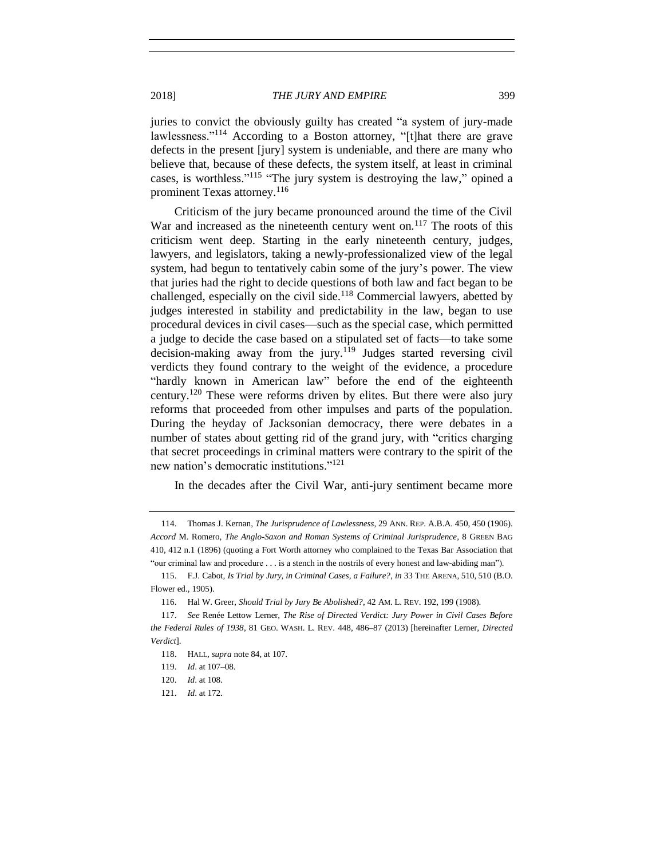2018] *THE JURY AND EMPIRE* 399

juries to convict the obviously guilty has created "a system of jury-made lawlessness."<sup>114</sup> According to a Boston attorney, "[t]hat there are grave defects in the present [jury] system is undeniable, and there are many who believe that, because of these defects, the system itself, at least in criminal cases, is worthless."<sup>115</sup> "The jury system is destroying the law," opined a prominent Texas attorney.<sup>116</sup>

<span id="page-24-1"></span><span id="page-24-0"></span>Criticism of the jury became pronounced around the time of the Civil War and increased as the nineteenth century went on. $117$  The roots of this criticism went deep. Starting in the early nineteenth century, judges, lawyers, and legislators, taking a newly-professionalized view of the legal system, had begun to tentatively cabin some of the jury's power. The view that juries had the right to decide questions of both law and fact began to be challenged, especially on the civil side.<sup>118</sup> Commercial lawyers, abetted by judges interested in stability and predictability in the law, began to use procedural devices in civil cases—such as the special case, which permitted a judge to decide the case based on a stipulated set of facts—to take some decision-making away from the jury.<sup>119</sup> Judges started reversing civil verdicts they found contrary to the weight of the evidence, a procedure "hardly known in American law" before the end of the eighteenth century.<sup>120</sup> These were reforms driven by elites. But there were also jury reforms that proceeded from other impulses and parts of the population. During the heyday of Jacksonian democracy, there were debates in a number of states about getting rid of the grand jury, with "critics charging that secret proceedings in criminal matters were contrary to the spirit of the new nation's democratic institutions."<sup>121</sup>

In the decades after the Civil War, anti-jury sentiment became more

121. *Id*. at 172.

<sup>114.</sup> Thomas J. Kernan, *The Jurisprudence of Lawlessness*, 29 ANN. REP. A.B.A. 450, 450 (1906). *Accord* M. Romero, *The Anglo-Saxon and Roman Systems of Criminal Jurisprudence*, 8 GREEN BAG 410, 412 n.1 (1896) (quoting a Fort Worth attorney who complained to the Texas Bar Association that "our criminal law and procedure . . . is a stench in the nostrils of every honest and law-abiding man").

<sup>115.</sup> F.J. Cabot, *Is Trial by Jury, in Criminal Cases, a Failure?*, *in* 33 THE ARENA, 510, 510 (B.O. Flower ed., 1905).

<sup>116.</sup> Hal W. Greer, *Should Trial by Jury Be Abolished?*, 42 AM. L. REV. 192, 199 (1908).

<sup>117.</sup> *See* Renée Lettow Lerner, *The Rise of Directed Verdict: Jury Power in Civil Cases Before the Federal Rules of 1938*, 81 GEO. WASH. L. REV. 448, 486–87 (2013) [hereinafter Lerner, *Directed Verdict*].

<sup>118.</sup> HALL, *supra* not[e 84,](#page-19-3) at 107.

<sup>119.</sup> *Id*. at 107–08.

<sup>120.</sup> *Id*. at 108.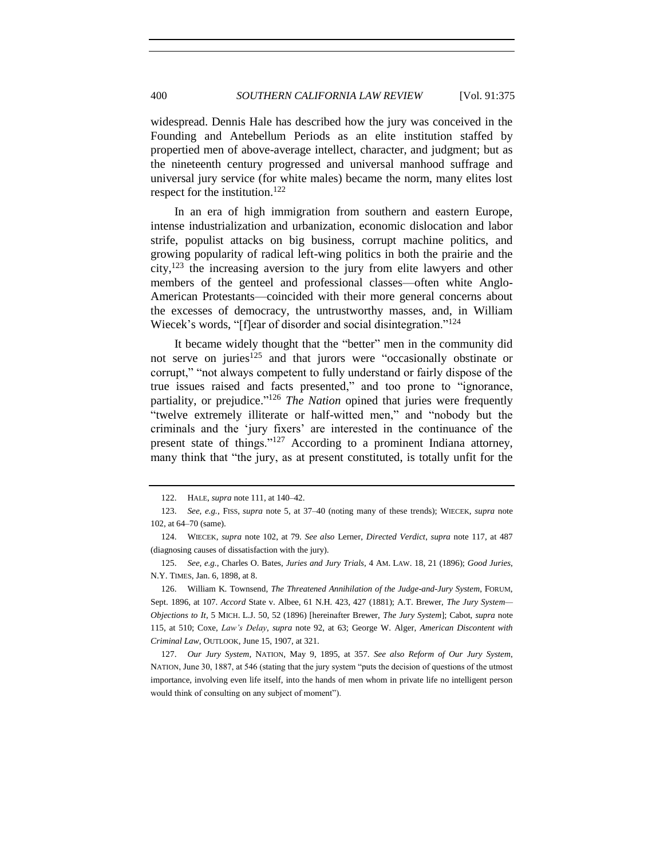widespread. Dennis Hale has described how the jury was conceived in the Founding and Antebellum Periods as an elite institution staffed by propertied men of above-average intellect, character, and judgment; but as the nineteenth century progressed and universal manhood suffrage and universal jury service (for white males) became the norm, many elites lost respect for the institution.<sup>122</sup>

In an era of high immigration from southern and eastern Europe, intense industrialization and urbanization, economic dislocation and labor strife, populist attacks on big business, corrupt machine politics, and growing popularity of radical left-wing politics in both the prairie and the city, $123$  the increasing aversion to the jury from elite lawyers and other members of the genteel and professional classes—often white Anglo-American Protestants—coincided with their more general concerns about the excesses of democracy, the untrustworthy masses, and, in William Wiecek's words, "[f]ear of disorder and social disintegration."<sup>124</sup>

<span id="page-25-1"></span><span id="page-25-0"></span>It became widely thought that the "better" men in the community did not serve on juries<sup>125</sup> and that jurors were "occasionally obstinate or corrupt," "not always competent to fully understand or fairly dispose of the true issues raised and facts presented," and too prone to "ignorance, partiality, or prejudice."<sup>126</sup> *The Nation* opined that juries were frequently "twelve extremely illiterate or half-witted men," and "nobody but the criminals and the 'jury fixers' are interested in the continuance of the present state of things." $127$  According to a prominent Indiana attorney, many think that "the jury, as at present constituted, is totally unfit for the

<sup>122.</sup> HALE, *supra* not[e 111,](#page-23-1) at 140–42.

<sup>123.</sup> *See, e.g.*, FISS, *supra* note [5,](#page-3-0) at 37–40 (noting many of these trends); WIECEK, *supra* note [102,](#page-22-0) at 64–70 (same).

<sup>124.</sup> WIECEK, *supra* note [102,](#page-22-0) at 79. *See also* Lerner, *Directed Verdict*, *supra* note [117,](#page-24-0) at 487 (diagnosing causes of dissatisfaction with the jury).

<sup>125.</sup> *See, e.g.*, Charles O. Bates, *Juries and Jury Trials*, 4 AM. LAW. 18, 21 (1896); *Good Juries*, N.Y. TIMES, Jan. 6, 1898, at 8.

<sup>126.</sup> William K. Townsend, *The Threatened Annihilation of the Judge-and-Jury System*, FORUM, Sept. 1896, at 107. *Accord* State v. Albee, 61 N.H. 423, 427 (1881); A.T. Brewer, *The Jury System— Objections to It*, 5 MICH. L.J. 50, 52 (1896) [hereinafter Brewer, *The Jury System*]; Cabot, *supra* note [115,](#page-24-1) at 510; Coxe, *Law's Delay*, *supra* note [92,](#page-20-0) at 63; George W. Alger, *American Discontent with Criminal Law*, OUTLOOK, June 15, 1907, at 321.

<sup>127.</sup> *Our Jury System*, NATION, May 9, 1895, at 357. *See also Reform of Our Jury System*, NATION, June 30, 1887, at 546 (stating that the jury system "puts the decision of questions of the utmost importance, involving even life itself, into the hands of men whom in private life no intelligent person would think of consulting on any subject of moment").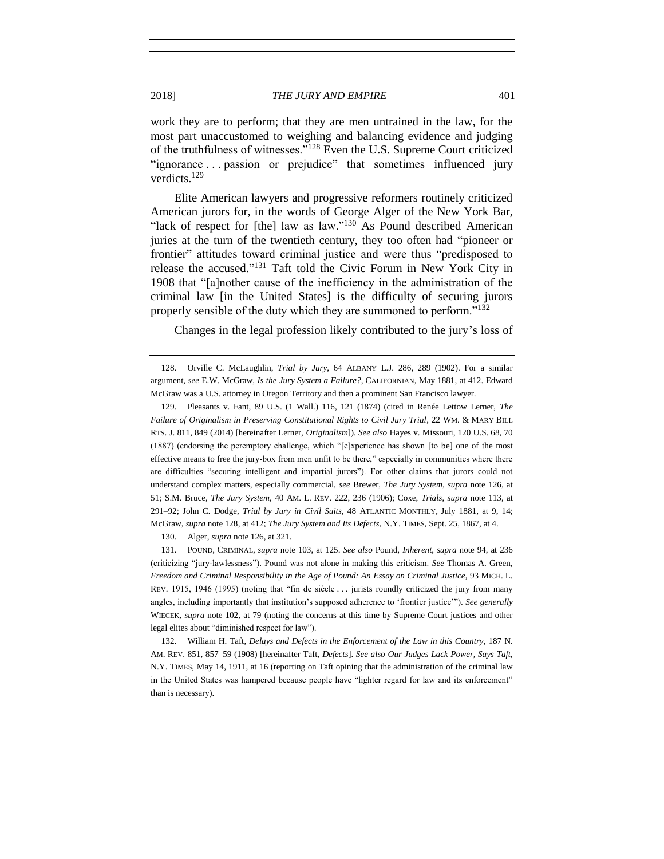<span id="page-26-0"></span>work they are to perform; that they are men untrained in the law, for the most part unaccustomed to weighing and balancing evidence and judging of the truthfulness of witnesses."<sup>128</sup> Even the U.S. Supreme Court criticized "ignorance . . . passion or prejudice" that sometimes influenced jury verdicts.<sup>129</sup>

<span id="page-26-2"></span>Elite American lawyers and progressive reformers routinely criticized American jurors for, in the words of George Alger of the New York Bar, "lack of respect for [the] law as law."<sup>130</sup> As Pound described American juries at the turn of the twentieth century, they too often had "pioneer or frontier" attitudes toward criminal justice and were thus "predisposed to release the accused."<sup>131</sup> Taft told the Civic Forum in New York City in 1908 that "[a]nother cause of the inefficiency in the administration of the criminal law [in the United States] is the difficulty of securing jurors properly sensible of the duty which they are summoned to perform."<sup>132</sup>

<span id="page-26-1"></span>Changes in the legal profession likely contributed to the jury's loss of

130. Alger, *supra* not[e 126,](#page-25-0) at 321.

131. POUND, CRIMINAL, *supra* note [103,](#page-22-2) at 125. *See also* Pound, *Inherent*, *supra* note [94,](#page-21-0) at 236 (criticizing "jury-lawlessness"). Pound was not alone in making this criticism. *See* Thomas A. Green, *Freedom and Criminal Responsibility in the Age of Pound: An Essay on Criminal Justice*, 93 MICH. L. REV. 1915, 1946 (1995) (noting that "fin de siècle . . . jurists roundly criticized the jury from many angles, including importantly that institution's supposed adherence to 'frontier justice'"). *See generally* WIECEK, *supra* note [102,](#page-22-0) at 79 (noting the concerns at this time by Supreme Court justices and other legal elites about "diminished respect for law").

132. William H. Taft, *Delays and Defects in the Enforcement of the Law in this Country*, 187 N. AM. REV. 851, 857–59 (1908) [hereinafter Taft, *Defects*]. *See also Our Judges Lack Power, Says Taft*, N.Y. TIMES, May 14, 1911, at 16 (reporting on Taft opining that the administration of the criminal law in the United States was hampered because people have "lighter regard for law and its enforcement" than is necessary).

<sup>128.</sup> Orville C. McLaughlin, *Trial by Jury*, 64 ALBANY L.J. 286, 289 (1902). For a similar argument, *see* E.W. McGraw, *Is the Jury System a Failure?*, CALIFORNIAN, May 1881, at 412. Edward McGraw was a U.S. attorney in Oregon Territory and then a prominent San Francisco lawyer.

<sup>129.</sup> Pleasants v. Fant, 89 U.S. (1 Wall.) 116, 121 (1874) (cited in Renée Lettow Lerner, *The Failure of Originalism in Preserving Constitutional Rights to Civil Jury Trial*, 22 WM. & MARY BILL RTS. J. 811, 849 (2014) [hereinafter Lerner, *Originalism*]). *See also* Hayes v. Missouri, 120 U.S. 68, 70 (1887) (endorsing the peremptory challenge, which "[e]xperience has shown [to be] one of the most effective means to free the jury-box from men unfit to be there," especially in communities where there are difficulties "securing intelligent and impartial jurors"). For other claims that jurors could not understand complex matters, especially commercial, *see* Brewer, *The Jury System*, *supra* note [126,](#page-25-0) at 51; S.M. Bruce, *The Jury System*, 40 AM. L. REV. 222, 236 (1906); Coxe, *Trials*, *supra* note [113,](#page-23-2) at 291–92; John C. Dodge, *Trial by Jury in Civil Suits*, 48 ATLANTIC MONTHLY, July 1881, at 9, 14; McGraw, *supra* not[e 128,](#page-26-0) at 412; *The Jury System and Its Defects*, N.Y. TIMES, Sept. 25, 1867, at 4.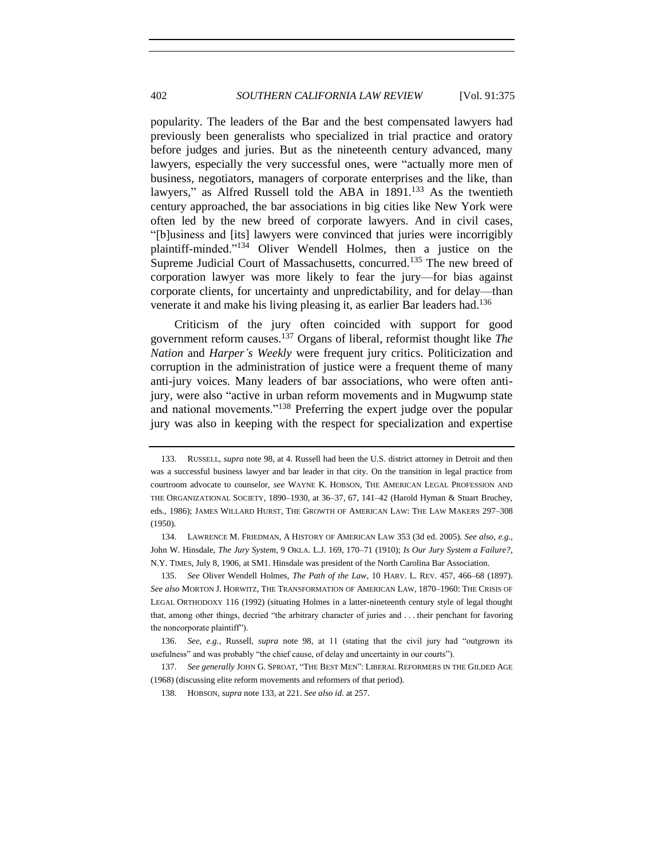<span id="page-27-0"></span>popularity. The leaders of the Bar and the best compensated lawyers had previously been generalists who specialized in trial practice and oratory before judges and juries. But as the nineteenth century advanced, many lawyers, especially the very successful ones, were "actually more men of business, negotiators, managers of corporate enterprises and the like, than lawyers," as Alfred Russell told the ABA in 1891.<sup>133</sup> As the twentieth century approached, the bar associations in big cities like New York were often led by the new breed of corporate lawyers. And in civil cases, "[b]usiness and [its] lawyers were convinced that juries were incorrigibly plaintiff-minded."<sup>134</sup> Oliver Wendell Holmes, then a justice on the Supreme Judicial Court of Massachusetts, concurred.<sup>135</sup> The new breed of corporation lawyer was more likely to fear the jury—for bias against corporate clients, for uncertainty and unpredictability, and for delay—than venerate it and make his living pleasing it, as earlier Bar leaders had.<sup>136</sup>

<span id="page-27-1"></span>Criticism of the jury often coincided with support for good government reform causes.<sup>137</sup> Organs of liberal, reformist thought like *The Nation* and *Harper's Weekly* were frequent jury critics. Politicization and corruption in the administration of justice were a frequent theme of many anti-jury voices. Many leaders of bar associations, who were often antijury, were also "active in urban reform movements and in Mugwump state and national movements."<sup>138</sup> Preferring the expert judge over the popular jury was also in keeping with the respect for specialization and expertise

<sup>133.</sup> RUSSELL, *supra* not[e 98,](#page-21-1) at 4. Russell had been the U.S. district attorney in Detroit and then was a successful business lawyer and bar leader in that city. On the transition in legal practice from courtroom advocate to counselor, *see* WAYNE K. HOBSON, THE AMERICAN LEGAL PROFESSION AND THE ORGANIZATIONAL SOCIETY, 1890–1930, at 36–37, 67, 141–42 (Harold Hyman & Stuart Bruchey, eds., 1986); JAMES WILLARD HURST, THE GROWTH OF AMERICAN LAW: THE LAW MAKERS 297–308 (1950).

<sup>134.</sup> LAWRENCE M. FRIEDMAN, A HISTORY OF AMERICAN LAW 353 (3d ed. 2005). *See also, e.g.*, John W. Hinsdale, *The Jury System*, 9 OKLA. L.J. 169, 170–71 (1910); *Is Our Jury System a Failure?*, N.Y. TIMES, July 8, 1906, at SM1. Hinsdale was president of the North Carolina Bar Association.

<sup>135.</sup> *See* Oliver Wendell Holmes, *The Path of the Law*, 10 HARV. L. REV. 457, 466–68 (1897). *See also* MORTON J. HORWITZ, THE TRANSFORMATION OF AMERICAN LAW, 1870–1960: THE CRISIS OF LEGAL ORTHODOXY 116 (1992) (situating Holmes in a latter-nineteenth century style of legal thought that, among other things, decried "the arbitrary character of juries and . . . their penchant for favoring the noncorporate plaintiff").

<sup>136.</sup> *See, e.g.*, Russell, *supra* note [98,](#page-21-1) at 11 (stating that the civil jury had "outgrown its usefulness" and was probably "the chief cause, of delay and uncertainty in our courts").

<sup>137.</sup> *See generally* JOHN G. SPROAT, "THE BEST MEN": LIBERAL REFORMERS IN THE GILDED AGE (1968) (discussing elite reform movements and reformers of that period).

<sup>138.</sup> HOBSON, *supra* note [133,](#page-27-0) at 221. *See also id*. at 257.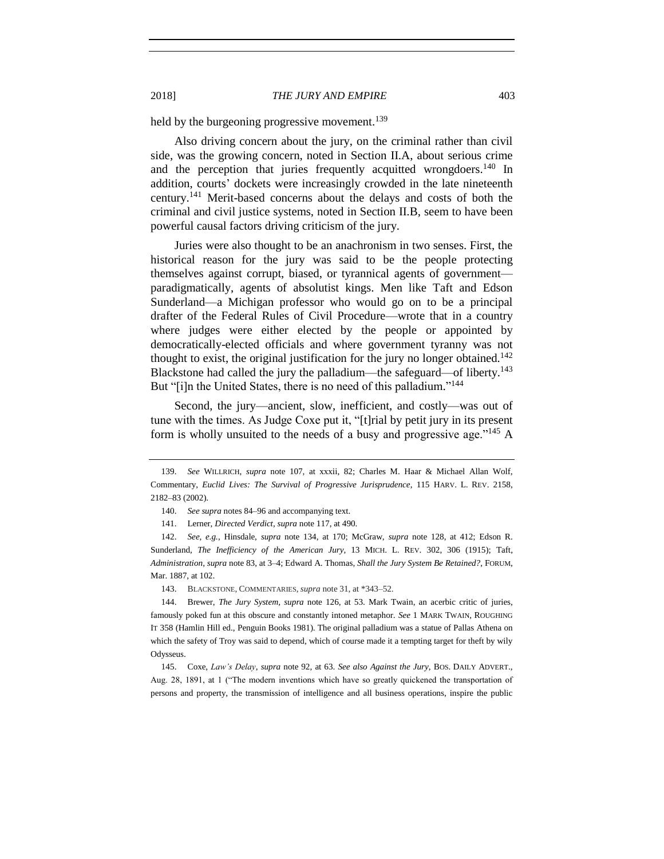held by the burgeoning progressive movement.<sup>139</sup>

Also driving concern about the jury, on the criminal rather than civil side, was the growing concern, noted in Section II.A, about serious crime and the perception that juries frequently acquitted wrongdoers.<sup>140</sup> In addition, courts' dockets were increasingly crowded in the late nineteenth century.<sup>141</sup> Merit-based concerns about the delays and costs of both the criminal and civil justice systems, noted in Section II.B, seem to have been powerful causal factors driving criticism of the jury.

Juries were also thought to be an anachronism in two senses. First, the historical reason for the jury was said to be the people protecting themselves against corrupt, biased, or tyrannical agents of government paradigmatically, agents of absolutist kings. Men like Taft and Edson Sunderland—a Michigan professor who would go on to be a principal drafter of the Federal Rules of Civil Procedure—wrote that in a country where judges were either elected by the people or appointed by democratically-elected officials and where government tyranny was not thought to exist, the original justification for the jury no longer obtained.<sup>142</sup> Blackstone had called the jury the palladium—the safeguard—of liberty.<sup>143</sup> But "[i]n the United States, there is no need of this palladium."<sup>144</sup>

<span id="page-28-1"></span>Second, the jury—ancient, slow, inefficient, and costly—was out of tune with the times. As Judge Coxe put it, "[t]rial by petit jury in its present form is wholly unsuited to the needs of a busy and progressive age."<sup>145</sup> A

143. BLACKSTONE, COMMENTARIES, *supra* not[e 31,](#page-9-0) at \*343–52.

<sup>139.</sup> *See* WILLRICH, *supra* note [107,](#page-23-3) at xxxii, 82; Charles M. Haar & Michael Allan Wolf, Commentary, *Euclid Lives: The Survival of Progressive Jurisprudence*, 115 HARV. L. REV. 2158, 2182–83 (2002).

<span id="page-28-0"></span><sup>140.</sup> *See supra* note[s 84](#page-19-3)[–96](#page-21-2) and accompanying text.

<sup>141.</sup> Lerner, *Directed Verdict*, *supra* note [117,](#page-24-0) at 490.

<sup>142.</sup> *See, e.g.*, Hinsdale, *supra* note [134,](#page-27-1) at 170; McGraw, *supra* note [128,](#page-26-0) at 412; Edson R. Sunderland, *The Inefficiency of the American Jury*, 13 MICH. L. REV. 302, 306 (1915); Taft, *Administration*, *supra* not[e 83,](#page-19-2) at 3–4; Edward A. Thomas, *Shall the Jury System Be Retained?*, FORUM, Mar. 1887, at 102.

<sup>144.</sup> Brewer, *The Jury System*, *supra* note [126,](#page-25-0) at 53. Mark Twain, an acerbic critic of juries, famously poked fun at this obscure and constantly intoned metaphor. *See* 1 MARK TWAIN, ROUGHING IT 358 (Hamlin Hill ed., Penguin Books 1981). The original palladium was a statue of Pallas Athena on which the safety of Troy was said to depend, which of course made it a tempting target for theft by wily Odysseus.

<sup>145.</sup> Coxe, *Law's Delay*, *supra* note [92,](#page-20-0) at 63. *See also Against the Jury*, BOS. DAILY ADVERT., Aug. 28, 1891, at 1 ("The modern inventions which have so greatly quickened the transportation of persons and property, the transmission of intelligence and all business operations, inspire the public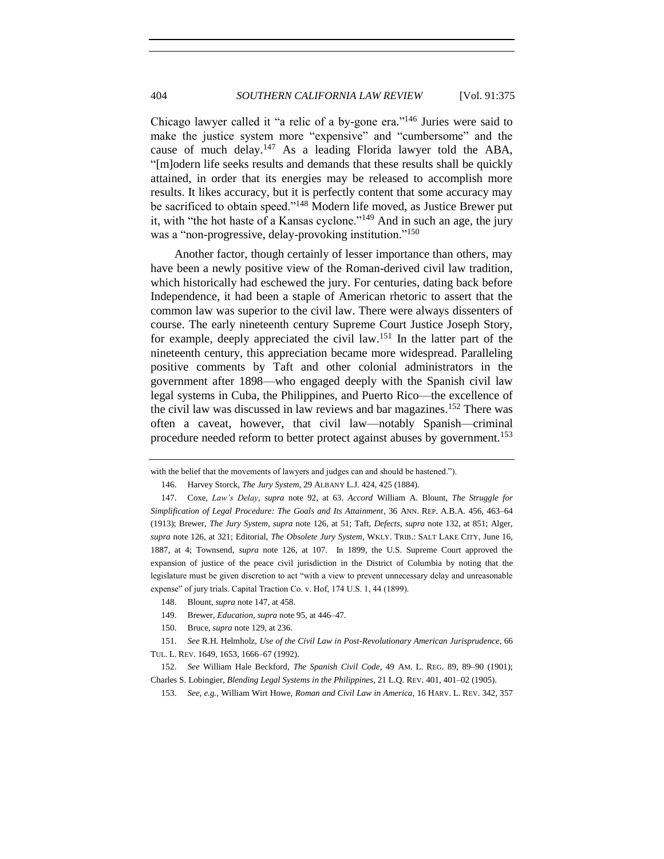<span id="page-29-0"></span>Chicago lawyer called it "a relic of a by-gone era."<sup>146</sup> Juries were said to make the justice system more "expensive" and "cumbersome" and the cause of much delay.<sup>147</sup> As a leading Florida lawyer told the ABA, "[m]odern life seeks results and demands that these results shall be quickly attained, in order that its energies may be released to accomplish more results. It likes accuracy, but it is perfectly content that some accuracy may be sacrificed to obtain speed."<sup>148</sup> Modern life moved, as Justice Brewer put it, with "the hot haste of a Kansas cyclone."<sup>149</sup> And in such an age, the jury was a "non-progressive, delay-provoking institution."<sup>150</sup>

Another factor, though certainly of lesser importance than others, may have been a newly positive view of the Roman-derived civil law tradition, which historically had eschewed the jury. For centuries, dating back before Independence, it had been a staple of American rhetoric to assert that the common law was superior to the civil law. There were always dissenters of course. The early nineteenth century Supreme Court Justice Joseph Story, for example, deeply appreciated the civil law.<sup>151</sup> In the latter part of the nineteenth century, this appreciation became more widespread. Paralleling positive comments by Taft and other colonial administrators in the government after 1898—who engaged deeply with the Spanish civil law legal systems in Cuba, the Philippines, and Puerto Rico—the excellence of the civil law was discussed in law reviews and bar magazines.<sup>152</sup> There was often a caveat, however, that civil law—notably Spanish—criminal procedure needed reform to better protect against abuses by government.<sup>153</sup>

- 148. Blount, *supra* note [147,](#page-29-0) at 458.
- 149. Brewer, *Education*, *supra* not[e 95,](#page-21-3) at 446–47.
- 150. Bruce, *supra* not[e 129,](#page-26-2) at 236.

with the belief that the movements of lawyers and judges can and should be hastened.").

<sup>146.</sup> Harvey Storck, *The Jury System*, 29 ALBANY L.J. 424, 425 (1884).

<sup>147.</sup> Coxe, *Law's Delay*, *supra* note [92,](#page-20-0) at 63. *Accord* William A. Blount, *The Struggle for Simplification of Legal Procedure: The Goals and Its Attainment*, 36 ANN. REP. A.B.A. 456, 463–64 (1913); Brewer, *The Jury System*, *supra* note [126,](#page-25-0) at 51; Taft, *Defects*, *supra* note [132,](#page-26-1) at 851; Alger, *supra* note [126,](#page-25-0) at 321; Editorial, *The Obsolete Jury System*, WKLY. TRIB.: SALT LAKE CITY, June 16, 1887, at 4; Townsend, *supra* note [126,](#page-25-0) at 107. In 1899, the U.S. Supreme Court approved the expansion of justice of the peace civil jurisdiction in the District of Columbia by noting that the legislature must be given discretion to act "with a view to prevent unnecessary delay and unreasonable expense" of jury trials. Capital Traction Co. v. Hof, 174 U.S. 1, 44 (1899).

<sup>151.</sup> *See* R.H. Helmholz, *Use of the Civil Law in Post-Revolutionary American Jurisprudence*, 66 TUL. L. REV. 1649, 1653, 1666–67 (1992).

<sup>152.</sup> *See* William Hale Beckford, *The Spanish Civil Code*, 49 AM. L. REG. 89, 89–90 (1901); Charles S. Lobingier, *Blending Legal Systems in the Philippines*, 21 L.Q. REV. 401, 401–02 (1905).

<sup>153.</sup> *See, e.g.*, William Wirt Howe, *Roman and Civil Law in America*, 16 HARV. L. REV. 342, 357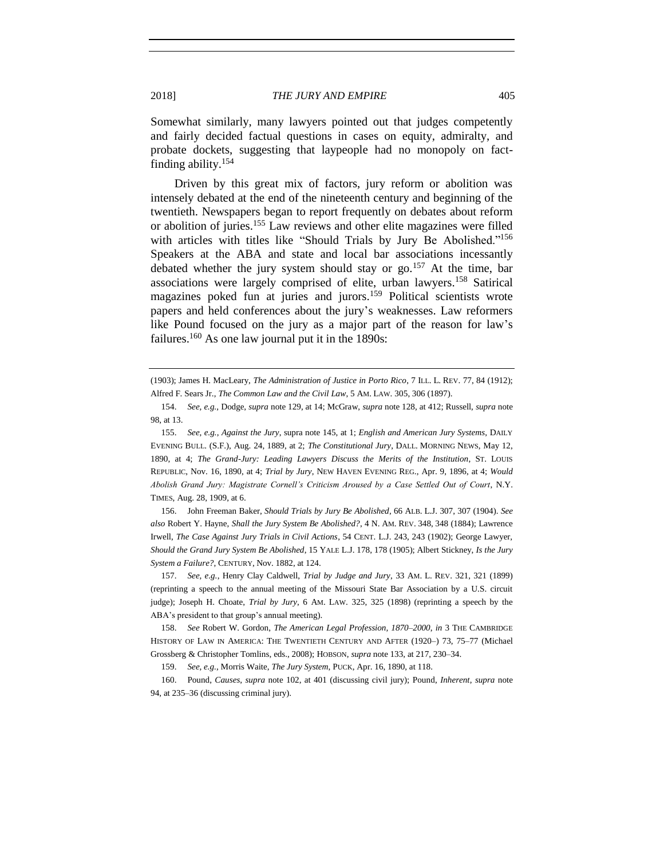<span id="page-30-0"></span>

Somewhat similarly, many lawyers pointed out that judges competently and fairly decided factual questions in cases on equity, admiralty, and probate dockets, suggesting that laypeople had no monopoly on factfinding ability.<sup>154</sup>

Driven by this great mix of factors, jury reform or abolition was intensely debated at the end of the nineteenth century and beginning of the twentieth. Newspapers began to report frequently on debates about reform or abolition of juries.<sup>155</sup> Law reviews and other elite magazines were filled with articles with titles like "Should Trials by Jury Be Abolished."<sup>156</sup> Speakers at the ABA and state and local bar associations incessantly debated whether the jury system should stay or go.<sup>157</sup> At the time, bar associations were largely comprised of elite, urban lawyers.<sup>158</sup> Satirical magazines poked fun at juries and jurors.<sup>159</sup> Political scientists wrote papers and held conferences about the jury's weaknesses. Law reformers like Pound focused on the jury as a major part of the reason for law's failures.<sup>160</sup> As one law journal put it in the 1890s:

155. *See, e.g.*, *Against the Jury*, supra not[e 145,](#page-28-0) at 1; *English and American Jury Systems*, DAILY EVENING BULL. (S.F.), Aug. 24, 1889, at 2; *The Constitutional Jury*, DALL. MORNING NEWS, May 12, 1890, at 4; *The Grand-Jury: Leading Lawyers Discuss the Merits of the Institution*, ST. LOUIS REPUBLIC, Nov. 16, 1890, at 4; *Trial by Jury*, NEW HAVEN EVENING REG., Apr. 9, 1896, at 4; *Would Abolish Grand Jury: Magistrate Cornell's Criticism Aroused by a Case Settled Out of Court*, N.Y. TIMES, Aug. 28, 1909, at 6.

156. John Freeman Baker, *Should Trials by Jury Be Abolished*, 66 ALB. L.J. 307, 307 (1904). *See also* Robert Y. Hayne, *Shall the Jury System Be Abolished?*, 4 N. AM. REV. 348, 348 (1884); Lawrence Irwell, *The Case Against Jury Trials in Civil Actions*, 54 CENT. L.J. 243, 243 (1902); George Lawyer, *Should the Grand Jury System Be Abolished*, 15 YALE L.J. 178, 178 (1905); Albert Stickney, *Is the Jury System a Failure?*, CENTURY, Nov. 1882, at 124.

157. *See, e.g.*, Henry Clay Caldwell, *Trial by Judge and Jury*, 33 AM. L. REV. 321, 321 (1899) (reprinting a speech to the annual meeting of the Missouri State Bar Association by a U.S. circuit judge); Joseph H. Choate, *Trial by Jury*, 6 AM. LAW. 325, 325 (1898) (reprinting a speech by the ABA's president to that group's annual meeting).

158. *See* Robert W. Gordon, *The American Legal Profession, 1870–2000*, *in* 3 THE CAMBRIDGE HISTORY OF LAW IN AMERICA: THE TWENTIETH CENTURY AND AFTER (1920–) 73, 75–77 (Michael Grossberg & Christopher Tomlins, eds., 2008); HOBSON, *supra* not[e 133,](#page-27-0) at 217, 230–34.

159. *See, e.g.*, Morris Waite, *The Jury System*, PUCK, Apr. 16, 1890, at 118.

160. Pound, *Causes*, *supra* note [102,](#page-22-0) at 401 (discussing civil jury); Pound, *Inherent*, *supra* note [94,](#page-21-0) at 235–36 (discussing criminal jury).

<sup>(1903);</sup> James H. MacLeary, *The Administration of Justice in Porto Rico*, 7 ILL. L. REV. 77, 84 (1912); Alfred F. Sears Jr., *The Common Law and the Civil Law*, 5 AM. LAW. 305, 306 (1897).

<sup>154.</sup> *See, e.g.*, Dodge, *supra* not[e 129,](#page-26-2) at 14; McGraw, *supra* note [128,](#page-26-0) at 412; Russell, *supra* note [98,](#page-21-1) at 13.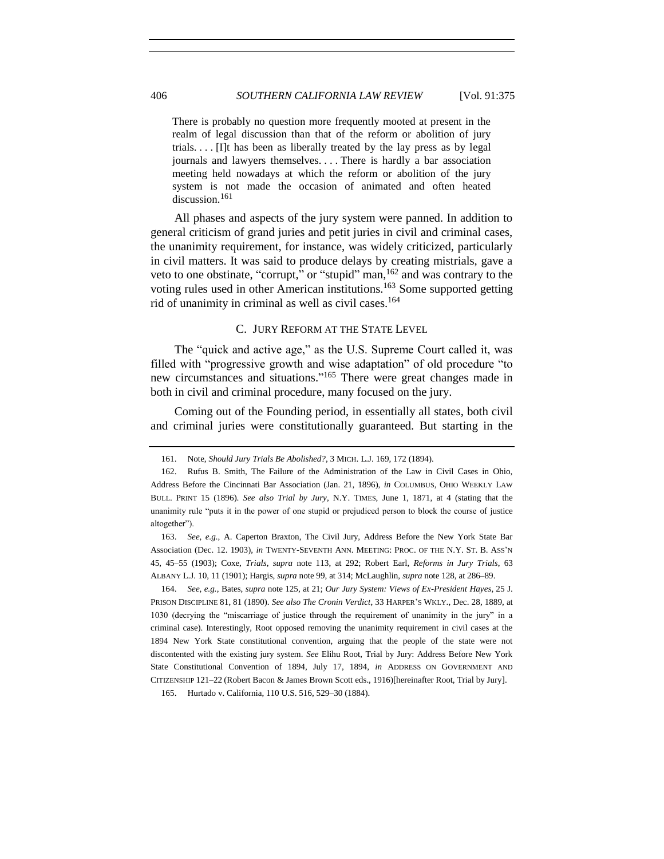There is probably no question more frequently mooted at present in the realm of legal discussion than that of the reform or abolition of jury trials. . . . [I]t has been as liberally treated by the lay press as by legal journals and lawyers themselves. . . . There is hardly a bar association meeting held nowadays at which the reform or abolition of the jury system is not made the occasion of animated and often heated discussion.<sup>161</sup>

All phases and aspects of the jury system were panned. In addition to general criticism of grand juries and petit juries in civil and criminal cases, the unanimity requirement, for instance, was widely criticized, particularly in civil matters. It was said to produce delays by creating mistrials, gave a veto to one obstinate, "corrupt," or "stupid" man,  $^{162}$  and was contrary to the voting rules used in other American institutions.<sup>163</sup> Some supported getting rid of unanimity in criminal as well as civil cases.<sup>164</sup>

#### C. JURY REFORM AT THE STATE LEVEL

<span id="page-31-0"></span>The "quick and active age," as the U.S. Supreme Court called it, was filled with "progressive growth and wise adaptation" of old procedure "to new circumstances and situations."<sup>165</sup> There were great changes made in both in civil and criminal procedure, many focused on the jury.

Coming out of the Founding period, in essentially all states, both civil and criminal juries were constitutionally guaranteed. But starting in the

164. *See, e.g.*, Bates, *supra* note [125,](#page-25-1) at 21; *Our Jury System: Views of Ex-President Hayes*, 25 J. PRISON DISCIPLINE 81, 81 (1890). *See also The Cronin Verdict*, 33 HARPER'S WKLY., Dec. 28, 1889, at 1030 (decrying the "miscarriage of justice through the requirement of unanimity in the jury" in a criminal case). Interestingly, Root opposed removing the unanimity requirement in civil cases at the 1894 New York State constitutional convention, arguing that the people of the state were not discontented with the existing jury system. *See* Elihu Root, Trial by Jury: Address Before New York State Constitutional Convention of 1894, July 17, 1894, *in* ADDRESS ON GOVERNMENT AND CITIZENSHIP 121–22 (Robert Bacon & James Brown Scott eds., 1916)[hereinafter Root, Trial by Jury].

<sup>161.</sup> Note, *Should Jury Trials Be Abolished?*, 3 MICH. L.J. 169, 172 (1894).

<sup>162.</sup> Rufus B. Smith, The Failure of the Administration of the Law in Civil Cases in Ohio, Address Before the Cincinnati Bar Association (Jan. 21, 1896), *in* COLUMBUS, OHIO WEEKLY LAW BULL. PRINT 15 (1896). *See also Trial by Jury*, N.Y. TIMES, June 1, 1871, at 4 (stating that the unanimity rule "puts it in the power of one stupid or prejudiced person to block the course of justice altogether").

<sup>163.</sup> *See, e.g.*, A. Caperton Braxton, The Civil Jury, Address Before the New York State Bar Association (Dec. 12. 1903), *in* TWENTY-SEVENTH ANN. MEETING: PROC. OF THE N.Y. ST. B. ASS'N 45, 45–55 (1903); Coxe, *Trials*, *supra* note [113,](#page-23-2) at 292; Robert Earl, *Reforms in Jury Trials*, 63 ALBANY L.J. 10, 11 (1901); Hargis, *supra* not[e 99,](#page-21-4) at 314; McLaughlin, *supra* not[e 128,](#page-26-0) at 286–89.

<sup>165.</sup> Hurtado v. California, 110 U.S. 516, 529–30 (1884).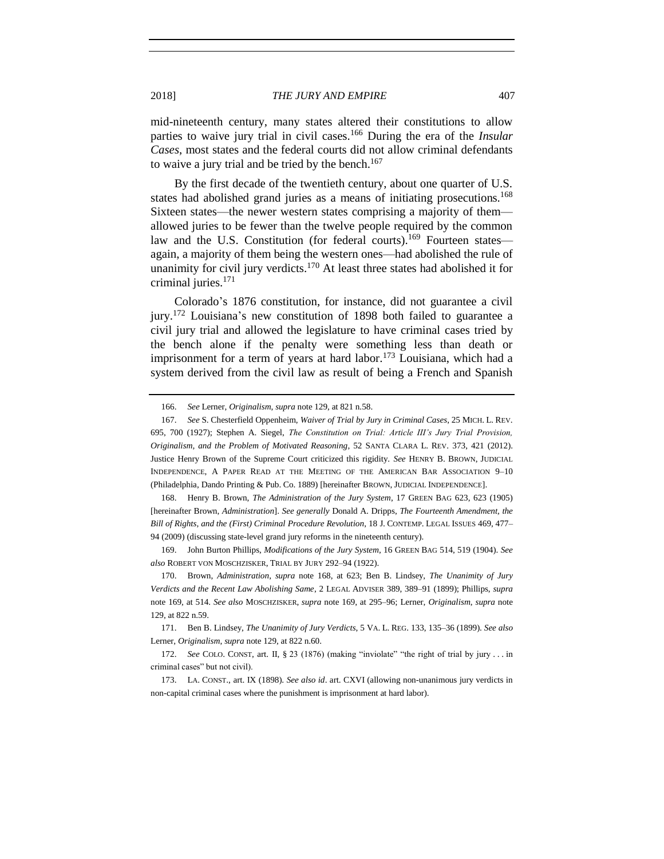mid-nineteenth century, many states altered their constitutions to allow

parties to waive jury trial in civil cases.<sup>166</sup> During the era of the *Insular Cases*, most states and the federal courts did not allow criminal defendants to waive a jury trial and be tried by the bench. $167$ 

<span id="page-32-2"></span><span id="page-32-1"></span><span id="page-32-0"></span>By the first decade of the twentieth century, about one quarter of U.S. states had abolished grand juries as a means of initiating prosecutions.<sup>168</sup> Sixteen states—the newer western states comprising a majority of them allowed juries to be fewer than the twelve people required by the common law and the U.S. Constitution (for federal courts).<sup>169</sup> Fourteen states again, a majority of them being the western ones—had abolished the rule of unanimity for civil jury verdicts.<sup>170</sup> At least three states had abolished it for criminal juries.<sup>171</sup>

Colorado's 1876 constitution, for instance, did not guarantee a civil jury.<sup>172</sup> Louisiana's new constitution of 1898 both failed to guarantee a civil jury trial and allowed the legislature to have criminal cases tried by the bench alone if the penalty were something less than death or imprisonment for a term of years at hard labor.<sup>173</sup> Louisiana, which had a system derived from the civil law as result of being a French and Spanish

168. Henry B. Brown, *The Administration of the Jury System*, 17 GREEN BAG 623, 623 (1905) [hereinafter Brown, *Administration*]. *See generally* Donald A. Dripps, *The Fourteenth Amendment, the Bill of Rights, and the (First) Criminal Procedure Revolution*, 18 J. CONTEMP. LEGAL ISSUES 469, 477– 94 (2009) (discussing state-level grand jury reforms in the nineteenth century).

169. John Burton Phillips, *Modifications of the Jury System*, 16 GREEN BAG 514, 519 (1904). *See also* ROBERT VON MOSCHZISKER, TRIAL BY JURY 292–94 (1922).

170. Brown, *Administration*, *supra* note [168,](#page-32-0) at 623; Ben B. Lindsey, *The Unanimity of Jury Verdicts and the Recent Law Abolishing Same*, 2 LEGAL ADVISER 389, 389–91 (1899); Phillips, *supra* note [169,](#page-32-1) at 514. *See also* MOSCHZISKER, *supra* note [169,](#page-32-1) at 295–96; Lerner, *Originalism*, *supra* note [129,](#page-26-2) at 822 n.59.

171. Ben B. Lindsey, *The Unanimity of Jury Verdicts*, 5 VA. L. REG. 133, 135–36 (1899). *See also* Lerner, *Originalism*, *supra* not[e 129,](#page-26-2) at 822 n.60.

172. *See* COLO. CONST, art. II, § 23 (1876) (making "inviolate" "the right of trial by jury . . . in criminal cases" but not civil).

173. LA. CONST., art. IX (1898). *See also id*. art. CXVI (allowing non-unanimous jury verdicts in non-capital criminal cases where the punishment is imprisonment at hard labor).

<sup>166.</sup> *See* Lerner, *Originalism*, *supra* not[e 129,](#page-26-2) at 821 n.58.

<sup>167.</sup> *See* S. Chesterfield Oppenheim, *Waiver of Trial by Jury in Criminal Cases*, 25 MICH. L. REV. 695, 700 (1927); Stephen A. Siegel, *The Constitution on Trial: Article III's Jury Trial Provision, Originalism, and the Problem of Motivated Reasoning*, 52 SANTA CLARA L. REV. 373, 421 (2012). Justice Henry Brown of the Supreme Court criticized this rigidity. *See* HENRY B. BROWN, JUDICIAL INDEPENDENCE, A PAPER READ AT THE MEETING OF THE AMERICAN BAR ASSOCIATION 9–10 (Philadelphia, Dando Printing & Pub. Co. 1889) [hereinafter BROWN, JUDICIAL INDEPENDENCE].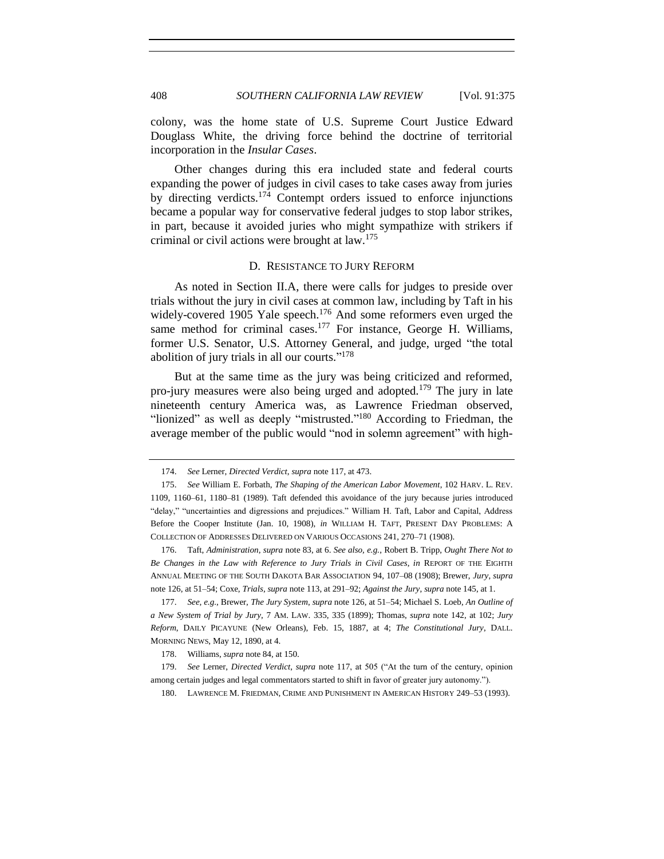colony, was the home state of U.S. Supreme Court Justice Edward Douglass White, the driving force behind the doctrine of territorial incorporation in the *Insular Cases*.

Other changes during this era included state and federal courts expanding the power of judges in civil cases to take cases away from juries by directing verdicts.<sup>174</sup> Contempt orders issued to enforce injunctions became a popular way for conservative federal judges to stop labor strikes, in part, because it avoided juries who might sympathize with strikers if criminal or civil actions were brought at law.<sup>175</sup>

#### D. RESISTANCE TO JURY REFORM

<span id="page-33-0"></span>As noted in Section II.A, there were calls for judges to preside over trials without the jury in civil cases at common law, including by Taft in his widely-covered 1905 Yale speech.<sup>176</sup> And some reformers even urged the same method for criminal cases. $177$  For instance, George H. Williams, former U.S. Senator, U.S. Attorney General, and judge, urged "the total abolition of jury trials in all our courts."<sup>178</sup>

But at the same time as the jury was being criticized and reformed, pro-jury measures were also being urged and adopted.<sup>179</sup> The jury in late nineteenth century America was, as Lawrence Friedman observed, "lionized" as well as deeply "mistrusted."<sup>180</sup> According to Friedman, the average member of the public would "nod in solemn agreement" with high-

<sup>174.</sup> *See* Lerner, *Directed Verdict*, *supra* not[e 117,](#page-24-0) at 473.

<sup>175.</sup> *See* William E. Forbath, *The Shaping of the American Labor Movement*, 102 HARV. L. REV. 1109, 1160–61, 1180–81 (1989). Taft defended this avoidance of the jury because juries introduced "delay," "uncertainties and digressions and prejudices." William H. Taft, Labor and Capital, Address Before the Cooper Institute (Jan. 10, 1908), *in* WILLIAM H. TAFT, PRESENT DAY PROBLEMS: A COLLECTION OF ADDRESSES DELIVERED ON VARIOUS OCCASIONS 241, 270–71 (1908).

<sup>176.</sup> Taft, *Administration*, *supra* not[e 83,](#page-19-2) at 6. *See also, e.g.*, Robert B. Tripp, *Ought There Not to Be Changes in the Law with Reference to Jury Trials in Civil Cases*, *in* REPORT OF THE EIGHTH ANNUAL MEETING OF THE SOUTH DAKOTA BAR ASSOCIATION 94, 107–08 (1908); Brewer, *Jury*, *supra* note [126,](#page-25-0) at 51–54; Coxe, *Trials*, *supra* note [113,](#page-23-2) at 291–92; *Against the Jury*, *supra* not[e 145,](#page-28-0) at 1.

<sup>177.</sup> *See, e.g.*, Brewer, *The Jury System*, *supra* not[e 126,](#page-25-0) at 51–54; Michael S. Loeb, *An Outline of a New System of Trial by Jury*, 7 AM. LAW. 335, 335 (1899); Thomas, *supra* note [142,](#page-28-1) at 102; *Jury Reform*, DAILY PICAYUNE (New Orleans), Feb. 15, 1887, at 4; *The Constitutional Jury*, DALL. MORNING NEWS, May 12, 1890, at 4.

<sup>178.</sup> Williams, *supra* not[e 84,](#page-19-3) at 150.

<sup>179.</sup> *See* Lerner, *Directed Verdict*, *supra* note [117,](#page-24-0) at 505 ("At the turn of the century, opinion among certain judges and legal commentators started to shift in favor of greater jury autonomy.").

<sup>180.</sup> LAWRENCE M. FRIEDMAN, CRIME AND PUNISHMENT IN AMERICAN HISTORY 249–53 (1993).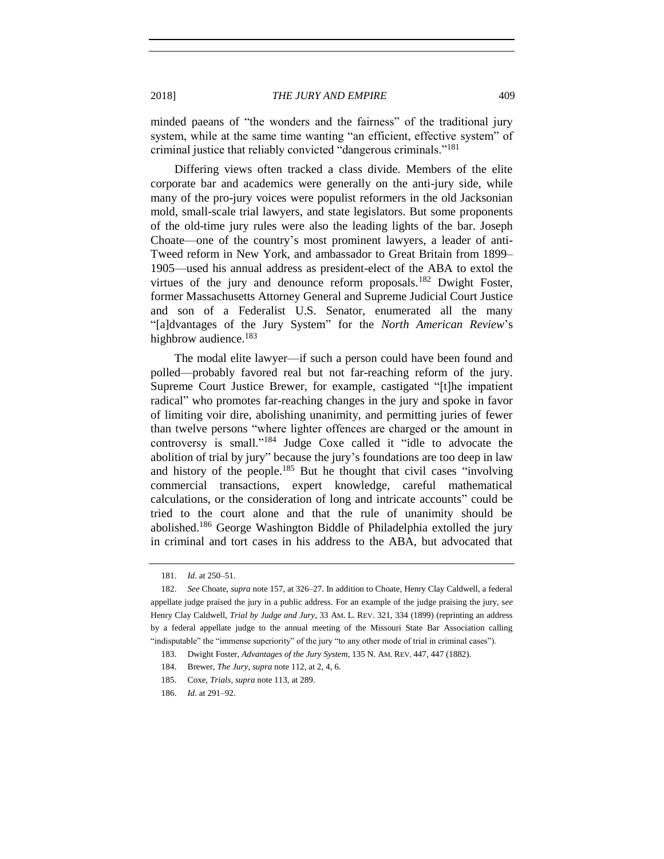minded paeans of "the wonders and the fairness" of the traditional jury system, while at the same time wanting "an efficient, effective system" of criminal justice that reliably convicted "dangerous criminals."<sup>181</sup>

Differing views often tracked a class divide. Members of the elite corporate bar and academics were generally on the anti-jury side, while many of the pro-jury voices were populist reformers in the old Jacksonian mold, small-scale trial lawyers, and state legislators. But some proponents of the old-time jury rules were also the leading lights of the bar. Joseph Choate—one of the country's most prominent lawyers, a leader of anti-Tweed reform in New York, and ambassador to Great Britain from 1899– 1905—used his annual address as president-elect of the ABA to extol the virtues of the jury and denounce reform proposals.<sup>182</sup> Dwight Foster, former Massachusetts Attorney General and Supreme Judicial Court Justice and son of a Federalist U.S. Senator, enumerated all the many "[a]dvantages of the Jury System" for the *North American Review*'s highbrow audience.<sup>183</sup>

The modal elite lawyer—if such a person could have been found and polled—probably favored real but not far-reaching reform of the jury. Supreme Court Justice Brewer, for example, castigated "[t]he impatient radical" who promotes far-reaching changes in the jury and spoke in favor of limiting voir dire, abolishing unanimity, and permitting juries of fewer than twelve persons "where lighter offences are charged or the amount in controversy is small."<sup>184</sup> Judge Coxe called it "idle to advocate the abolition of trial by jury" because the jury's foundations are too deep in law and history of the people.<sup>185</sup> But he thought that civil cases "involving" commercial transactions, expert knowledge, careful mathematical calculations, or the consideration of long and intricate accounts" could be tried to the court alone and that the rule of unanimity should be abolished.<sup>186</sup> George Washington Biddle of Philadelphia extolled the jury in criminal and tort cases in his address to the ABA, but advocated that

<sup>181.</sup> *Id*. at 250–51.

<sup>182.</sup> *See* Choate, *supra* not[e 157,](#page-30-0) at 326–27. In addition to Choate, Henry Clay Caldwell, a federal appellate judge praised the jury in a public address. For an example of the judge praising the jury, s*ee*  Henry Clay Caldwell, *Trial by Judge and Jury*, 33 AM. L. REV. 321, 334 (1899) (reprinting an address by a federal appellate judge to the annual meeting of the Missouri State Bar Association calling "indisputable" the "immense superiority" of the jury "to any other mode of trial in criminal cases").

<sup>183.</sup> Dwight Foster, *Advantages of the Jury System*, 135 N. AM. REV. 447, 447 (1882).

<sup>184.</sup> Brewer, *The Jury*, *supra* note [112,](#page-23-4) at 2, 4, 6.

<sup>185.</sup> Coxe, *Trials*, *supra* not[e 113,](#page-23-2) at 289.

<sup>186.</sup> *Id*. at 291–92.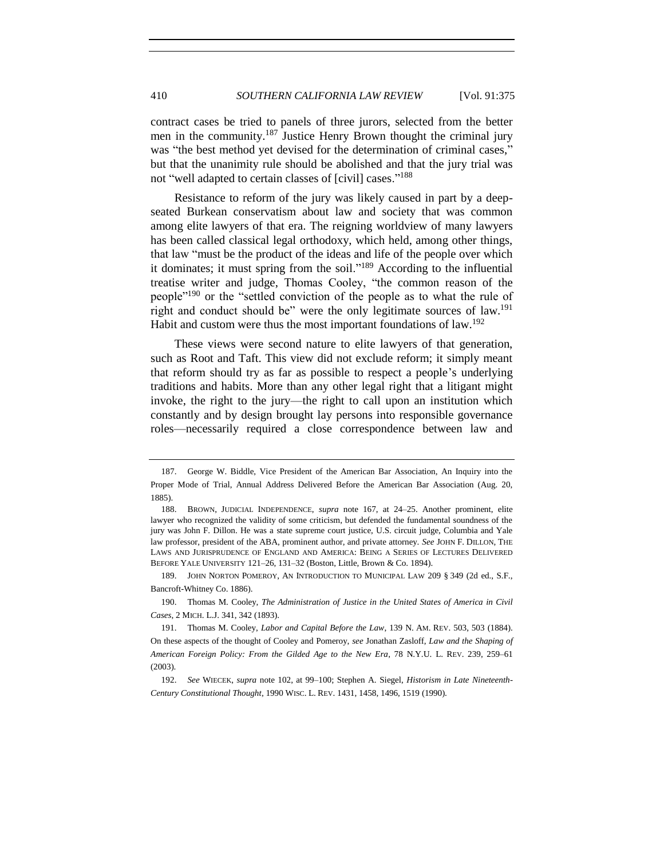contract cases be tried to panels of three jurors, selected from the better men in the community.<sup>187</sup> Justice Henry Brown thought the criminal jury was "the best method yet devised for the determination of criminal cases," but that the unanimity rule should be abolished and that the jury trial was not "well adapted to certain classes of [civil] cases."<sup>188</sup>

Resistance to reform of the jury was likely caused in part by a deepseated Burkean conservatism about law and society that was common among elite lawyers of that era. The reigning worldview of many lawyers has been called classical legal orthodoxy, which held, among other things, that law "must be the product of the ideas and life of the people over which it dominates; it must spring from the soil."<sup>189</sup> According to the influential treatise writer and judge, Thomas Cooley, "the common reason of the people<sup>"190</sup> or the "settled conviction of the people as to what the rule of right and conduct should be" were the only legitimate sources of law.<sup>191</sup> Habit and custom were thus the most important foundations of law.<sup>192</sup>

These views were second nature to elite lawyers of that generation, such as Root and Taft. This view did not exclude reform; it simply meant that reform should try as far as possible to respect a people's underlying traditions and habits. More than any other legal right that a litigant might invoke, the right to the jury—the right to call upon an institution which constantly and by design brought lay persons into responsible governance roles—necessarily required a close correspondence between law and

190. Thomas M. Cooley, *The Administration of Justice in the United States of America in Civil Cases*, 2 MICH. L.J. 341, 342 (1893).

<sup>187.</sup> George W. Biddle, Vice President of the American Bar Association, An Inquiry into the Proper Mode of Trial, Annual Address Delivered Before the American Bar Association (Aug. 20, 1885).

<sup>188.</sup> BROWN, JUDICIAL INDEPENDENCE, *supra* note [167,](#page-32-2) at 24–25. Another prominent, elite lawyer who recognized the validity of some criticism, but defended the fundamental soundness of the jury was John F. Dillon. He was a state supreme court justice, U.S. circuit judge, Columbia and Yale law professor, president of the ABA, prominent author, and private attorney. *See* JOHN F. DILLON, THE LAWS AND JURISPRUDENCE OF ENGLAND AND AMERICA: BEING A SERIES OF LECTURES DELIVERED BEFORE YALE UNIVERSITY 121–26, 131–32 (Boston, Little, Brown & Co. 1894).

<sup>189.</sup> JOHN NORTON POMEROY, AN INTRODUCTION TO MUNICIPAL LAW 209 § 349 (2d ed., S.F., Bancroft-Whitney Co. 1886).

<sup>191.</sup> Thomas M. Cooley, *Labor and Capital Before the Law*, 139 N. AM. REV. 503, 503 (1884). On these aspects of the thought of Cooley and Pomeroy, *see* Jonathan Zasloff, *Law and the Shaping of American Foreign Policy: From the Gilded Age to the New Era*, 78 N.Y.U. L. REV. 239, 259–61 (2003).

<sup>192.</sup> *See* WIECEK, *supra* note [102,](#page-22-0) at 99–100; Stephen A. Siegel, *Historism in Late Nineteenth-Century Constitutional Thought*, 1990 WISC. L. REV. 1431, 1458, 1496, 1519 (1990).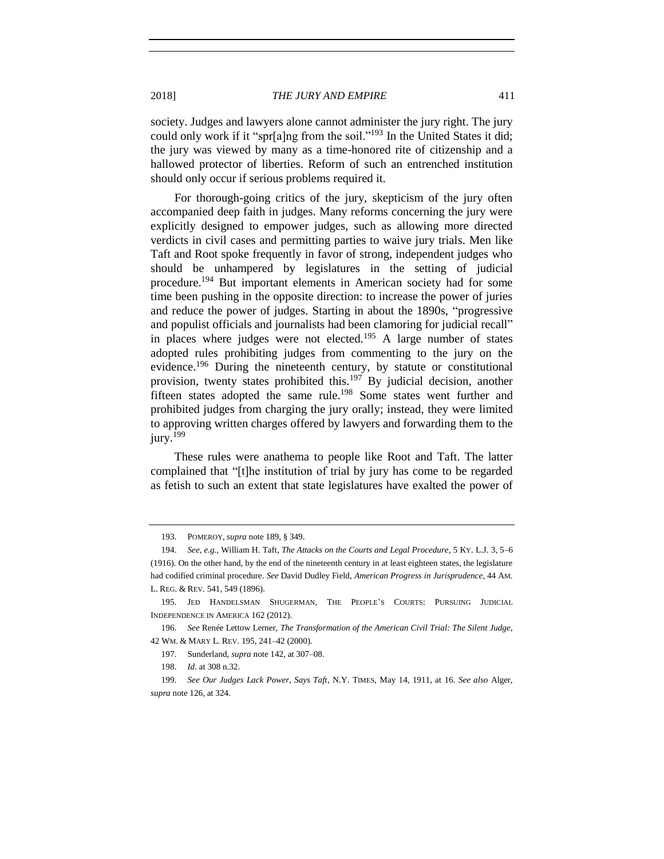2018] *THE JURY AND EMPIRE* 411

society. Judges and lawyers alone cannot administer the jury right. The jury could only work if it "spr[a]ng from the soil."<sup>193</sup> In the United States it did; the jury was viewed by many as a time-honored rite of citizenship and a hallowed protector of liberties. Reform of such an entrenched institution should only occur if serious problems required it.

For thorough-going critics of the jury, skepticism of the jury often accompanied deep faith in judges. Many reforms concerning the jury were explicitly designed to empower judges, such as allowing more directed verdicts in civil cases and permitting parties to waive jury trials. Men like Taft and Root spoke frequently in favor of strong, independent judges who should be unhampered by legislatures in the setting of judicial procedure.<sup>194</sup> But important elements in American society had for some time been pushing in the opposite direction: to increase the power of juries and reduce the power of judges. Starting in about the 1890s, "progressive and populist officials and journalists had been clamoring for judicial recall" in places where judges were not elected.<sup>195</sup> A large number of states adopted rules prohibiting judges from commenting to the jury on the evidence.<sup>196</sup> During the nineteenth century, by statute or constitutional provision, twenty states prohibited this.<sup>197</sup> By judicial decision, another fifteen states adopted the same rule.<sup>198</sup> Some states went further and prohibited judges from charging the jury orally; instead, they were limited to approving written charges offered by lawyers and forwarding them to the jury.<sup>199</sup>

<span id="page-36-0"></span>These rules were anathema to people like Root and Taft. The latter complained that "[t]he institution of trial by jury has come to be regarded as fetish to such an extent that state legislatures have exalted the power of

<sup>193.</sup> POMEROY, *supra* not[e 189,](#page-35-0) § 349.

<sup>194.</sup> *See, e.g.*, William H. Taft, *The Attacks on the Courts and Legal Procedure*, 5 KY. L.J. 3, 5–6 (1916). On the other hand, by the end of the nineteenth century in at least eighteen states, the legislature had codified criminal procedure. *See* David Dudley Field, *American Progress in Jurisprudence*, 44 AM. L. REG. & REV. 541, 549 (1896).

<sup>195.</sup> JED HANDELSMAN SHUGERMAN, THE PEOPLE'S COURTS: PURSUING JUDICIAL INDEPENDENCE IN AMERICA 162 (2012).

<sup>196.</sup> *See* Renée Lettow Lerner, *The Transformation of the American Civil Trial: The Silent Judge*, 42 WM. & MARY L. REV. 195, 241–42 (2000).

<sup>197.</sup> Sunderland, *supra* not[e 142,](#page-28-0) at 307–08.

<sup>198.</sup> *Id*. at 308 n.32.

<sup>199.</sup> *See Our Judges Lack Power, Says Taft*, N.Y. TIMES, May 14, 1911, at 16. *See also* Alger, *supra* not[e 126,](#page-25-0) at 324.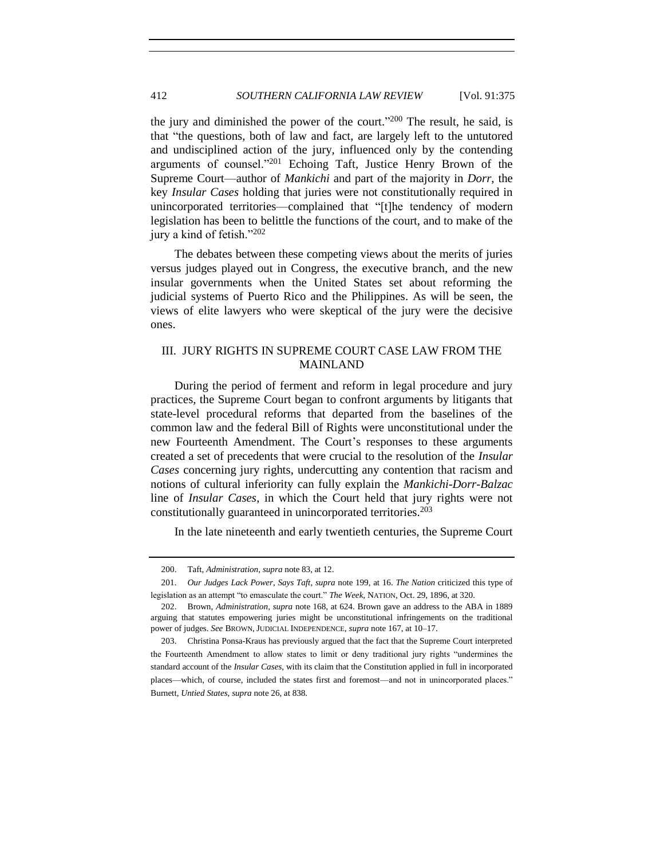the jury and diminished the power of the court." <sup>200</sup> The result, he said, is that "the questions, both of law and fact, are largely left to the untutored and undisciplined action of the jury, influenced only by the contending arguments of counsel."<sup>201</sup> Echoing Taft, Justice Henry Brown of the Supreme Court—author of *Mankichi* and part of the majority in *Dorr*, the key *Insular Cases* holding that juries were not constitutionally required in unincorporated territories—complained that "[t]he tendency of modern legislation has been to belittle the functions of the court, and to make of the jury a kind of fetish."<sup>202</sup>

The debates between these competing views about the merits of juries versus judges played out in Congress, the executive branch, and the new insular governments when the United States set about reforming the judicial systems of Puerto Rico and the Philippines. As will be seen, the views of elite lawyers who were skeptical of the jury were the decisive ones.

# III. JURY RIGHTS IN SUPREME COURT CASE LAW FROM THE MAINLAND

During the period of ferment and reform in legal procedure and jury practices, the Supreme Court began to confront arguments by litigants that state-level procedural reforms that departed from the baselines of the common law and the federal Bill of Rights were unconstitutional under the new Fourteenth Amendment. The Court's responses to these arguments created a set of precedents that were crucial to the resolution of the *Insular Cases* concerning jury rights, undercutting any contention that racism and notions of cultural inferiority can fully explain the *Mankichi*-*Dorr-Balzac* line of *Insular Cases*, in which the Court held that jury rights were not constitutionally guaranteed in unincorporated territories. 203

In the late nineteenth and early twentieth centuries, the Supreme Court

<sup>200.</sup> Taft, *Administration*, *supra* not[e 83,](#page-19-0) at 12.

<sup>201.</sup> *Our Judges Lack Power, Says Taft*, *supra* note [199,](#page-36-0) at 16. *The Nation* criticized this type of legislation as an attempt "to emasculate the court." *The Week*, NATION, Oct. 29, 1896, at 320.

<sup>202.</sup> Brown, *Administration*, *supra* not[e 168,](#page-32-0) at 624. Brown gave an address to the ABA in 1889 arguing that statutes empowering juries might be unconstitutional infringements on the traditional power of judges. *See* BROWN, JUDICIAL INDEPENDENCE, *supra* not[e 167,](#page-32-1) at 10–17.

<sup>203.</sup> Christina Ponsa-Kraus has previously argued that the fact that the Supreme Court interpreted the Fourteenth Amendment to allow states to limit or deny traditional jury rights "undermines the standard account of the *Insular Cases*, with its claim that the Constitution applied in full in incorporated places—which, of course, included the states first and foremost—and not in unincorporated places." Burnett, *Untied States*, *supra* not[e 26,](#page-7-0) at 838.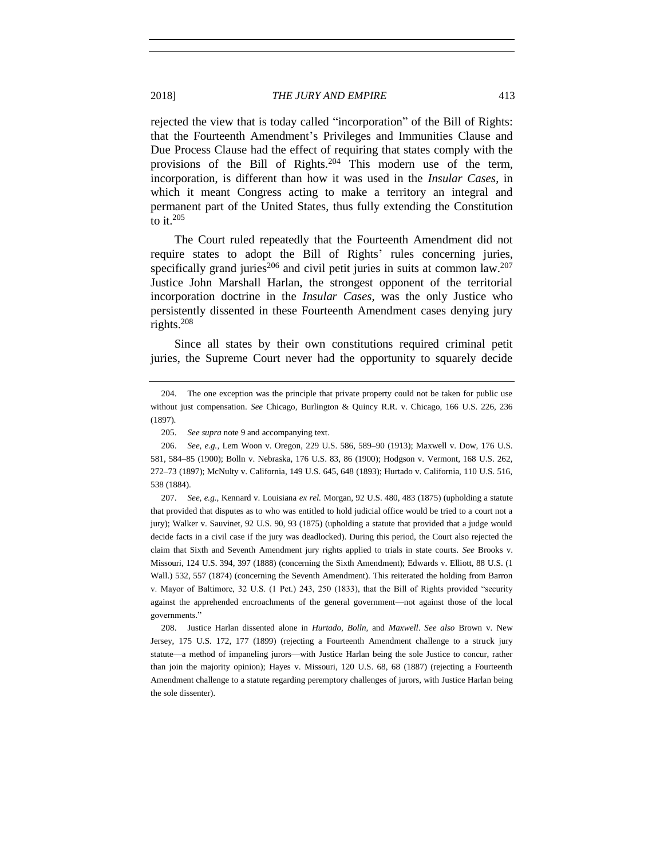rejected the view that is today called "incorporation" of the Bill of Rights: that the Fourteenth Amendment's Privileges and Immunities Clause and Due Process Clause had the effect of requiring that states comply with the provisions of the Bill of Rights.<sup>204</sup> This modern use of the term, incorporation, is different than how it was used in the *Insular Cases*, in which it meant Congress acting to make a territory an integral and permanent part of the United States, thus fully extending the Constitution to it. 205

The Court ruled repeatedly that the Fourteenth Amendment did not require states to adopt the Bill of Rights' rules concerning juries, specifically grand juries<sup>206</sup> and civil petit juries in suits at common law.<sup>207</sup> Justice John Marshall Harlan, the strongest opponent of the territorial incorporation doctrine in the *Insular Cases*, was the only Justice who persistently dissented in these Fourteenth Amendment cases denying jury rights. $208$ 

Since all states by their own constitutions required criminal petit juries, the Supreme Court never had the opportunity to squarely decide

207. *See, e.g.*, Kennard v. Louisiana *ex rel.* Morgan, 92 U.S. 480, 483 (1875) (upholding a statute that provided that disputes as to who was entitled to hold judicial office would be tried to a court not a jury); Walker v. Sauvinet, 92 U.S. 90, 93 (1875) (upholding a statute that provided that a judge would decide facts in a civil case if the jury was deadlocked). During this period, the Court also rejected the claim that Sixth and Seventh Amendment jury rights applied to trials in state courts. *See* Brooks v. Missouri, 124 U.S. 394, 397 (1888) (concerning the Sixth Amendment); Edwards v. Elliott, 88 U.S. (1 Wall.) 532, 557 (1874) (concerning the Seventh Amendment). This reiterated the holding from Barron v. Mayor of Baltimore, 32 U.S. (1 Pet.) 243, 250 (1833), that the Bill of Rights provided "security against the apprehended encroachments of the general government—not against those of the local governments."

208. Justice Harlan dissented alone in *Hurtado*, *Bolln,* and *Maxwell*. *See also* Brown v. New Jersey, 175 U.S. 172, 177 (1899) (rejecting a Fourteenth Amendment challenge to a struck jury statute—a method of impaneling jurors—with Justice Harlan being the sole Justice to concur, rather than join the majority opinion); Hayes v. Missouri, 120 U.S. 68, 68 (1887) (rejecting a Fourteenth Amendment challenge to a statute regarding peremptory challenges of jurors, with Justice Harlan being the sole dissenter).

<sup>204.</sup> The one exception was the principle that private property could not be taken for public use without just compensation. *See* Chicago, Burlington & Quincy R.R. v. Chicago, 166 U.S. 226, 236 (1897).

<sup>205.</sup> *See supra* not[e 9](#page-4-0) and accompanying text.

<sup>206.</sup> *See, e.g.*, Lem Woon v. Oregon, 229 U.S. 586, 589–90 (1913); Maxwell v. Dow, 176 U.S. 581, 584–85 (1900); Bolln v. Nebraska, 176 U.S. 83, 86 (1900); Hodgson v. Vermont, 168 U.S. 262, 272–73 (1897); McNulty v. California, 149 U.S. 645, 648 (1893); Hurtado v. California, 110 U.S. 516, 538 (1884).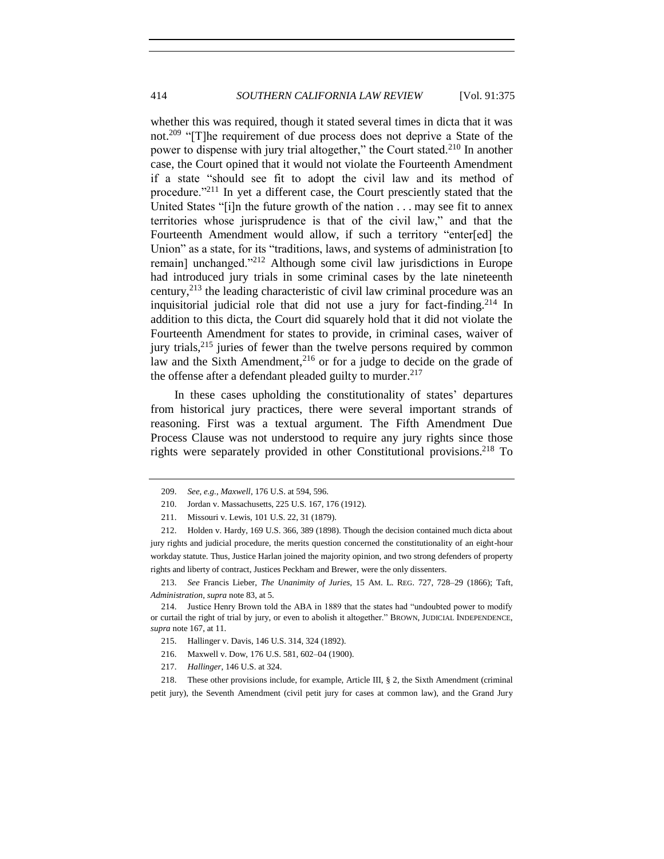whether this was required, though it stated several times in dicta that it was not.<sup>209</sup> "[T]he requirement of due process does not deprive a State of the power to dispense with jury trial altogether," the Court stated.<sup>210</sup> In another case, the Court opined that it would not violate the Fourteenth Amendment if a state "should see fit to adopt the civil law and its method of procedure."<sup>211</sup> In yet a different case, the Court presciently stated that the United States "[i]n the future growth of the nation . . . may see fit to annex territories whose jurisprudence is that of the civil law," and that the Fourteenth Amendment would allow, if such a territory "enter[ed] the Union" as a state, for its "traditions, laws, and systems of administration [to remain] unchanged."<sup>212</sup> Although some civil law jurisdictions in Europe had introduced jury trials in some criminal cases by the late nineteenth century,  $2^{13}$  the leading characteristic of civil law criminal procedure was an inquisitorial judicial role that did not use a jury for fact-finding.<sup>214</sup> In addition to this dicta, the Court did squarely hold that it did not violate the Fourteenth Amendment for states to provide, in criminal cases, waiver of jury trials,<sup>215</sup> juries of fewer than the twelve persons required by common law and the Sixth Amendment,<sup>216</sup> or for a judge to decide on the grade of the offense after a defendant pleaded guilty to murder. $217$ 

In these cases upholding the constitutionality of states' departures from historical jury practices, there were several important strands of reasoning. First was a textual argument. The Fifth Amendment Due Process Clause was not understood to require any jury rights since those rights were separately provided in other Constitutional provisions.<sup>218</sup> To

213. *See* Francis Lieber, *The Unanimity of Juries*, 15 AM. L. REG. 727, 728–29 (1866); Taft, *Administration*, *supra* not[e 83,](#page-19-0) at 5.

217. *Hallinger*, 146 U.S. at 324.

218. These other provisions include, for example, Article III, § 2, the Sixth Amendment (criminal petit jury), the Seventh Amendment (civil petit jury for cases at common law), and the Grand Jury

<sup>209.</sup> *See, e.g.*, *Maxwell*, 176 U.S. at 594, 596.

<sup>210.</sup> Jordan v. Massachusetts, 225 U.S. 167, 176 (1912).

<sup>211.</sup> Missouri v. Lewis, 101 U.S. 22, 31 (1879).

<sup>212.</sup> Holden v. Hardy, 169 U.S. 366, 389 (1898). Though the decision contained much dicta about jury rights and judicial procedure, the merits question concerned the constitutionality of an eight-hour workday statute. Thus, Justice Harlan joined the majority opinion, and two strong defenders of property rights and liberty of contract, Justices Peckham and Brewer, were the only dissenters.

<sup>214.</sup> Justice Henry Brown told the ABA in 1889 that the states had "undoubted power to modify or curtail the right of trial by jury, or even to abolish it altogether." BROWN, JUDICIAL INDEPENDENCE, *supra* not[e 167,](#page-32-1) at 11.

<sup>215.</sup> Hallinger v. Davis, 146 U.S. 314, 324 (1892).

<sup>216.</sup> Maxwell v. Dow, 176 U.S. 581, 602–04 (1900).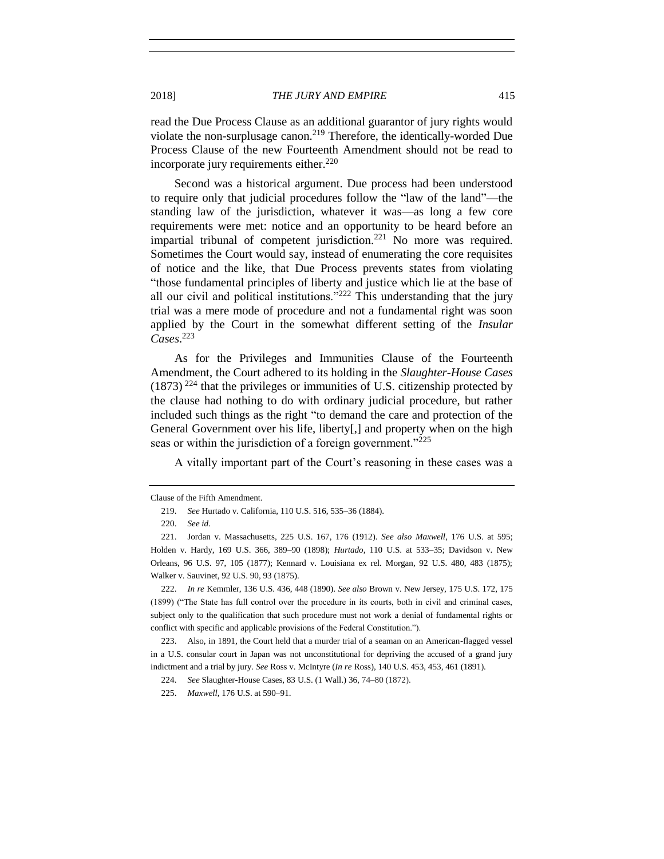read the Due Process Clause as an additional guarantor of jury rights would violate the non-surplusage canon.<sup>219</sup> Therefore, the identically-worded Due Process Clause of the new Fourteenth Amendment should not be read to incorporate jury requirements either. 220

Second was a historical argument. Due process had been understood to require only that judicial procedures follow the "law of the land"—the standing law of the jurisdiction, whatever it was—as long a few core requirements were met: notice and an opportunity to be heard before an impartial tribunal of competent jurisdiction.<sup>221</sup> No more was required. Sometimes the Court would say, instead of enumerating the core requisites of notice and the like, that Due Process prevents states from violating "those fundamental principles of liberty and justice which lie at the base of all our civil and political institutions." $222$  This understanding that the jury trial was a mere mode of procedure and not a fundamental right was soon applied by the Court in the somewhat different setting of the *Insular Cases*. 223

As for the Privileges and Immunities Clause of the Fourteenth Amendment, the Court adhered to its holding in the *Slaughter-House Cases*  $(1873)$  <sup>224</sup> that the privileges or immunities of U.S. citizenship protected by the clause had nothing to do with ordinary judicial procedure, but rather included such things as the right "to demand the care and protection of the General Government over his life, liberty[,] and property when on the high seas or within the jurisdiction of a foreign government." $^{225}$ 

A vitally important part of the Court's reasoning in these cases was a

Clause of the Fifth Amendment.

<sup>219.</sup> *See* Hurtado v. California, 110 U.S. 516, 535–36 (1884).

<sup>220.</sup> *See id*.

<sup>221.</sup> Jordan v. Massachusetts, 225 U.S. 167, 176 (1912). *See also Maxwell*, 176 U.S. at 595; Holden v. Hardy, 169 U.S. 366, 389–90 (1898); *Hurtado*, 110 U.S. at 533–35; Davidson v. New Orleans, 96 U.S. 97, 105 (1877); Kennard v. Louisiana ex rel. Morgan, 92 U.S. 480, 483 (1875); Walker v. Sauvinet, 92 U.S. 90, 93 (1875).

<sup>222.</sup> *In re* Kemmler, 136 U.S. 436, 448 (1890). *See also* Brown v. New Jersey, 175 U.S. 172, 175 (1899) ("The State has full control over the procedure in its courts, both in civil and criminal cases, subject only to the qualification that such procedure must not work a denial of fundamental rights or conflict with specific and applicable provisions of the Federal Constitution.").

<sup>223.</sup> Also, in 1891, the Court held that a murder trial of a seaman on an American-flagged vessel in a U.S. consular court in Japan was not unconstitutional for depriving the accused of a grand jury indictment and a trial by jury. *See* Ross v. McIntyre (*In re* Ross), 140 U.S. 453, 453, 461 (1891).

<sup>224.</sup> *See* Slaughter-House Cases, 83 U.S. (1 Wall.) 36, 74–80 (1872).

<sup>225.</sup> *Maxwell*, 176 U.S. at 590–91.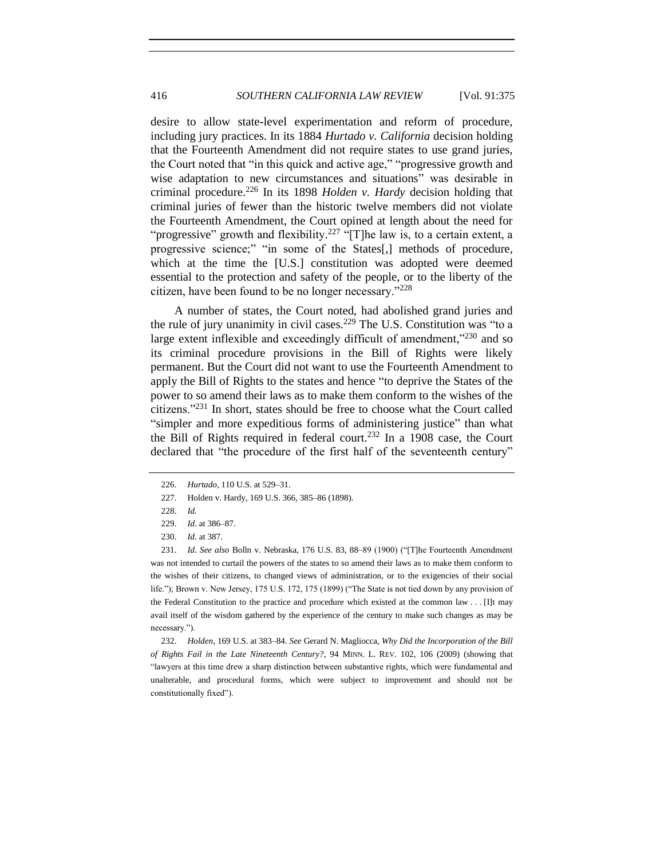desire to allow state-level experimentation and reform of procedure, including jury practices. In its 1884 *Hurtado v. California* decision holding that the Fourteenth Amendment did not require states to use grand juries, the Court noted that "in this quick and active age," "progressive growth and wise adaptation to new circumstances and situations" was desirable in criminal procedure.<sup>226</sup> In its 1898 *Holden v. Hardy* decision holding that criminal juries of fewer than the historic twelve members did not violate the Fourteenth Amendment, the Court opined at length about the need for "progressive" growth and flexibility.<sup>227</sup> "[T]he law is, to a certain extent, a progressive science;" "in some of the States[,] methods of procedure, which at the time the [U.S.] constitution was adopted were deemed essential to the protection and safety of the people, or to the liberty of the citizen, have been found to be no longer necessary."<sup>228</sup>

A number of states, the Court noted, had abolished grand juries and the rule of jury unanimity in civil cases.<sup>229</sup> The U.S. Constitution was "to a large extent inflexible and exceedingly difficult of amendment, $1230$  and so its criminal procedure provisions in the Bill of Rights were likely permanent. But the Court did not want to use the Fourteenth Amendment to apply the Bill of Rights to the states and hence "to deprive the States of the power to so amend their laws as to make them conform to the wishes of the citizens."<sup>231</sup> In short, states should be free to choose what the Court called "simpler and more expeditious forms of administering justice" than what the Bill of Rights required in federal court.<sup>232</sup> In a 1908 case, the Court declared that "the procedure of the first half of the seventeenth century"

232. *Holden*, 169 U.S. at 383–84. *See* Gerard N. Magliocca, *Why Did the Incorporation of the Bill of Rights Fail in the Late Nineteenth Century?*, 94 MINN. L. REV. 102, 106 (2009) (showing that "lawyers at this time drew a sharp distinction between substantive rights, which were fundamental and unalterable, and procedural forms, which were subject to improvement and should not be constitutionally fixed").

<sup>226.</sup> *Hurtado*, 110 U.S. at 529–31.

<sup>227.</sup> Holden v. Hardy, 169 U.S. 366, 385–86 (1898).

<sup>228.</sup> *Id.* 

<sup>229.</sup> *Id*. at 386–87.

<sup>230.</sup> *Id*. at 387.

<sup>231.</sup> *Id*. *See also* Bolln v. Nebraska, 176 U.S. 83, 88–89 (1900) ("[T]he Fourteenth Amendment was not intended to curtail the powers of the states to so amend their laws as to make them conform to the wishes of their citizens, to changed views of administration, or to the exigencies of their social life."); Brown v. New Jersey, 175 U.S. 172, 175 (1899) ("The State is not tied down by any provision of the Federal Constitution to the practice and procedure which existed at the common law . . . [I]t may avail itself of the wisdom gathered by the experience of the century to make such changes as may be necessary.").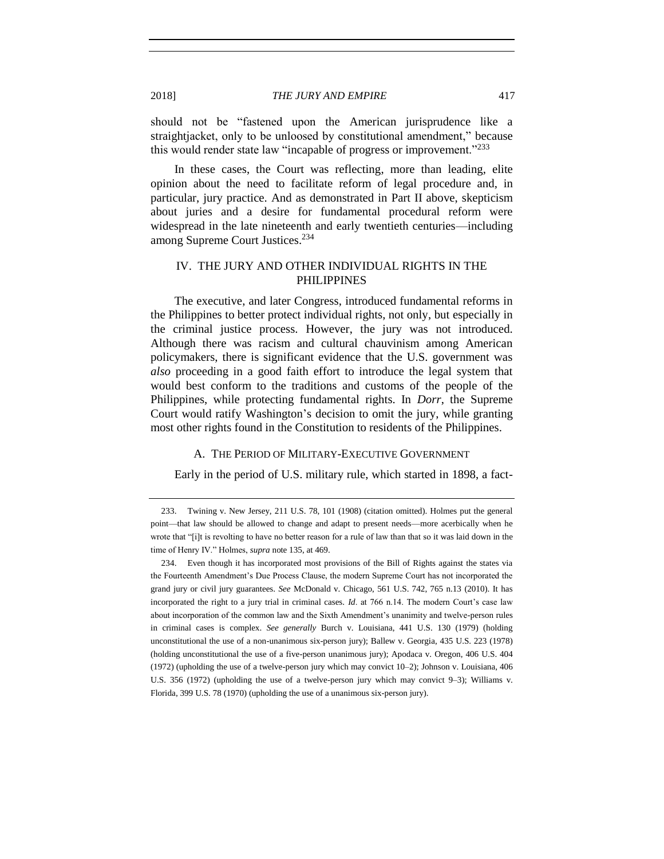should not be "fastened upon the American jurisprudence like a straightjacket, only to be unloosed by constitutional amendment," because this would render state law "incapable of progress or improvement."<sup>233</sup>

In these cases, the Court was reflecting, more than leading, elite opinion about the need to facilitate reform of legal procedure and, in particular, jury practice. And as demonstrated in Part II above, skepticism about juries and a desire for fundamental procedural reform were widespread in the late nineteenth and early twentieth centuries—including among Supreme Court Justices.<sup>234</sup>

### IV. THE JURY AND OTHER INDIVIDUAL RIGHTS IN THE PHILIPPINES

The executive, and later Congress, introduced fundamental reforms in the Philippines to better protect individual rights, not only, but especially in the criminal justice process. However, the jury was not introduced. Although there was racism and cultural chauvinism among American policymakers, there is significant evidence that the U.S. government was *also* proceeding in a good faith effort to introduce the legal system that would best conform to the traditions and customs of the people of the Philippines, while protecting fundamental rights. In *Dorr*, the Supreme Court would ratify Washington's decision to omit the jury, while granting most other rights found in the Constitution to residents of the Philippines.

#### A. THE PERIOD OF MILITARY-EXECUTIVE GOVERNMENT

Early in the period of U.S. military rule, which started in 1898, a fact-

<sup>233.</sup> Twining v. New Jersey, 211 U.S. 78, 101 (1908) (citation omitted). Holmes put the general point—that law should be allowed to change and adapt to present needs—more acerbically when he wrote that "[i]t is revolting to have no better reason for a rule of law than that so it was laid down in the time of Henry IV." Holmes, *supra* not[e 135,](#page-27-0) at 469.

<sup>234.</sup> Even though it has incorporated most provisions of the Bill of Rights against the states via the Fourteenth Amendment's Due Process Clause, the modern Supreme Court has not incorporated the grand jury or civil jury guarantees. *See* McDonald v. Chicago, 561 U.S. 742, 765 n.13 (2010). It has incorporated the right to a jury trial in criminal cases. *Id*. at 766 n.14. The modern Court's case law about incorporation of the common law and the Sixth Amendment's unanimity and twelve-person rules in criminal cases is complex. *See generally* Burch v. Louisiana, 441 U.S. 130 (1979) (holding unconstitutional the use of a non-unanimous six-person jury); Ballew v. Georgia, 435 U.S. 223 (1978) (holding unconstitutional the use of a five-person unanimous jury); Apodaca v. Oregon, 406 U.S. 404 (1972) (upholding the use of a twelve-person jury which may convict 10–2); Johnson v. Louisiana, 406 U.S. 356 (1972) (upholding the use of a twelve-person jury which may convict 9–3); Williams v. Florida, 399 U.S. 78 (1970) (upholding the use of a unanimous six-person jury).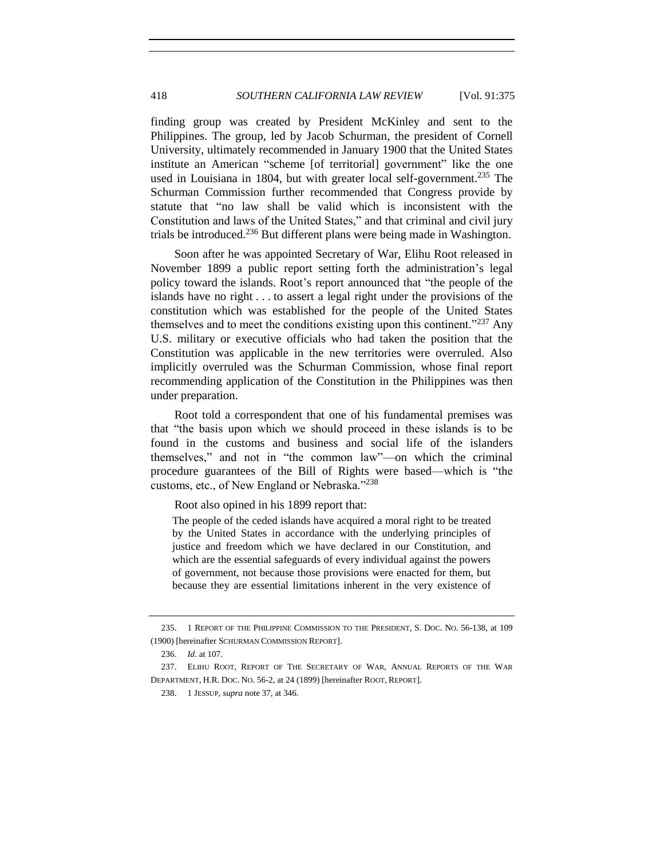<span id="page-43-1"></span>finding group was created by President McKinley and sent to the Philippines. The group, led by Jacob Schurman, the president of Cornell University, ultimately recommended in January 1900 that the United States institute an American "scheme [of territorial] government" like the one used in Louisiana in 1804, but with greater local self-government.<sup>235</sup> The Schurman Commission further recommended that Congress provide by statute that "no law shall be valid which is inconsistent with the Constitution and laws of the United States," and that criminal and civil jury trials be introduced.<sup>236</sup> But different plans were being made in Washington.

<span id="page-43-0"></span>Soon after he was appointed Secretary of War, Elihu Root released in November 1899 a public report setting forth the administration's legal policy toward the islands. Root's report announced that "the people of the islands have no right . . . to assert a legal right under the provisions of the constitution which was established for the people of the United States themselves and to meet the conditions existing upon this continent."<sup>237</sup> Any U.S. military or executive officials who had taken the position that the Constitution was applicable in the new territories were overruled. Also implicitly overruled was the Schurman Commission, whose final report recommending application of the Constitution in the Philippines was then under preparation.

Root told a correspondent that one of his fundamental premises was that "the basis upon which we should proceed in these islands is to be found in the customs and business and social life of the islanders themselves," and not in "the common law"—on which the criminal procedure guarantees of the Bill of Rights were based—which is "the customs, etc., of New England or Nebraska."<sup>238</sup>

Root also opined in his 1899 report that:

The people of the ceded islands have acquired a moral right to be treated by the United States in accordance with the underlying principles of justice and freedom which we have declared in our Constitution, and which are the essential safeguards of every individual against the powers of government, not because those provisions were enacted for them, but because they are essential limitations inherent in the very existence of

<sup>235.</sup> 1 REPORT OF THE PHILIPPINE COMMISSION TO THE PRESIDENT, S. DOC. NO. 56-138, at 109 (1900) [hereinafter SCHURMAN COMMISSION REPORT].

<sup>236.</sup> *Id*. at 107.

<sup>237.</sup> ELIHU ROOT, REPORT OF THE SECRETARY OF WAR, ANNUAL REPORTS OF THE WAR DEPARTMENT, H.R. DOC. NO. 56-2, at 24 (1899) [hereinafter ROOT, REPORT].

<sup>238.</sup> 1 JESSUP, *supra* not[e 37,](#page-11-0) at 346.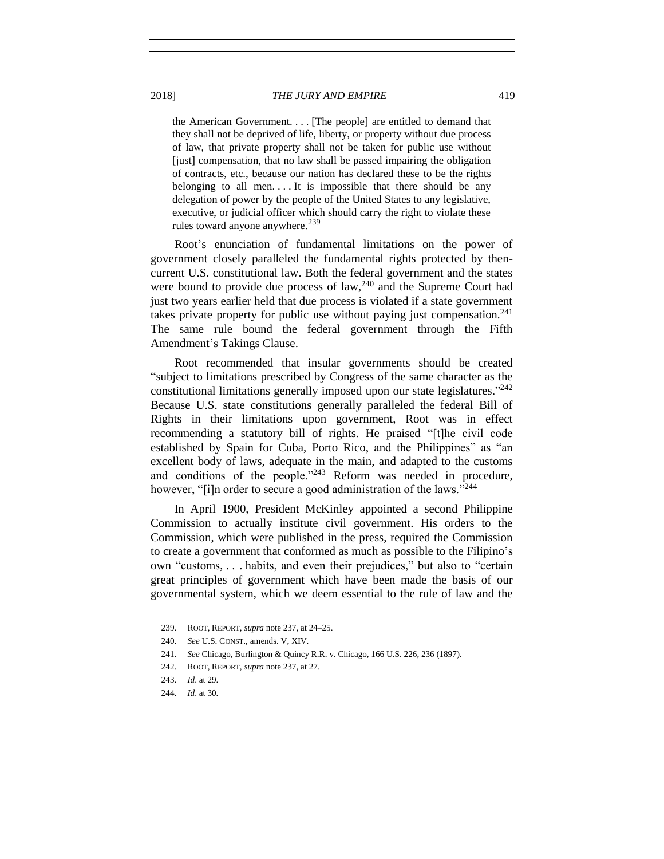the American Government. . . . [The people] are entitled to demand that they shall not be deprived of life, liberty, or property without due process of law, that private property shall not be taken for public use without [just] compensation, that no law shall be passed impairing the obligation of contracts, etc., because our nation has declared these to be the rights belonging to all men.... It is impossible that there should be any delegation of power by the people of the United States to any legislative, executive, or judicial officer which should carry the right to violate these rules toward anyone anywhere. 239

Root's enunciation of fundamental limitations on the power of government closely paralleled the fundamental rights protected by thencurrent U.S. constitutional law. Both the federal government and the states were bound to provide due process of law,  $240$  and the Supreme Court had just two years earlier held that due process is violated if a state government takes private property for public use without paying just compensation.<sup>241</sup> The same rule bound the federal government through the Fifth Amendment's Takings Clause.

Root recommended that insular governments should be created "subject to limitations prescribed by Congress of the same character as the constitutional limitations generally imposed upon our state legislatures. $242$ Because U.S. state constitutions generally paralleled the federal Bill of Rights in their limitations upon government, Root was in effect recommending a statutory bill of rights. He praised "[t]he civil code established by Spain for Cuba, Porto Rico, and the Philippines" as "an excellent body of laws, adequate in the main, and adapted to the customs and conditions of the people."<sup>243</sup> Reform was needed in procedure, however, "[i]n order to secure a good administration of the laws."<sup>244</sup>

In April 1900, President McKinley appointed a second Philippine Commission to actually institute civil government. His orders to the Commission, which were published in the press, required the Commission to create a government that conformed as much as possible to the Filipino's own "customs, . . . habits, and even their prejudices," but also to "certain great principles of government which have been made the basis of our governmental system, which we deem essential to the rule of law and the

<sup>239.</sup> ROOT, REPORT, *supra* not[e 237,](#page-43-0) at 24–25.

<sup>240.</sup> *See* U.S. CONST., amends. V, XIV.

<sup>241.</sup> *See* Chicago, Burlington & Quincy R.R. v. Chicago, 166 U.S. 226, 236 (1897).

<sup>242.</sup> ROOT, REPORT, *supra* not[e 237,](#page-43-0) at 27.

<sup>243.</sup> *Id*. at 29.

<sup>244.</sup> *Id*. at 30.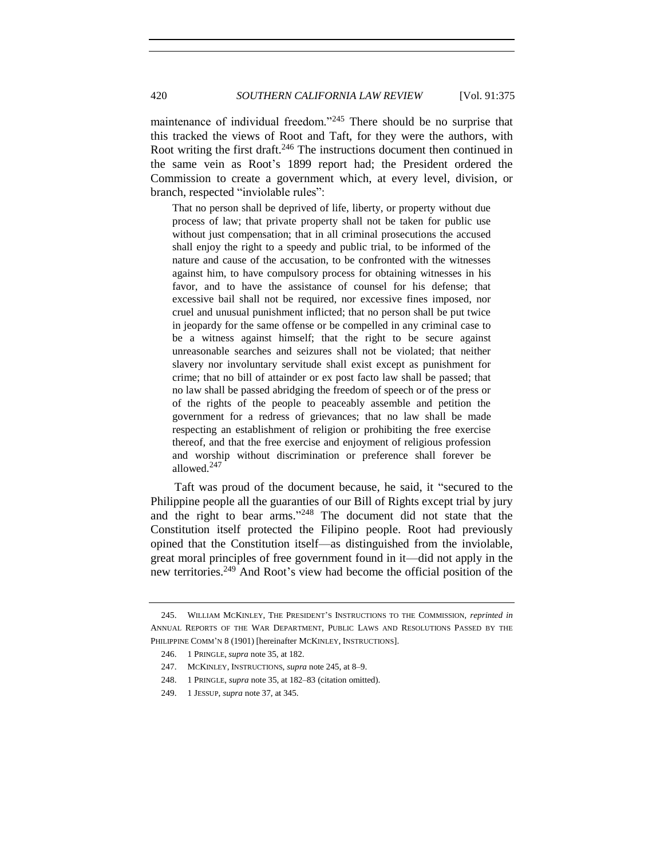<span id="page-45-0"></span>maintenance of individual freedom."<sup>245</sup> There should be no surprise that this tracked the views of Root and Taft, for they were the authors, with Root writing the first draft.<sup>246</sup> The instructions document then continued in the same vein as Root's 1899 report had; the President ordered the Commission to create a government which, at every level, division, or branch, respected "inviolable rules":

That no person shall be deprived of life, liberty, or property without due process of law; that private property shall not be taken for public use without just compensation; that in all criminal prosecutions the accused shall enjoy the right to a speedy and public trial, to be informed of the nature and cause of the accusation, to be confronted with the witnesses against him, to have compulsory process for obtaining witnesses in his favor, and to have the assistance of counsel for his defense; that excessive bail shall not be required, nor excessive fines imposed, nor cruel and unusual punishment inflicted; that no person shall be put twice in jeopardy for the same offense or be compelled in any criminal case to be a witness against himself; that the right to be secure against unreasonable searches and seizures shall not be violated; that neither slavery nor involuntary servitude shall exist except as punishment for crime; that no bill of attainder or ex post facto law shall be passed; that no law shall be passed abridging the freedom of speech or of the press or of the rights of the people to peaceably assemble and petition the government for a redress of grievances; that no law shall be made respecting an establishment of religion or prohibiting the free exercise thereof, and that the free exercise and enjoyment of religious profession and worship without discrimination or preference shall forever be allowed.<sup>247</sup>

Taft was proud of the document because, he said, it "secured to the Philippine people all the guaranties of our Bill of Rights except trial by jury and the right to bear arms." <sup>248</sup> The document did not state that the Constitution itself protected the Filipino people. Root had previously opined that the Constitution itself—as distinguished from the inviolable, great moral principles of free government found in it—did not apply in the new territories.<sup>249</sup> And Root's view had become the official position of the

<sup>245.</sup> WILLIAM MCKINLEY, THE PRESIDENT'S INSTRUCTIONS TO THE COMMISSION, *reprinted in* ANNUAL REPORTS OF THE WAR DEPARTMENT, PUBLIC LAWS AND RESOLUTIONS PASSED BY THE PHILIPPINE COMM'N 8 (1901) [hereinafter MCKINLEY, INSTRUCTIONS].

<sup>246.</sup> 1 PRINGLE, *supra* not[e 35,](#page-11-1) at 182.

<sup>247.</sup> MCKINLEY, INSTRUCTIONS, *supra* note [245,](#page-45-0) at 8–9.

<sup>248.</sup> 1 PRINGLE, *supra* not[e 35,](#page-11-1) at 182–83 (citation omitted).

<sup>249.</sup> 1 JESSUP, *supra* not[e 37,](#page-11-0) at 345.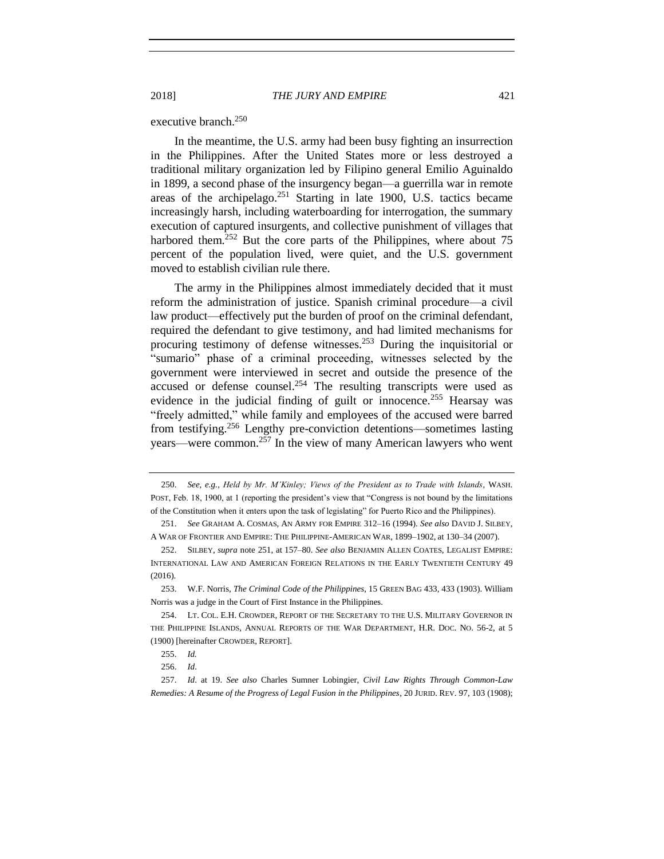# executive branch. 250

<span id="page-46-0"></span>In the meantime, the U.S. army had been busy fighting an insurrection in the Philippines. After the United States more or less destroyed a traditional military organization led by Filipino general Emilio Aguinaldo in 1899, a second phase of the insurgency began—a guerrilla war in remote areas of the archipelago. $251$  Starting in late 1900, U.S. tactics became increasingly harsh, including waterboarding for interrogation, the summary execution of captured insurgents, and collective punishment of villages that harbored them. $252$  But the core parts of the Philippines, where about 75 percent of the population lived, were quiet, and the U.S. government moved to establish civilian rule there.

<span id="page-46-3"></span><span id="page-46-2"></span>The army in the Philippines almost immediately decided that it must reform the administration of justice. Spanish criminal procedure—a civil law product—effectively put the burden of proof on the criminal defendant, required the defendant to give testimony, and had limited mechanisms for procuring testimony of defense witnesses.<sup>253</sup> During the inquisitorial or "sumario" phase of a criminal proceeding, witnesses selected by the government were interviewed in secret and outside the presence of the accused or defense counsel. <sup>254</sup> The resulting transcripts were used as evidence in the judicial finding of guilt or innocence.<sup>255</sup> Hearsay was "freely admitted," while family and employees of the accused were barred from testifying.<sup>256</sup> Lengthy pre-conviction detentions—sometimes lasting years—were common.<sup>257</sup> In the view of many American lawyers who went

<span id="page-46-1"></span><sup>250.</sup> *See, e.g.*, *Held by Mr. M'Kinley; Views of the President as to Trade with Islands*, WASH. POST, Feb. 18, 1900, at 1 (reporting the president's view that "Congress is not bound by the limitations of the Constitution when it enters upon the task of legislating" for Puerto Rico and the Philippines).

<sup>251.</sup> *See* GRAHAM A. COSMAS, AN ARMY FOR EMPIRE 312–16 (1994). *See also* DAVID J. SILBEY, A WAR OF FRONTIER AND EMPIRE: THE PHILIPPINE-AMERICAN WAR, 1899–1902, at 130–34 (2007).

<sup>252.</sup> SILBEY, *supra* note [251,](#page-46-0) at 157–80. *See also* BENJAMIN ALLEN COATES, LEGALIST EMPIRE: INTERNATIONAL LAW AND AMERICAN FOREIGN RELATIONS IN THE EARLY TWENTIETH CENTURY 49 (2016).

<sup>253.</sup> W.F. Norris, *The Criminal Code of the Philippines*, 15 GREEN BAG 433, 433 (1903). William Norris was a judge in the Court of First Instance in the Philippines.

<sup>254.</sup> LT. COL. E.H. CROWDER, REPORT OF THE SECRETARY TO THE U.S. MILITARY GOVERNOR IN THE PHILIPPINE ISLANDS, ANNUAL REPORTS OF THE WAR DEPARTMENT, H.R. DOC. NO. 56-2, at 5 (1900) [hereinafter CROWDER, REPORT].

<sup>255.</sup> *Id.* 

<sup>256.</sup> *Id*.

<sup>257.</sup> *Id*. at 19. *See also* Charles Sumner Lobingier, *Civil Law Rights Through Common-Law Remedies: A Resume of the Progress of Legal Fusion in the Philippines*, 20 JURID. REV. 97, 103 (1908);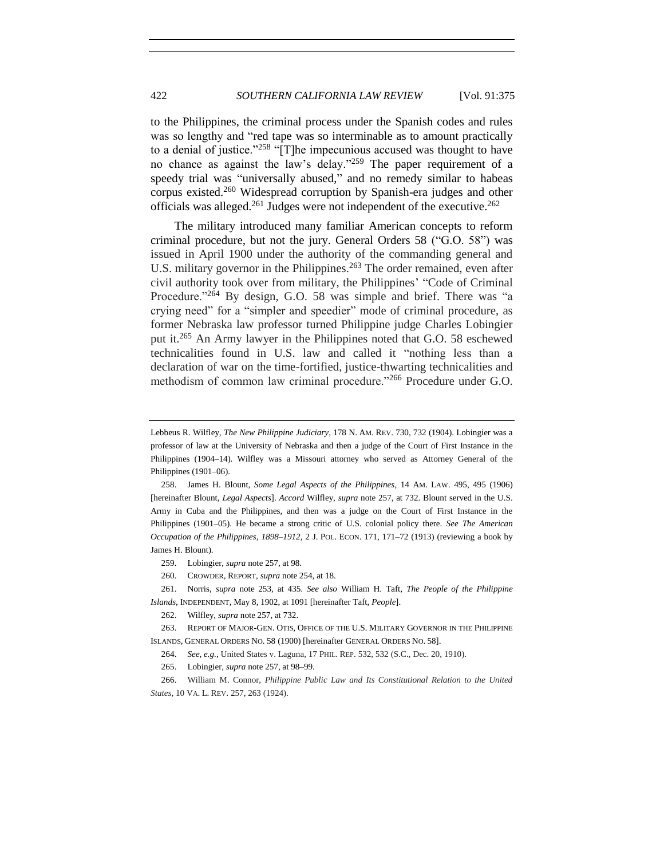<span id="page-47-2"></span>to the Philippines, the criminal process under the Spanish codes and rules was so lengthy and "red tape was so interminable as to amount practically to a denial of justice."<sup>258</sup> "[T]he impecunious accused was thought to have no chance as against the law's delay."<sup>259</sup> The paper requirement of a speedy trial was "universally abused," and no remedy similar to habeas corpus existed.<sup>260</sup> Widespread corruption by Spanish-era judges and other officials was alleged.<sup>261</sup> Judges were not independent of the executive.<sup>262</sup>

<span id="page-47-3"></span><span id="page-47-0"></span>The military introduced many familiar American concepts to reform criminal procedure, but not the jury. General Orders 58 ("G.O. 58") was issued in April 1900 under the authority of the commanding general and U.S. military governor in the Philippines.<sup>263</sup> The order remained, even after civil authority took over from military, the Philippines' "Code of Criminal Procedure."<sup>264</sup> By design, G.O. 58 was simple and brief. There was "a crying need" for a "simpler and speedier" mode of criminal procedure, as former Nebraska law professor turned Philippine judge Charles Lobingier put it.<sup>265</sup> An Army lawyer in the Philippines noted that G.O. 58 eschewed technicalities found in U.S. law and called it "nothing less than a declaration of war on the time-fortified, justice-thwarting technicalities and methodism of common law criminal procedure."<sup>266</sup> Procedure under G.O.

261. Norris, *supra* note [253,](#page-46-3) at 435. *See also* William H. Taft, *The People of the Philippine Islands*, INDEPENDENT, May 8, 1902, at 1091 [hereinafter Taft, *People*].

263. REPORT OF MAJOR-GEN. OTIS, OFFICE OF THE U.S. MILITARY GOVERNOR IN THE PHILIPPINE ISLANDS, GENERAL ORDERS NO. 58 (1900) [hereinafter GENERAL ORDERS NO. 58].

265. Lobingier, *supra* not[e 257,](#page-46-1) at 98–99.

266. William M. Connor, *Philippine Public Law and Its Constitutional Relation to the United States*, 10 VA. L. REV. 257, 263 (1924).

<span id="page-47-1"></span>Lebbeus R. Wilfley, *The New Philippine Judiciary*, 178 N. AM. REV. 730, 732 (1904). Lobingier was a professor of law at the University of Nebraska and then a judge of the Court of First Instance in the Philippines (1904–14). Wilfley was a Missouri attorney who served as Attorney General of the Philippines (1901–06).

<sup>258.</sup> James H. Blount, *Some Legal Aspects of the Philippines*, 14 AM. LAW. 495, 495 (1906) [hereinafter Blount, *Legal Aspects*]. *Accord* Wilfley, *supra* note [257,](#page-46-1) at 732. Blount served in the U.S. Army in Cuba and the Philippines, and then was a judge on the Court of First Instance in the Philippines (1901–05). He became a strong critic of U.S. colonial policy there. *See The American Occupation of the Philippines, 1898*–*1912,* 2 J. POL. ECON. 171, 171–72 (1913) (reviewing a book by James H. Blount).

<sup>259.</sup> Lobingier, *supra* not[e 257,](#page-46-1) at 98.

<sup>260.</sup> CROWDER, REPORT, *supra* not[e 254,](#page-46-2) at 18.

<sup>262.</sup> Wilfley, *supra* not[e 257,](#page-46-1) at 732.

<sup>264.</sup> *See, e.g.*, United States v. Laguna, 17 PHIL. REP. 532, 532 (S.C., Dec. 20, 1910).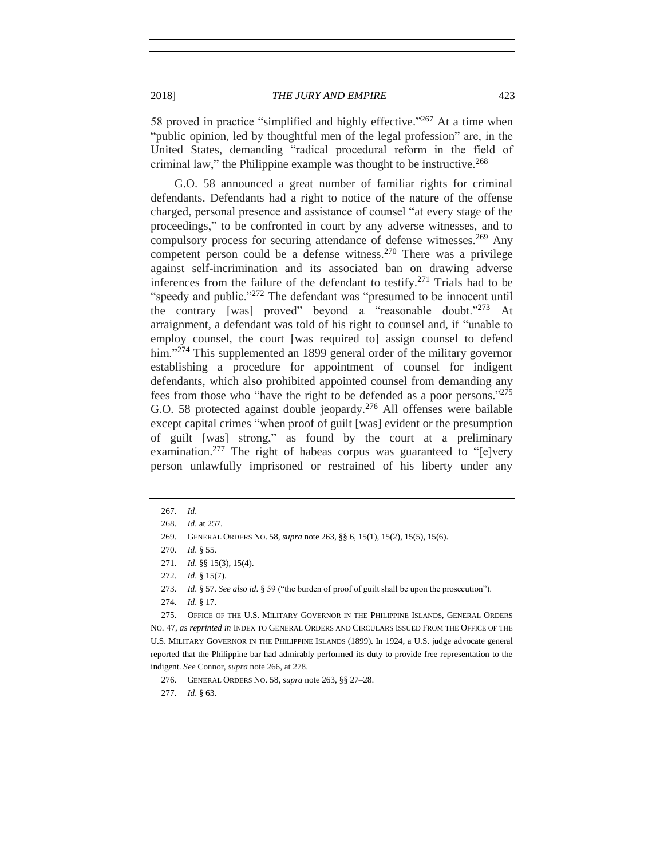2018] *THE JURY AND EMPIRE* 423

58 proved in practice "simplified and highly effective."<sup>267</sup> At a time when "public opinion, led by thoughtful men of the legal profession" are, in the United States, demanding "radical procedural reform in the field of criminal law," the Philippine example was thought to be instructive.<sup>268</sup>

G.O. 58 announced a great number of familiar rights for criminal defendants. Defendants had a right to notice of the nature of the offense charged, personal presence and assistance of counsel "at every stage of the proceedings," to be confronted in court by any adverse witnesses, and to compulsory process for securing attendance of defense witnesses.<sup>269</sup> Any competent person could be a defense witness.<sup>270</sup> There was a privilege against self-incrimination and its associated ban on drawing adverse inferences from the failure of the defendant to testify.<sup>271</sup> Trials had to be "speedy and public."<sup>272</sup> The defendant was "presumed to be innocent until the contrary [was] proved" beyond a "reasonable doubt."<sup>273</sup> At arraignment, a defendant was told of his right to counsel and, if "unable to employ counsel, the court [was required to] assign counsel to defend him."<sup>274</sup> This supplemented an 1899 general order of the military governor establishing a procedure for appointment of counsel for indigent defendants, which also prohibited appointed counsel from demanding any fees from those who "have the right to be defended as a poor persons."<sup>275</sup> G.O. 58 protected against double jeopardy.<sup>276</sup> All offenses were bailable except capital crimes "when proof of guilt [was] evident or the presumption of guilt [was] strong," as found by the court at a preliminary examination.<sup>277</sup> The right of habeas corpus was guaranteed to "[e]very person unlawfully imprisoned or restrained of his liberty under any

<sup>267.</sup> *Id*.

<sup>268.</sup> *Id*. at 257.

<sup>269.</sup> GENERAL ORDERS NO. 58, *supra* not[e 263,](#page-47-0) §§ 6, 15(1), 15(2), 15(5), 15(6).

<sup>270.</sup> *Id*. § 55.

<sup>271.</sup> *Id*. §§ 15(3), 15(4).

<sup>272.</sup> *Id*. § 15(7).

<sup>273.</sup> *Id*. § 57. *See also id*. § 59 ("the burden of proof of guilt shall be upon the prosecution").

<sup>274.</sup> *Id*. § 17.

<sup>275.</sup> OFFICE OF THE U.S. MILITARY GOVERNOR IN THE PHILIPPINE ISLANDS, GENERAL ORDERS NO. 47, *as reprinted in* INDEX TO GENERAL ORDERS AND CIRCULARS ISSUED FROM THE OFFICE OF THE U.S. MILITARY GOVERNOR IN THE PHILIPPINE ISLANDS (1899). In 1924, a U.S. judge advocate general reported that the Philippine bar had admirably performed its duty to provide free representation to the indigent. *See* Connor, *supra* not[e 266,](#page-47-1) at 278.

<sup>276.</sup> GENERAL ORDERS NO. 58, *supra* note [263,](#page-47-0) §§ 27–28.

<sup>277.</sup> *Id*. § 63.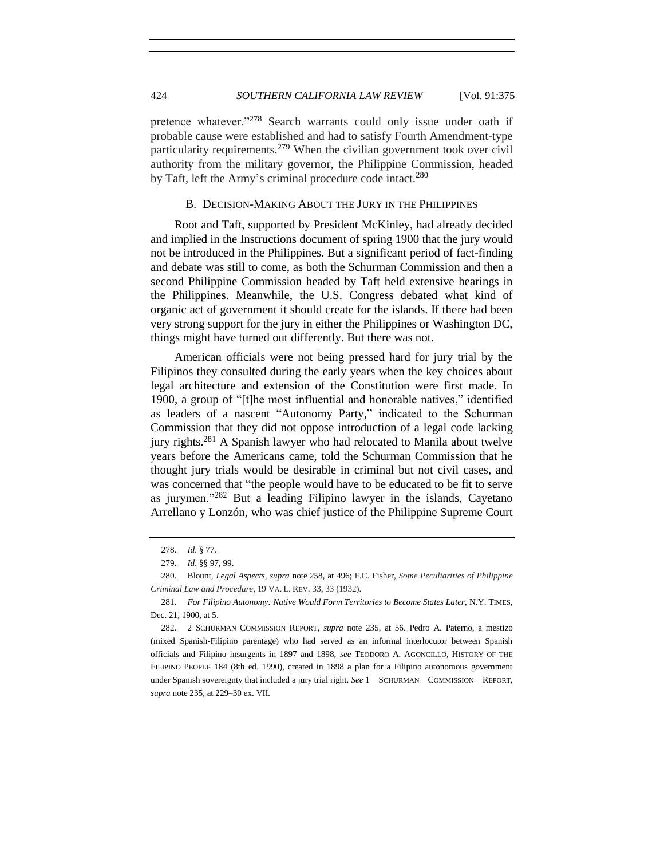pretence whatever."<sup>278</sup> Search warrants could only issue under oath if probable cause were established and had to satisfy Fourth Amendment-type particularity requirements.<sup>279</sup> When the civilian government took over civil authority from the military governor, the Philippine Commission, headed by Taft, left the Army's criminal procedure code intact.<sup>280</sup>

#### B. DECISION-MAKING ABOUT THE JURY IN THE PHILIPPINES

Root and Taft, supported by President McKinley, had already decided and implied in the Instructions document of spring 1900 that the jury would not be introduced in the Philippines. But a significant period of fact-finding and debate was still to come, as both the Schurman Commission and then a second Philippine Commission headed by Taft held extensive hearings in the Philippines. Meanwhile, the U.S. Congress debated what kind of organic act of government it should create for the islands. If there had been very strong support for the jury in either the Philippines or Washington DC, things might have turned out differently. But there was not.

American officials were not being pressed hard for jury trial by the Filipinos they consulted during the early years when the key choices about legal architecture and extension of the Constitution were first made. In 1900, a group of "[t]he most influential and honorable natives," identified as leaders of a nascent "Autonomy Party," indicated to the Schurman Commission that they did not oppose introduction of a legal code lacking jury rights.<sup>281</sup> A Spanish lawyer who had relocated to Manila about twelve years before the Americans came, told the Schurman Commission that he thought jury trials would be desirable in criminal but not civil cases, and was concerned that "the people would have to be educated to be fit to serve as jurymen."<sup>282</sup> But a leading Filipino lawyer in the islands, Cayetano Arrellano y Lonzón, who was chief justice of the Philippine Supreme Court

<span id="page-49-0"></span><sup>278.</sup> *Id*. § 77.

<sup>279.</sup> *Id*. §§ 97, 99.

<sup>280.</sup> Blount, *Legal Aspects*, *supra* note [258,](#page-47-2) at 496; F.C. Fisher, *Some Peculiarities of Philippine Criminal Law and Procedure*, 19 VA. L. REV. 33, 33 (1932).

<sup>281.</sup> *For Filipino Autonomy: Native Would Form Territories to Become States Later,* N.Y. TIMES, Dec. 21, 1900, at 5.

<sup>282.</sup> 2 SCHURMAN COMMISSION REPORT, *supra* note [235,](#page-43-1) at 56. Pedro A. Paterno, a mestizo (mixed Spanish-Filipino parentage) who had served as an informal interlocutor between Spanish officials and Filipino insurgents in 1897 and 1898, *see* TEODORO A. AGONCILLO, HISTORY OF THE FILIPINO PEOPLE 184 (8th ed. 1990), created in 1898 a plan for a Filipino autonomous government under Spanish sovereignty that included a jury trial right. *See* 1 SCHURMAN COMMISSION REPORT, *supra* not[e 235,](#page-43-1) at 229–30 ex. VII.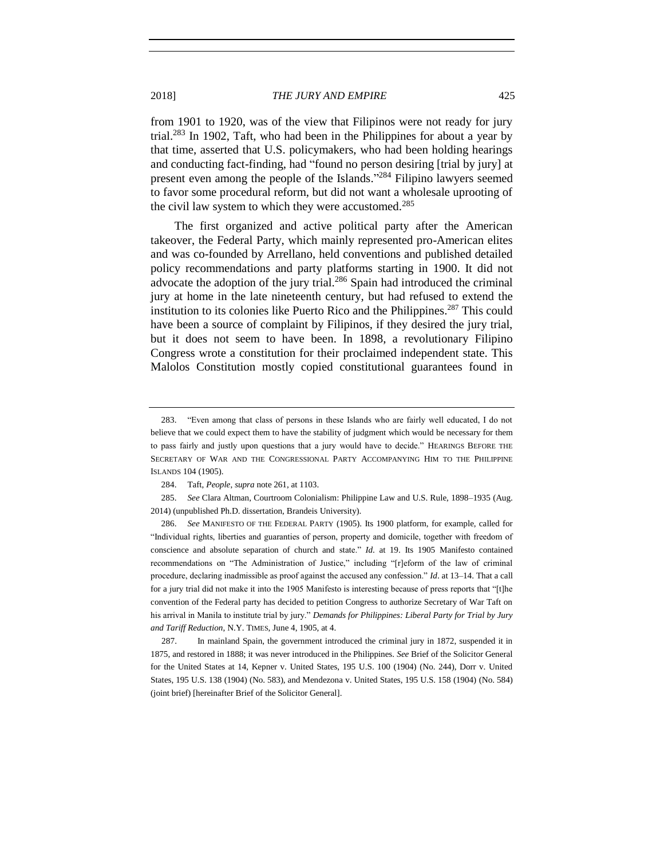from 1901 to 1920, was of the view that Filipinos were not ready for jury trial.<sup>283</sup> In 1902, Taft, who had been in the Philippines for about a year by that time, asserted that U.S. policymakers, who had been holding hearings and conducting fact-finding, had "found no person desiring [trial by jury] at present even among the people of the Islands."<sup>284</sup> Filipino lawyers seemed to favor some procedural reform, but did not want a wholesale uprooting of the civil law system to which they were accustomed.<sup>285</sup>

<span id="page-50-0"></span>The first organized and active political party after the American takeover, the Federal Party, which mainly represented pro-American elites and was co-founded by Arrellano, held conventions and published detailed policy recommendations and party platforms starting in 1900. It did not advocate the adoption of the jury trial.<sup>286</sup> Spain had introduced the criminal jury at home in the late nineteenth century, but had refused to extend the institution to its colonies like Puerto Rico and the Philippines.<sup>287</sup> This could have been a source of complaint by Filipinos, if they desired the jury trial, but it does not seem to have been. In 1898, a revolutionary Filipino Congress wrote a constitution for their proclaimed independent state. This Malolos Constitution mostly copied constitutional guarantees found in

<sup>283.</sup> "Even among that class of persons in these Islands who are fairly well educated, I do not believe that we could expect them to have the stability of judgment which would be necessary for them to pass fairly and justly upon questions that a jury would have to decide." HEARINGS BEFORE THE SECRETARY OF WAR AND THE CONGRESSIONAL PARTY ACCOMPANYING HIM TO THE PHILIPPINE ISLANDS 104 (1905).

<sup>284.</sup> Taft, *People*, *supra* not[e 261,](#page-47-3) at 1103.

<sup>285.</sup> *See* Clara Altman, Courtroom Colonialism: Philippine Law and U.S. Rule, 1898–1935 (Aug. 2014) (unpublished Ph.D. dissertation, Brandeis University).

<sup>286.</sup> *See* MANIFESTO OF THE FEDERAL PARTY (1905). Its 1900 platform, for example, called for "Individual rights, liberties and guaranties of person, property and domicile, together with freedom of conscience and absolute separation of church and state." *Id*. at 19. Its 1905 Manifesto contained recommendations on "The Administration of Justice," including "[r]eform of the law of criminal procedure, declaring inadmissible as proof against the accused any confession." *Id*. at 13–14. That a call for a jury trial did not make it into the 1905 Manifesto is interesting because of press reports that "[t]he convention of the Federal party has decided to petition Congress to authorize Secretary of War Taft on his arrival in Manila to institute trial by jury." *Demands for Philippines: Liberal Party for Trial by Jury and Tariff Reduction*, N.Y. TIMES, June 4, 1905, at 4.

 <sup>287.</sup>In mainland Spain, the government introduced the criminal jury in 1872, suspended it in 1875, and restored in 1888; it was never introduced in the Philippines. *See* Brief of the Solicitor General for the United States at 14, Kepner v. United States, 195 U.S. 100 (1904) (No. 244), Dorr v. United States, 195 U.S. 138 (1904) (No. 583), and Mendezona v. United States, 195 U.S. 158 (1904) (No. 584) (joint brief) [hereinafter Brief of the Solicitor General].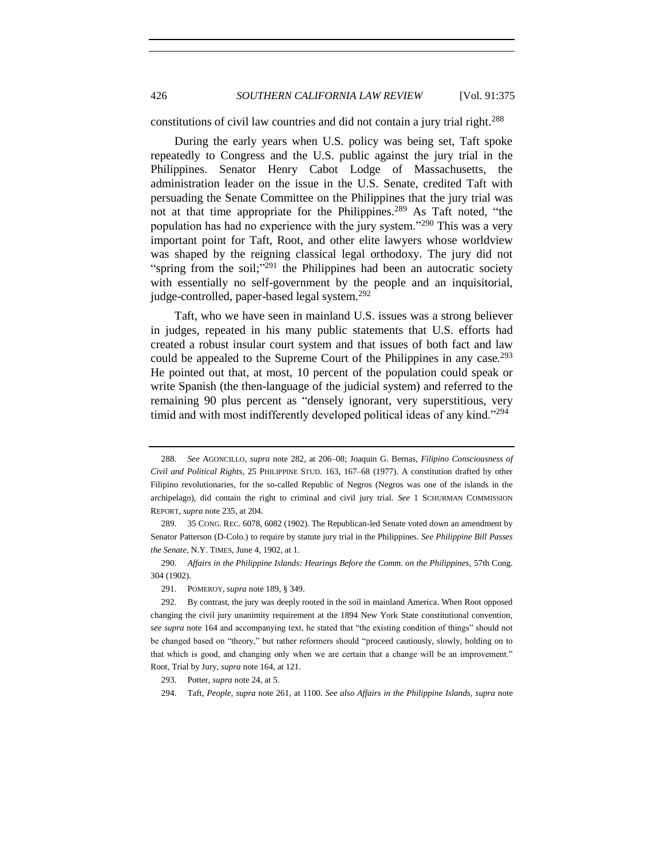# 426 *SOUTHERN CALIFORNIA LAW REVIEW* [Vol. 91:375

constitutions of civil law countries and did not contain a jury trial right.<sup>288</sup>

<span id="page-51-0"></span>During the early years when U.S. policy was being set, Taft spoke repeatedly to Congress and the U.S. public against the jury trial in the Philippines. Senator Henry Cabot Lodge of Massachusetts, the administration leader on the issue in the U.S. Senate, credited Taft with persuading the Senate Committee on the Philippines that the jury trial was not at that time appropriate for the Philippines.<sup>289</sup> As Taft noted, "the population has had no experience with the jury system."<sup>290</sup> This was a very important point for Taft, Root, and other elite lawyers whose worldview was shaped by the reigning classical legal orthodoxy. The jury did not "spring from the soil;"<sup>291</sup> the Philippines had been an autocratic society with essentially no self-government by the people and an inquisitorial, judge-controlled, paper-based legal system.<sup>292</sup>

Taft, who we have seen in mainland U.S. issues was a strong believer in judges, repeated in his many public statements that U.S. efforts had created a robust insular court system and that issues of both fact and law could be appealed to the Supreme Court of the Philippines in any case.<sup>293</sup> He pointed out that, at most, 10 percent of the population could speak or write Spanish (the then-language of the judicial system) and referred to the remaining 90 plus percent as "densely ignorant, very superstitious, very timid and with most indifferently developed political ideas of any kind."<sup>294</sup>

290. *Affairs in the Philippine Islands: Hearings Before the Comm. on the Philippines*, 57th Cong. 304 (1902).

291. POMEROY, *supra* not[e 189,](#page-35-0) § 349.

293. Potter, *supra* not[e 24,](#page-7-1) at 5.

<sup>288.</sup> *See* AGONCILLO, *supra* note [282,](#page-49-0) at 206–08; Joaquin G. Bernas, *Filipino Consciousness of Civil and Political Rights*, 25 PHILIPPINE STUD. 163, 167–68 (1977). A constitution drafted by other Filipino revolutionaries, for the so-called Republic of Negros (Negros was one of the islands in the archipelago), did contain the right to criminal and civil jury trial. *See* 1 SCHURMAN COMMISSION REPORT, *supra* not[e 235,](#page-43-1) at 204.

<sup>289.</sup> 35 CONG. REC. 6078, 6082 (1902). The Republican-led Senate voted down an amendment by Senator Patterson (D-Colo.) to require by statute jury trial in the Philippines. *See Philippine Bill Passes the Senate*, N.Y. TIMES, June 4, 1902, at 1.

<sup>292.</sup> By contrast, the jury was deeply rooted in the soil in mainland America. When Root opposed changing the civil jury unanimity requirement at the 1894 New York State constitutional convention, *see supra* not[e 164](#page-31-0) and accompanying text, he stated that "the existing condition of things" should not be changed based on "theory," but rather reformers should "proceed cautiously, slowly, holding on to that which is good, and changing only when we are certain that a change will be an improvement." Root, Trial by Jury, *supra* note [164,](#page-31-0) at 121.

<sup>294.</sup> Taft, *People*, *supra* not[e 261,](#page-47-3) at 1100. *See also Affairs in the Philippine Islands*, *supra* note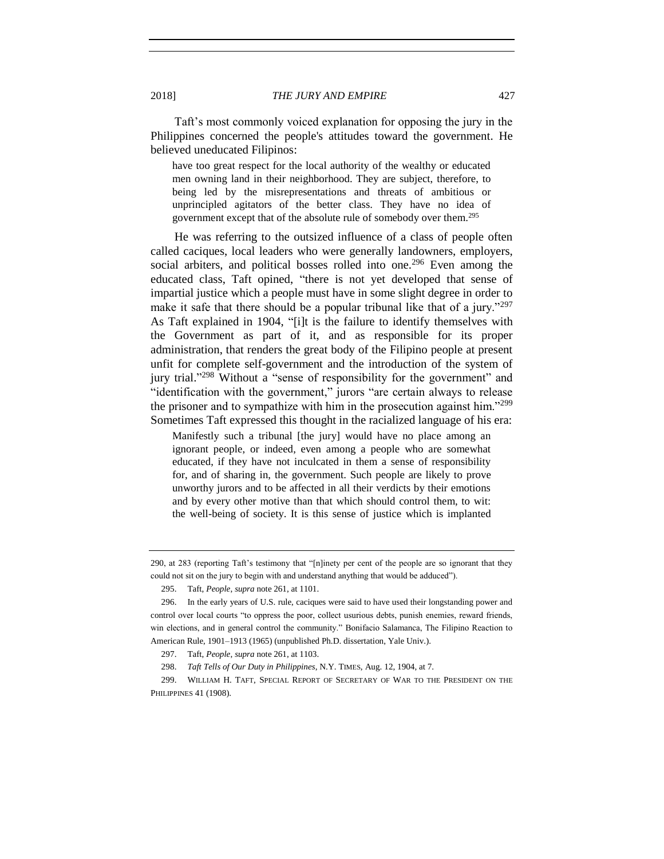Taft's most commonly voiced explanation for opposing the jury in the Philippines concerned the people's attitudes toward the government. He believed uneducated Filipinos:

have too great respect for the local authority of the wealthy or educated men owning land in their neighborhood. They are subject, therefore, to being led by the misrepresentations and threats of ambitious or unprincipled agitators of the better class. They have no idea of government except that of the absolute rule of somebody over them.<sup>295</sup>

He was referring to the outsized influence of a class of people often called caciques, local leaders who were generally landowners, employers, social arbiters, and political bosses rolled into one.<sup>296</sup> Even among the educated class, Taft opined, "there is not yet developed that sense of impartial justice which a people must have in some slight degree in order to make it safe that there should be a popular tribunal like that of a jury."<sup>297</sup> As Taft explained in 1904, "[i]t is the failure to identify themselves with the Government as part of it, and as responsible for its proper administration, that renders the great body of the Filipino people at present unfit for complete self-government and the introduction of the system of jury trial."<sup>298</sup> Without a "sense of responsibility for the government" and "identification with the government," jurors "are certain always to release the prisoner and to sympathize with him in the prosecution against him."<sup>299</sup> Sometimes Taft expressed this thought in the racialized language of his era:

Manifestly such a tribunal [the jury] would have no place among an ignorant people, or indeed, even among a people who are somewhat educated, if they have not inculcated in them a sense of responsibility for, and of sharing in, the government. Such people are likely to prove unworthy jurors and to be affected in all their verdicts by their emotions and by every other motive than that which should control them, to wit: the well-being of society. It is this sense of justice which is implanted

[<sup>290,</sup>](#page-51-0) at 283 (reporting Taft's testimony that "[n]inety per cent of the people are so ignorant that they could not sit on the jury to begin with and understand anything that would be adduced").

<sup>295.</sup> Taft, *People*, *supra* not[e 261,](#page-47-3) at 1101.

<sup>296.</sup> In the early years of U.S. rule, caciques were said to have used their longstanding power and control over local courts "to oppress the poor, collect usurious debts, punish enemies, reward friends, win elections, and in general control the community." Bonifacio Salamanca, The Filipino Reaction to American Rule, 1901–1913 (1965) (unpublished Ph.D. dissertation, Yale Univ.).

<sup>297.</sup> Taft, *People*, *supra* not[e 261,](#page-47-3) at 1103.

<sup>298.</sup> *Taft Tells of Our Duty in Philippines*, N.Y. TIMES, Aug. 12, 1904, at 7.

<sup>299.</sup> WILLIAM H. TAFT, SPECIAL REPORT OF SECRETARY OF WAR TO THE PRESIDENT ON THE PHILIPPINES 41 (1908).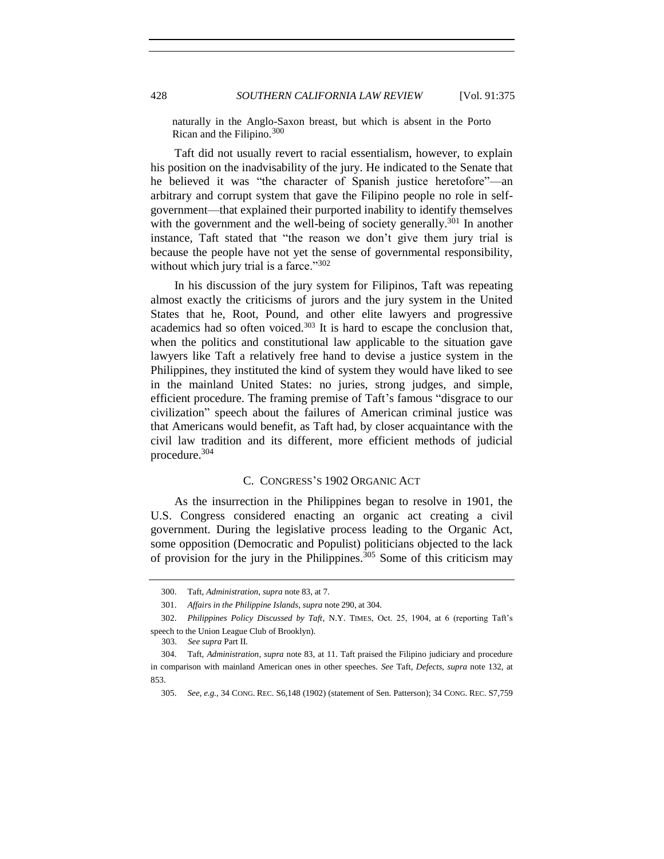naturally in the Anglo-Saxon breast, but which is absent in the Porto Rican and the Filipino.<sup>300</sup>

Taft did not usually revert to racial essentialism, however, to explain his position on the inadvisability of the jury. He indicated to the Senate that he believed it was "the character of Spanish justice heretofore"—an arbitrary and corrupt system that gave the Filipino people no role in selfgovernment—that explained their purported inability to identify themselves with the government and the well-being of society generally.<sup>301</sup> In another instance, Taft stated that "the reason we don't give them jury trial is because the people have not yet the sense of governmental responsibility, without which jury trial is a farce." $302$ 

In his discussion of the jury system for Filipinos, Taft was repeating almost exactly the criticisms of jurors and the jury system in the United States that he, Root, Pound, and other elite lawyers and progressive academics had so often voiced. $303$  It is hard to escape the conclusion that, when the politics and constitutional law applicable to the situation gave lawyers like Taft a relatively free hand to devise a justice system in the Philippines, they instituted the kind of system they would have liked to see in the mainland United States: no juries, strong judges, and simple, efficient procedure. The framing premise of Taft's famous "disgrace to our civilization" speech about the failures of American criminal justice was that Americans would benefit, as Taft had, by closer acquaintance with the civil law tradition and its different, more efficient methods of judicial procedure.<sup>304</sup>

#### C. CONGRESS'S 1902 ORGANIC ACT

As the insurrection in the Philippines began to resolve in 1901, the U.S. Congress considered enacting an organic act creating a civil government. During the legislative process leading to the Organic Act, some opposition (Democratic and Populist) politicians objected to the lack of provision for the jury in the Philippines.<sup>305</sup> Some of this criticism may

<sup>300.</sup> Taft, *Administration*, *supra* not[e 83,](#page-19-0) at 7.

<sup>301.</sup> *Affairs in the Philippine Islands*, *supra* note [290,](#page-51-0) at 304.

<sup>302.</sup> *Philippines Policy Discussed by Taft*, N.Y. TIMES, Oct. 25, 1904, at 6 (reporting Taft's speech to the Union League Club of Brooklyn).

 <sup>303.</sup> *See supra* Part II.

<sup>304.</sup> Taft, *Administration*, *supra* not[e 83,](#page-19-0) at 11. Taft praised the Filipino judiciary and procedure in comparison with mainland American ones in other speeches. *See* Taft, *Defects*, *supra* note [132,](#page-26-0) at 853.

<sup>305.</sup> *See, e.g.*, 34 CONG. REC. S6,148 (1902) (statement of Sen. Patterson); 34 CONG. REC. S7,759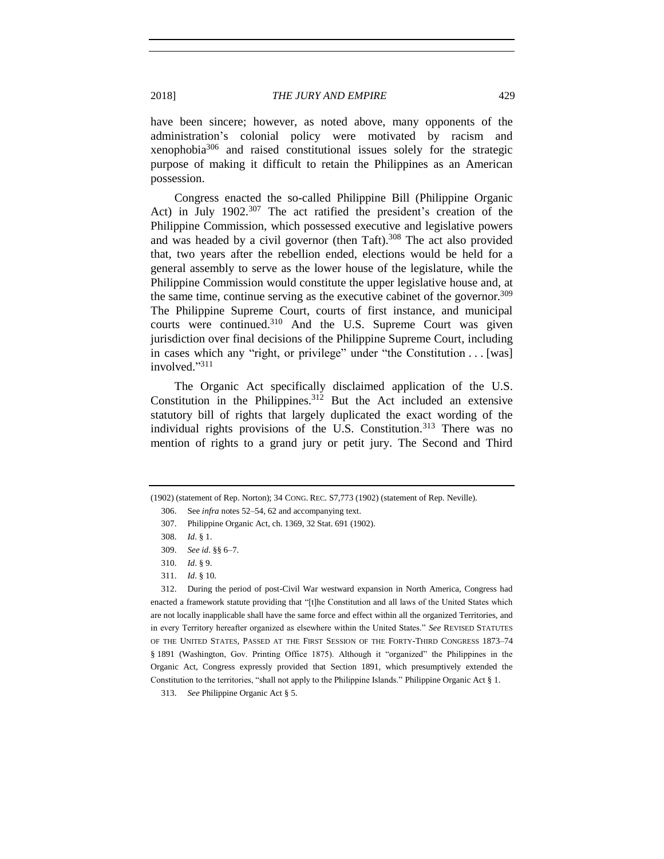have been sincere; however, as noted above, many opponents of the administration's colonial policy were motivated by racism and xenophobia<sup>306</sup> and raised constitutional issues solely for the strategic purpose of making it difficult to retain the Philippines as an American possession.

Congress enacted the so-called Philippine Bill (Philippine Organic Act) in July 1902.<sup>307</sup> The act ratified the president's creation of the Philippine Commission, which possessed executive and legislative powers and was headed by a civil governor (then Taft).<sup>308</sup> The act also provided that, two years after the rebellion ended, elections would be held for a general assembly to serve as the lower house of the legislature, while the Philippine Commission would constitute the upper legislative house and, at the same time, continue serving as the executive cabinet of the governor.<sup>309</sup> The Philippine Supreme Court, courts of first instance, and municipal courts were continued.<sup>310</sup> And the U.S. Supreme Court was given jurisdiction over final decisions of the Philippine Supreme Court, including in cases which any "right, or privilege" under "the Constitution . . . [was] involved." 311

The Organic Act specifically disclaimed application of the U.S. Constitution in the Philippines.<sup>312</sup> But the Act included an extensive statutory bill of rights that largely duplicated the exact wording of the individual rights provisions of the U.S. Constitution.<sup>313</sup> There was no mention of rights to a grand jury or petit jury. The Second and Third

<sup>(1902) (</sup>statement of Rep. Norton); 34 CONG. REC. S7,773 (1902) (statement of Rep. Neville).

<sup>306.</sup> See *infra* notes [52](#page-14-0)[–54,](#page-14-1) [62](#page-16-0) and accompanying text.

<sup>307.</sup> Philippine Organic Act, ch. 1369, 32 Stat. 691 (1902).

<sup>308.</sup> *Id*. § 1.

<sup>309.</sup> *See id*. §§ 6–7.

<sup>310.</sup> *Id*. § 9.

<sup>311.</sup> *Id*. § 10.

<sup>312.</sup> During the period of post-Civil War westward expansion in North America, Congress had enacted a framework statute providing that "[t]he Constitution and all laws of the United States which are not locally inapplicable shall have the same force and effect within all the organized Territories, and in every Territory hereafter organized as elsewhere within the United States." *See* REVISED STATUTES OF THE UNITED STATES, PASSED AT THE FIRST SESSION OF THE FORTY-THIRD CONGRESS 1873–74 § 1891 (Washington, Gov. Printing Office 1875). Although it "organized" the Philippines in the Organic Act, Congress expressly provided that Section 1891, which presumptively extended the Constitution to the territories, "shall not apply to the Philippine Islands." Philippine Organic Act § 1.

<sup>313.</sup> *See* Philippine Organic Act § 5.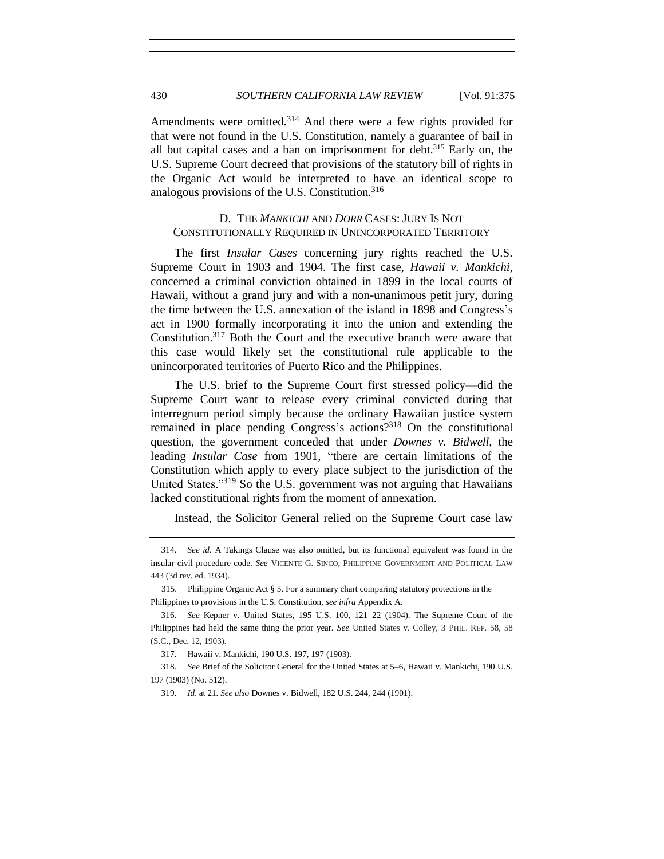Amendments were omitted.<sup>314</sup> And there were a few rights provided for that were not found in the U.S. Constitution, namely a guarantee of bail in all but capital cases and a ban on imprisonment for debt. <sup>315</sup> Early on, the U.S. Supreme Court decreed that provisions of the statutory bill of rights in the Organic Act would be interpreted to have an identical scope to analogous provisions of the U.S. Constitution. $316$ 

# D. THE *MANKICHI* AND *DORR* CASES: JURY IS NOT CONSTITUTIONALLY REQUIRED IN UNINCORPORATED TERRITORY

The first *Insular Cases* concerning jury rights reached the U.S. Supreme Court in 1903 and 1904. The first case, *Hawaii v. Mankichi*, concerned a criminal conviction obtained in 1899 in the local courts of Hawaii, without a grand jury and with a non-unanimous petit jury, during the time between the U.S. annexation of the island in 1898 and Congress's act in 1900 formally incorporating it into the union and extending the Constitution.<sup>317</sup> Both the Court and the executive branch were aware that this case would likely set the constitutional rule applicable to the unincorporated territories of Puerto Rico and the Philippines.

The U.S. brief to the Supreme Court first stressed policy—did the Supreme Court want to release every criminal convicted during that interregnum period simply because the ordinary Hawaiian justice system remained in place pending Congress's actions?<sup>318</sup> On the constitutional question, the government conceded that under *Downes v. Bidwell*, the leading *Insular Case* from 1901, "there are certain limitations of the Constitution which apply to every place subject to the jurisdiction of the United States."<sup>319</sup> So the U.S. government was not arguing that Hawaiians lacked constitutional rights from the moment of annexation.

Instead, the Solicitor General relied on the Supreme Court case law

<sup>314.</sup> *See id*. A Takings Clause was also omitted, but its functional equivalent was found in the insular civil procedure code. *See* VICENTE G. SINCO, PHILIPPINE GOVERNMENT AND POLITICAL LAW 443 (3d rev. ed. 1934).

 <sup>315.</sup> Philippine Organic Act § 5. For a summary chart comparing statutory protections in the Philippines to provisions in the U.S. Constitution, *see infra* Appendix A.

<sup>316.</sup> *See* Kepner v. United States, 195 U.S. 100, 121–22 (1904). The Supreme Court of the Philippines had held the same thing the prior year. *See* United States v. Colley, 3 PHIL. REP. 58, 58 (S.C., Dec. 12, 1903).

<sup>317.</sup> Hawaii v. Mankichi, 190 U.S. 197, 197 (1903).

<sup>318.</sup> *See* Brief of the Solicitor General for the United States at 5–6, Hawaii v. Mankichi, 190 U.S. 197 (1903) (No. 512).

<sup>319.</sup> *Id*. at 21. *See also* Downes v. Bidwell, 182 U.S. 244, 244 (1901).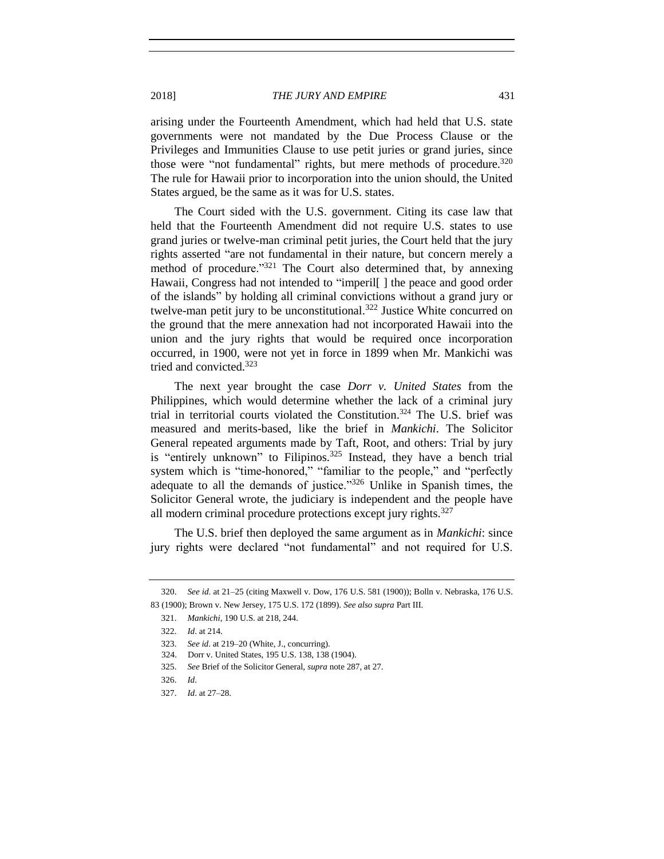arising under the Fourteenth Amendment, which had held that U.S. state governments were not mandated by the Due Process Clause or the Privileges and Immunities Clause to use petit juries or grand juries, since those were "not fundamental" rights, but mere methods of procedure.<sup>320</sup> The rule for Hawaii prior to incorporation into the union should, the United States argued, be the same as it was for U.S. states.

The Court sided with the U.S. government. Citing its case law that held that the Fourteenth Amendment did not require U.S. states to use grand juries or twelve-man criminal petit juries, the Court held that the jury rights asserted "are not fundamental in their nature, but concern merely a method of procedure."<sup>321</sup> The Court also determined that, by annexing Hawaii, Congress had not intended to "imperil[ ] the peace and good order of the islands" by holding all criminal convictions without a grand jury or twelve-man petit jury to be unconstitutional.<sup>322</sup> Justice White concurred on the ground that the mere annexation had not incorporated Hawaii into the union and the jury rights that would be required once incorporation occurred, in 1900, were not yet in force in 1899 when Mr. Mankichi was tried and convicted.<sup>323</sup>

The next year brought the case *Dorr v. United States* from the Philippines, which would determine whether the lack of a criminal jury trial in territorial courts violated the Constitution.<sup>324</sup> The U.S. brief was measured and merits-based, like the brief in *Mankichi*. The Solicitor General repeated arguments made by Taft, Root, and others: Trial by jury is "entirely unknown" to Filipinos.<sup>325</sup> Instead, they have a bench trial system which is "time-honored," "familiar to the people," and "perfectly adequate to all the demands of justice."<sup>326</sup> Unlike in Spanish times, the Solicitor General wrote, the judiciary is independent and the people have all modern criminal procedure protections except jury rights.<sup>327</sup>

The U.S. brief then deployed the same argument as in *Mankichi*: since jury rights were declared "not fundamental" and not required for U.S.

<sup>320.</sup> *See id*. at 21–25 (citing Maxwell v. Dow, 176 U.S. 581 (1900)); Bolln v. Nebraska, 176 U.S. 83 (1900); Brown v. New Jersey, 175 U.S. 172 (1899). *See also supra* Part III.

<sup>321.</sup> *Mankichi*, 190 U.S. at 218, 244.

<sup>322.</sup> *Id*. at 214.

<sup>323.</sup> *See id*. at 219–20 (White, J., concurring).

 <sup>324.</sup> Dorr v. United States, 195 U.S. 138, 138 (1904).

<sup>325.</sup> *See* Brief of the Solicitor General, *supra* note [287,](#page-50-0) at 27.

<sup>326.</sup> *Id*.

<sup>327.</sup> *Id*. at 27–28.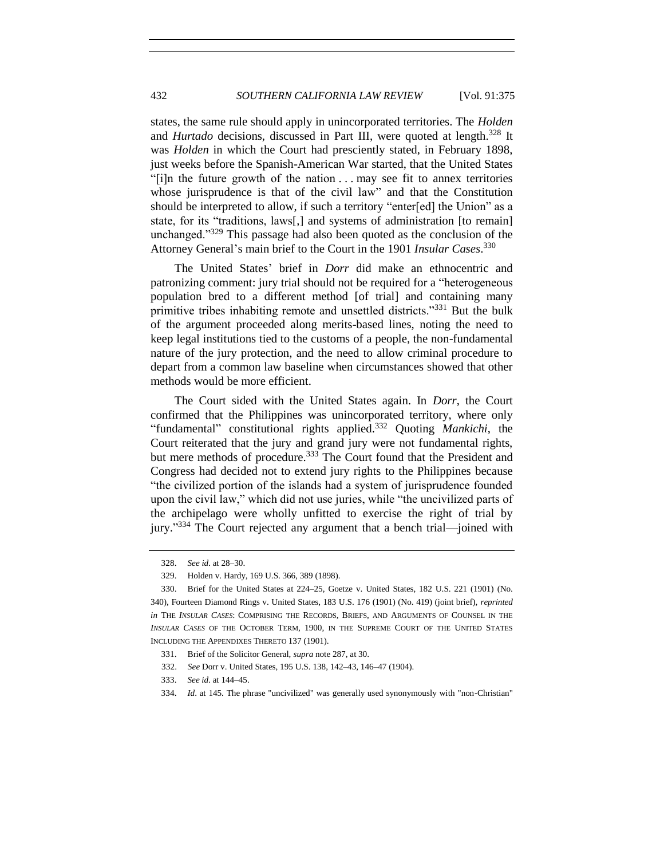states, the same rule should apply in unincorporated territories. The *Holden* and *Hurtado* decisions, discussed in Part III, were quoted at length.<sup>328</sup> It was *Holden* in which the Court had presciently stated, in February 1898, just weeks before the Spanish-American War started, that the United States "[i]n the future growth of the nation . . . may see fit to annex territories whose jurisprudence is that of the civil law" and that the Constitution should be interpreted to allow, if such a territory "enter[ed] the Union" as a state, for its "traditions, laws[,] and systems of administration [to remain] unchanged."<sup>329</sup> This passage had also been quoted as the conclusion of the Attorney General's main brief to the Court in the 1901 *Insular Cases*. 330

The United States' brief in *Dorr* did make an ethnocentric and patronizing comment: jury trial should not be required for a "heterogeneous population bred to a different method [of trial] and containing many primitive tribes inhabiting remote and unsettled districts."<sup>331</sup> But the bulk of the argument proceeded along merits-based lines, noting the need to keep legal institutions tied to the customs of a people, the non-fundamental nature of the jury protection, and the need to allow criminal procedure to depart from a common law baseline when circumstances showed that other methods would be more efficient.

The Court sided with the United States again. In *Dorr*, the Court confirmed that the Philippines was unincorporated territory, where only "fundamental" constitutional rights applied.<sup>332</sup> Quoting *Mankichi*, the Court reiterated that the jury and grand jury were not fundamental rights, but mere methods of procedure.<sup>333</sup> The Court found that the President and Congress had decided not to extend jury rights to the Philippines because "the civilized portion of the islands had a system of jurisprudence founded upon the civil law," which did not use juries, while "the uncivilized parts of the archipelago were wholly unfitted to exercise the right of trial by jury."<sup>334</sup> The Court rejected any argument that a bench trial—joined with

<sup>328.</sup> *See id*. at 28–30.

<sup>329.</sup> Holden v. Hardy, 169 U.S. 366, 389 (1898).

<sup>330.</sup> Brief for the United States at 224–25, Goetze v. United States, 182 U.S. 221 (1901) (No. 340), Fourteen Diamond Rings v. United States, 183 U.S. 176 (1901) (No. 419) (joint brief), *reprinted in* THE *INSULAR CASES*: COMPRISING THE RECORDS, BRIEFS, AND ARGUMENTS OF COUNSEL IN THE *INSULAR CASES* OF THE OCTOBER TERM, 1900, IN THE SUPREME COURT OF THE UNITED STATES INCLUDING THE APPENDIXES THERETO 137 (1901).

<sup>331.</sup> Brief of the Solicitor General, *supra* not[e 287,](#page-50-0) at 30.

 <sup>332.</sup> *See* Dorr v. United States, 195 U.S. 138, 142–43, 146–47 (1904).

<sup>333.</sup> *See id*. at 144–45.

<sup>334.</sup> *Id*. at 145. The phrase "uncivilized" was generally used synonymously with "non-Christian"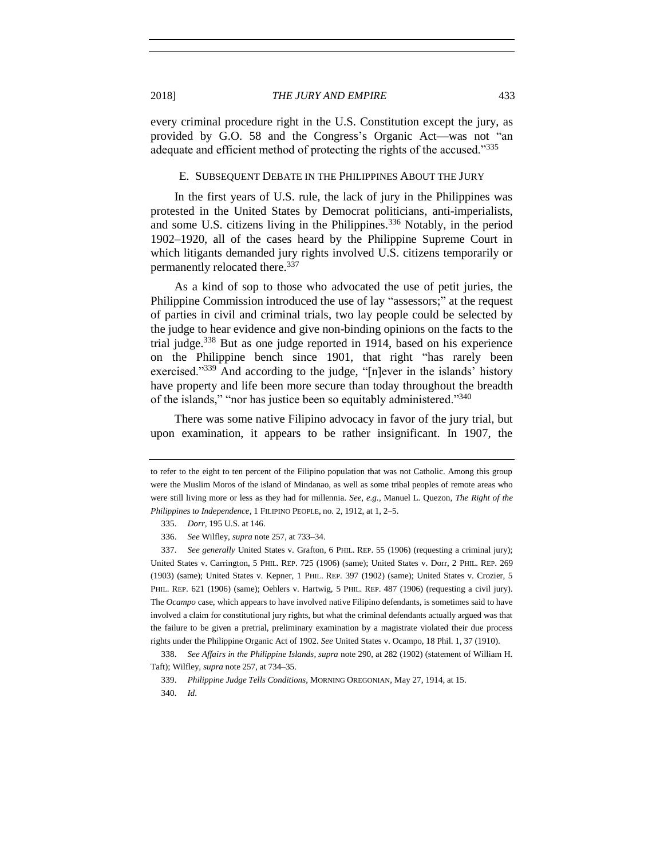every criminal procedure right in the U.S. Constitution except the jury, as provided by G.O. 58 and the Congress's Organic Act—was not "an adequate and efficient method of protecting the rights of the accused."<sup>335</sup>

### E. SUBSEQUENT DEBATE IN THE PHILIPPINES ABOUT THE JURY

In the first years of U.S. rule, the lack of jury in the Philippines was protested in the United States by Democrat politicians, anti-imperialists, and some U.S. citizens living in the Philippines.<sup>336</sup> Notably, in the period 1902–1920, all of the cases heard by the Philippine Supreme Court in which litigants demanded jury rights involved U.S. citizens temporarily or permanently relocated there.<sup>337</sup>

As a kind of sop to those who advocated the use of petit juries, the Philippine Commission introduced the use of lay "assessors;" at the request of parties in civil and criminal trials, two lay people could be selected by the judge to hear evidence and give non-binding opinions on the facts to the trial judge.<sup>338</sup> But as one judge reported in 1914, based on his experience on the Philippine bench since 1901, that right "has rarely been exercised."339 And according to the judge, "[n]ever in the islands' history have property and life been more secure than today throughout the breadth of the islands," "nor has justice been so equitably administered."<sup>340</sup>

There was some native Filipino advocacy in favor of the jury trial, but upon examination, it appears to be rather insignificant. In 1907, the

to refer to the eight to ten percent of the Filipino population that was not Catholic. Among this group were the Muslim Moros of the island of Mindanao, as well as some tribal peoples of remote areas who were still living more or less as they had for millennia. *See, e.g.,* Manuel L. Quezon, *The Right of the Philippines to Independence*, 1 FILIPINO PEOPLE, no. 2, 1912, at 1, 2–5.

<sup>335.</sup> *Dorr,* 195 U.S. at 146.

<sup>336.</sup> *See* Wilfley, *supra* not[e 257,](#page-46-1) at 733–34.

<sup>337.</sup> *See generally* United States v. Grafton, 6 PHIL. REP. 55 (1906) (requesting a criminal jury); United States v. Carrington, 5 PHIL. REP. 725 (1906) (same); United States v. Dorr, 2 PHIL. REP. 269 (1903) (same); United States v. Kepner, 1 PHIL. REP. 397 (1902) (same); United States v. Crozier, 5 PHIL. REP. 621 (1906) (same); Oehlers v. Hartwig, 5 PHIL. REP. 487 (1906) (requesting a civil jury). The *Ocampo* case, which appears to have involved native Filipino defendants, is sometimes said to have involved a claim for constitutional jury rights, but what the criminal defendants actually argued was that the failure to be given a pretrial, preliminary examination by a magistrate violated their due process rights under the Philippine Organic Act of 1902. *See* United States v. Ocampo, 18 Phil. 1, 37 (1910).

<sup>338.</sup> *See Affairs in the Philippine Islands*, *supra* not[e 290,](#page-51-0) at 282 (1902) (statement of William H. Taft); Wilfley, *supra* not[e 257,](#page-46-1) at 734–35.

<sup>339.</sup> *Philippine Judge Tells Conditions*, MORNING OREGONIAN, May 27, 1914, at 15.

<sup>340.</sup> *Id*.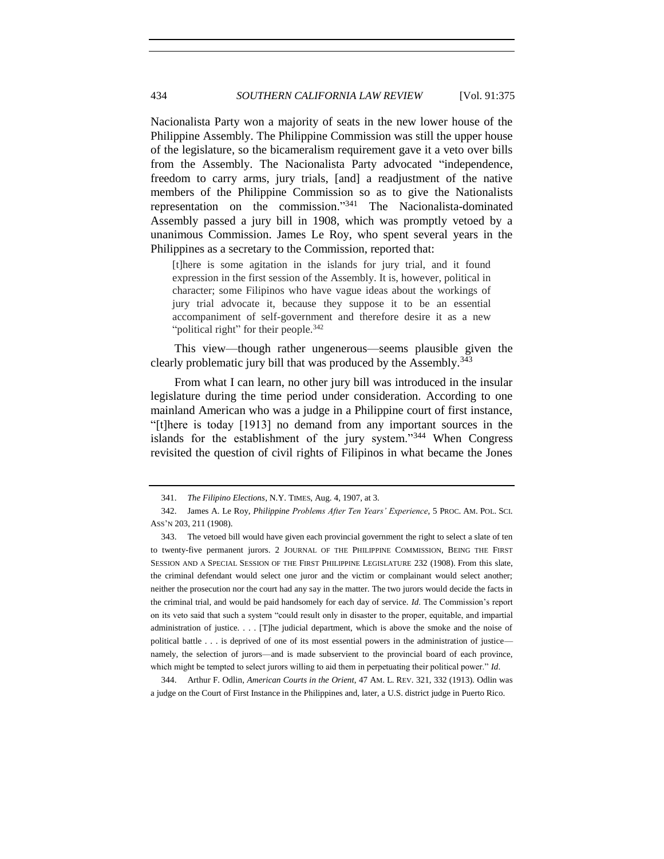Nacionalista Party won a majority of seats in the new lower house of the Philippine Assembly. The Philippine Commission was still the upper house of the legislature, so the bicameralism requirement gave it a veto over bills from the Assembly. The Nacionalista Party advocated "independence, freedom to carry arms, jury trials, [and] a readjustment of the native members of the Philippine Commission so as to give the Nationalists representation on the commission." <sup>341</sup> The Nacionalista-dominated Assembly passed a jury bill in 1908, which was promptly vetoed by a unanimous Commission. James Le Roy, who spent several years in the Philippines as a secretary to the Commission, reported that:

[t]here is some agitation in the islands for jury trial, and it found expression in the first session of the Assembly. It is, however, political in character; some Filipinos who have vague ideas about the workings of jury trial advocate it, because they suppose it to be an essential accompaniment of self-government and therefore desire it as a new "political right" for their people.<sup>342</sup>

This view—though rather ungenerous—seems plausible given the clearly problematic jury bill that was produced by the Assembly.<sup>343</sup>

From what I can learn, no other jury bill was introduced in the insular legislature during the time period under consideration. According to one mainland American who was a judge in a Philippine court of first instance, "[t]here is today [1913] no demand from any important sources in the islands for the establishment of the jury system."<sup>344</sup> When Congress revisited the question of civil rights of Filipinos in what became the Jones

344. Arthur F. Odlin, *American Courts in the Orient*, 47 AM. L. REV. 321, 332 (1913). Odlin was a judge on the Court of First Instance in the Philippines and, later, a U.S. district judge in Puerto Rico.

<sup>341.</sup> *The Filipino Elections*, N.Y. TIMES, Aug. 4, 1907, at 3.

<sup>342.</sup> James A. Le Roy, *Philippine Problems After Ten Years' Experience*, 5 PROC. AM. POL. SCI. ASS'N 203, 211 (1908).

<sup>343.</sup> The vetoed bill would have given each provincial government the right to select a slate of ten to twenty-five permanent jurors. 2 JOURNAL OF THE PHILIPPINE COMMISSION, BEING THE FIRST SESSION AND A SPECIAL SESSION OF THE FIRST PHILIPPINE LEGISLATURE 232 (1908). From this slate, the criminal defendant would select one juror and the victim or complainant would select another; neither the prosecution nor the court had any say in the matter. The two jurors would decide the facts in the criminal trial, and would be paid handsomely for each day of service. *Id*. The Commission's report on its veto said that such a system "could result only in disaster to the proper, equitable, and impartial administration of justice. . . . [T]he judicial department, which is above the smoke and the noise of political battle . . . is deprived of one of its most essential powers in the administration of justice namely, the selection of jurors—and is made subservient to the provincial board of each province, which might be tempted to select jurors willing to aid them in perpetuating their political power." *Id*.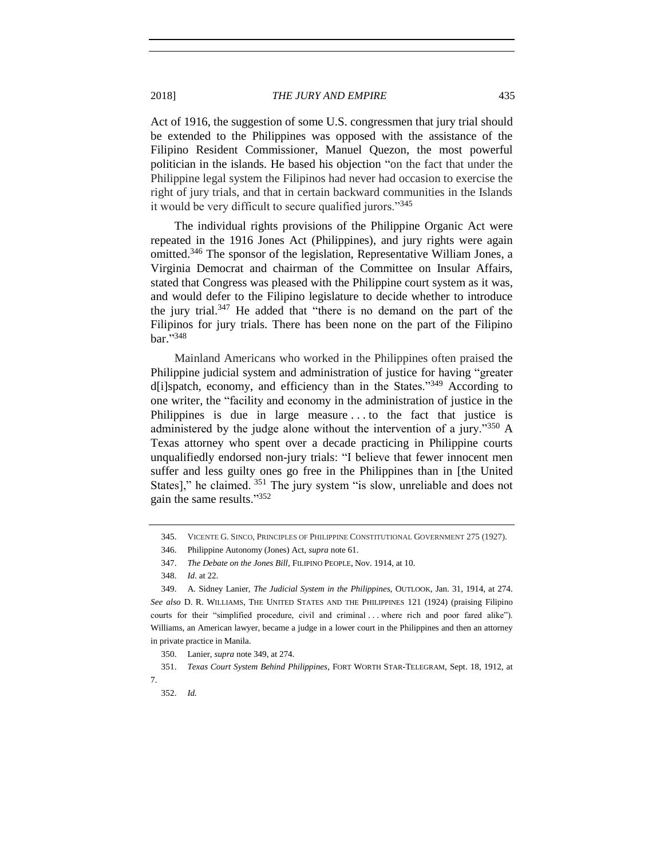2018] *THE JURY AND EMPIRE* 435

Act of 1916, the suggestion of some U.S. congressmen that jury trial should be extended to the Philippines was opposed with the assistance of the Filipino Resident Commissioner, Manuel Quezon, the most powerful politician in the islands. He based his objection "on the fact that under the Philippine legal system the Filipinos had never had occasion to exercise the right of jury trials, and that in certain backward communities in the Islands it would be very difficult to secure qualified jurors."<sup>345</sup>

The individual rights provisions of the Philippine Organic Act were repeated in the 1916 Jones Act (Philippines), and jury rights were again omitted.<sup>346</sup> The sponsor of the legislation, Representative William Jones, a Virginia Democrat and chairman of the Committee on Insular Affairs, stated that Congress was pleased with the Philippine court system as it was, and would defer to the Filipino legislature to decide whether to introduce the jury trial.<sup>347</sup> He added that "there is no demand on the part of the Filipinos for jury trials. There has been none on the part of the Filipino bar." 348

<span id="page-60-0"></span>Mainland Americans who worked in the Philippines often praised the Philippine judicial system and administration of justice for having "greater d[i]spatch, economy, and efficiency than in the States."<sup>349</sup> According to one writer, the "facility and economy in the administration of justice in the Philippines is due in large measure . . . to the fact that justice is administered by the judge alone without the intervention of a jury."<sup>350</sup> A Texas attorney who spent over a decade practicing in Philippine courts unqualifiedly endorsed non-jury trials: "I believe that fewer innocent men suffer and less guilty ones go free in the Philippines than in [the United States]," he claimed. <sup>351</sup> The jury system "is slow, unreliable and does not gain the same results." 352

<sup>345.</sup> VICENTE G. SINCO, PRINCIPLES OF PHILIPPINE CONSTITUTIONAL GOVERNMENT 275 (1927).

<sup>346.</sup> Philippine Autonomy (Jones) Act, *supra* note [61.](#page-15-0) 

<sup>347.</sup> *The Debate on the Jones Bill,* FILIPINO PEOPLE, Nov. 1914, at 10.

<sup>348.</sup> *Id*. at 22.

<sup>349.</sup> A. Sidney Lanier, *The Judicial System in the Philippines*, OUTLOOK, Jan. 31, 1914, at 274. *See also* D. R. WILLIAMS, THE UNITED STATES AND THE PHILIPPINES 121 (1924) (praising Filipino courts for their "simplified procedure, civil and criminal . . . where rich and poor fared alike"). Williams, an American lawyer, became a judge in a lower court in the Philippines and then an attorney in private practice in Manila.

<sup>350.</sup> Lanier, *supra* note [349,](#page-60-0) at 274.

<sup>351.</sup> *Texas Court System Behind Philippines*, FORT WORTH STAR-TELEGRAM, Sept. 18, 1912, at 7.

<sup>352.</sup> *Id.*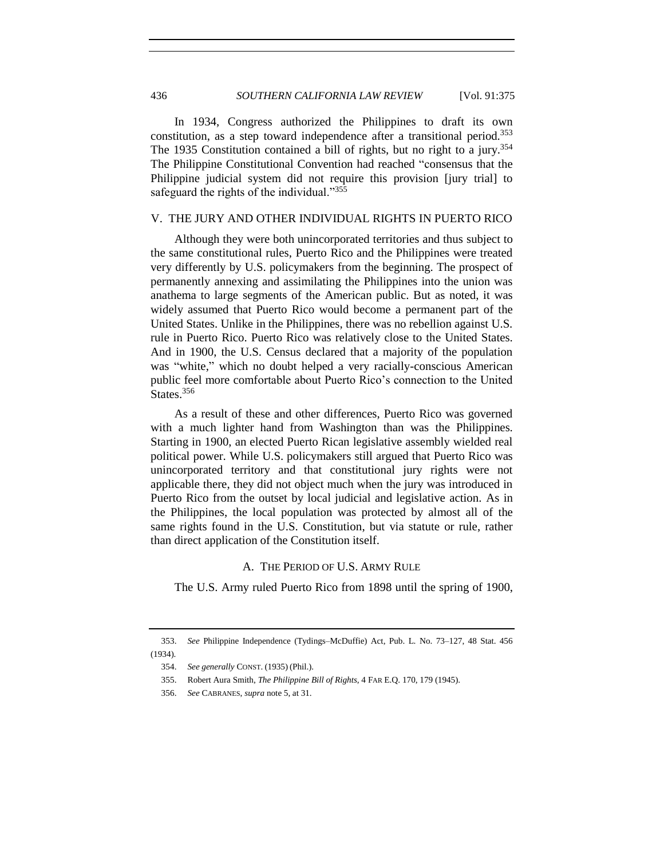In 1934, Congress authorized the Philippines to draft its own constitution, as a step toward independence after a transitional period.<sup>353</sup> The 1935 Constitution contained a bill of rights, but no right to a jury.<sup>354</sup> The Philippine Constitutional Convention had reached "consensus that the Philippine judicial system did not require this provision [jury trial] to safeguard the rights of the individual."<sup>355</sup>

### V. THE JURY AND OTHER INDIVIDUAL RIGHTS IN PUERTO RICO

Although they were both unincorporated territories and thus subject to the same constitutional rules, Puerto Rico and the Philippines were treated very differently by U.S. policymakers from the beginning. The prospect of permanently annexing and assimilating the Philippines into the union was anathema to large segments of the American public. But as noted, it was widely assumed that Puerto Rico would become a permanent part of the United States. Unlike in the Philippines, there was no rebellion against U.S. rule in Puerto Rico. Puerto Rico was relatively close to the United States. And in 1900, the U.S. Census declared that a majority of the population was "white," which no doubt helped a very racially-conscious American public feel more comfortable about Puerto Rico's connection to the United States.<sup>356</sup>

As a result of these and other differences, Puerto Rico was governed with a much lighter hand from Washington than was the Philippines. Starting in 1900, an elected Puerto Rican legislative assembly wielded real political power. While U.S. policymakers still argued that Puerto Rico was unincorporated territory and that constitutional jury rights were not applicable there, they did not object much when the jury was introduced in Puerto Rico from the outset by local judicial and legislative action. As in the Philippines, the local population was protected by almost all of the same rights found in the U.S. Constitution, but via statute or rule, rather than direct application of the Constitution itself.

### A. THE PERIOD OF U.S. ARMY RULE

The U.S. Army ruled Puerto Rico from 1898 until the spring of 1900,

<sup>353.</sup> *See* Philippine Independence (Tydings–McDuffie) Act, Pub. L. No. 73–127, 48 Stat. 456 (1934).

<sup>354.</sup> *See generally* CONST. (1935) (Phil.).

<sup>355.</sup> Robert Aura Smith, *The Philippine Bill of Rights*, 4 FAR E.Q. 170, 179 (1945).

<sup>356.</sup> *See* CABRANES, *supra* note [5,](#page-3-0) at 31.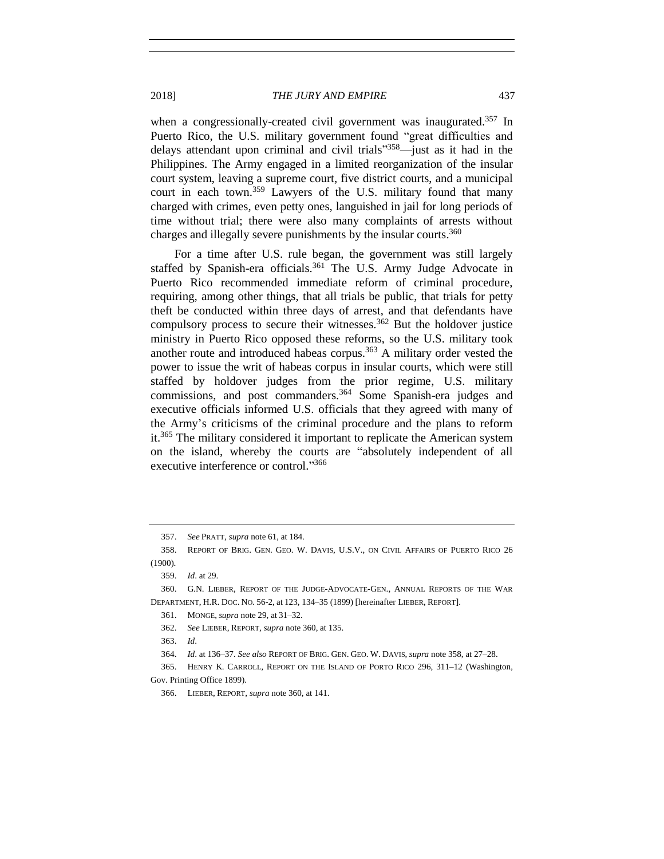2018] *THE JURY AND EMPIRE* 437

<span id="page-62-1"></span>when a congressionally-created civil government was inaugurated.<sup>357</sup> In Puerto Rico, the U.S. military government found "great difficulties and delays attendant upon criminal and civil trials" <sup>358</sup>—just as it had in the Philippines. The Army engaged in a limited reorganization of the insular court system, leaving a supreme court, five district courts, and a municipal court in each town.<sup>359</sup> Lawyers of the U.S. military found that many charged with crimes, even petty ones, languished in jail for long periods of time without trial; there were also many complaints of arrests without charges and illegally severe punishments by the insular courts.<sup>360</sup>

<span id="page-62-0"></span>For a time after U.S. rule began, the government was still largely staffed by Spanish-era officials.<sup>361</sup> The U.S. Army Judge Advocate in Puerto Rico recommended immediate reform of criminal procedure, requiring, among other things, that all trials be public, that trials for petty theft be conducted within three days of arrest, and that defendants have compulsory process to secure their witnesses.<sup>362</sup> But the holdover justice ministry in Puerto Rico opposed these reforms, so the U.S. military took another route and introduced habeas corpus.<sup>363</sup> A military order vested the power to issue the writ of habeas corpus in insular courts, which were still staffed by holdover judges from the prior regime, U.S. military commissions, and post commanders.<sup>364</sup> Some Spanish-era judges and executive officials informed U.S. officials that they agreed with many of the Army's criticisms of the criminal procedure and the plans to reform it.<sup>365</sup> The military considered it important to replicate the American system on the island, whereby the courts are "absolutely independent of all executive interference or control."366

<span id="page-62-2"></span><sup>357.</sup> *See* PRATT, *supra* not[e 61,](#page-15-0) at 184.

<sup>358.</sup> REPORT OF BRIG. GEN. GEO. W. DAVIS, U.S.V., ON CIVIL AFFAIRS OF PUERTO RICO 26 (1900).

<sup>359.</sup> *Id*. at 29.

<sup>360.</sup> G.N. LIEBER, REPORT OF THE JUDGE-ADVOCATE-GEN., ANNUAL REPORTS OF THE WAR DEPARTMENT, H.R. DOC. NO. 56-2, at 123, 134–35 (1899) [hereinafter LIEBER, REPORT].

<sup>361.</sup> MONGE, *supra* note [29,](#page-8-0) at 31–32.

<sup>362.</sup> *See* LIEBER, REPORT, *supra* not[e 360,](#page-62-0) at 135.

<sup>363.</sup> *Id*.

<sup>364.</sup> *Id*. at 136–37. *See also* REPORT OF BRIG. GEN. GEO. W. DAVIS, *supra* not[e 358,](#page-62-1) at 27–28.

<sup>365.</sup> HENRY K. CARROLL, REPORT ON THE ISLAND OF PORTO RICO 296, 311–12 (Washington, Gov. Printing Office 1899).

<sup>366.</sup> LIEBER, REPORT, *supra* not[e 360,](#page-62-0) at 141.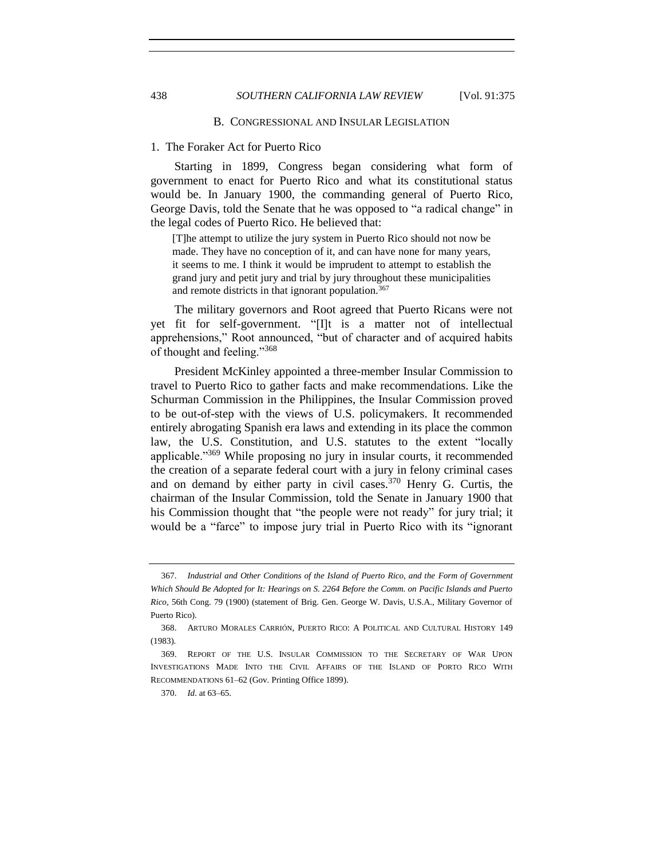#### B. CONGRESSIONAL AND INSULAR LEGISLATION

### 1. The Foraker Act for Puerto Rico

Starting in 1899, Congress began considering what form of government to enact for Puerto Rico and what its constitutional status would be. In January 1900, the commanding general of Puerto Rico, George Davis, told the Senate that he was opposed to "a radical change" in the legal codes of Puerto Rico. He believed that:

<span id="page-63-0"></span>[T]he attempt to utilize the jury system in Puerto Rico should not now be made. They have no conception of it, and can have none for many years, it seems to me. I think it would be imprudent to attempt to establish the grand jury and petit jury and trial by jury throughout these municipalities and remote districts in that ignorant population.<sup>367</sup>

The military governors and Root agreed that Puerto Ricans were not yet fit for self-government. "[I]t is a matter not of intellectual apprehensions," Root announced, "but of character and of acquired habits of thought and feeling."<sup>368</sup>

President McKinley appointed a three-member Insular Commission to travel to Puerto Rico to gather facts and make recommendations. Like the Schurman Commission in the Philippines, the Insular Commission proved to be out-of-step with the views of U.S. policymakers. It recommended entirely abrogating Spanish era laws and extending in its place the common law, the U.S. Constitution, and U.S. statutes to the extent "locally applicable."<sup>369</sup> While proposing no jury in insular courts, it recommended the creation of a separate federal court with a jury in felony criminal cases and on demand by either party in civil cases.<sup>370</sup> Henry G. Curtis, the chairman of the Insular Commission, told the Senate in January 1900 that his Commission thought that "the people were not ready" for jury trial; it would be a "farce" to impose jury trial in Puerto Rico with its "ignorant

<sup>367.</sup> *Industrial and Other Conditions of the Island of Puerto Rico, and the Form of Government Which Should Be Adopted for It: Hearings on S. 2264 Before the Comm. on Pacific Islands and Puerto Rico,* 56th Cong. 79 (1900) (statement of Brig. Gen. George W. Davis, U.S.A., Military Governor of Puerto Rico).

<sup>368.</sup> ARTURO MORALES CARRIÓN, PUERTO RICO: A POLITICAL AND CULTURAL HISTORY 149 (1983).

<sup>369.</sup> REPORT OF THE U.S. INSULAR COMMISSION TO THE SECRETARY OF WAR UPON INVESTIGATIONS MADE INTO THE CIVIL AFFAIRS OF THE ISLAND OF PORTO RICO WITH RECOMMENDATIONS 61–62 (Gov. Printing Office 1899).

<sup>370.</sup> *Id*. at 63–65.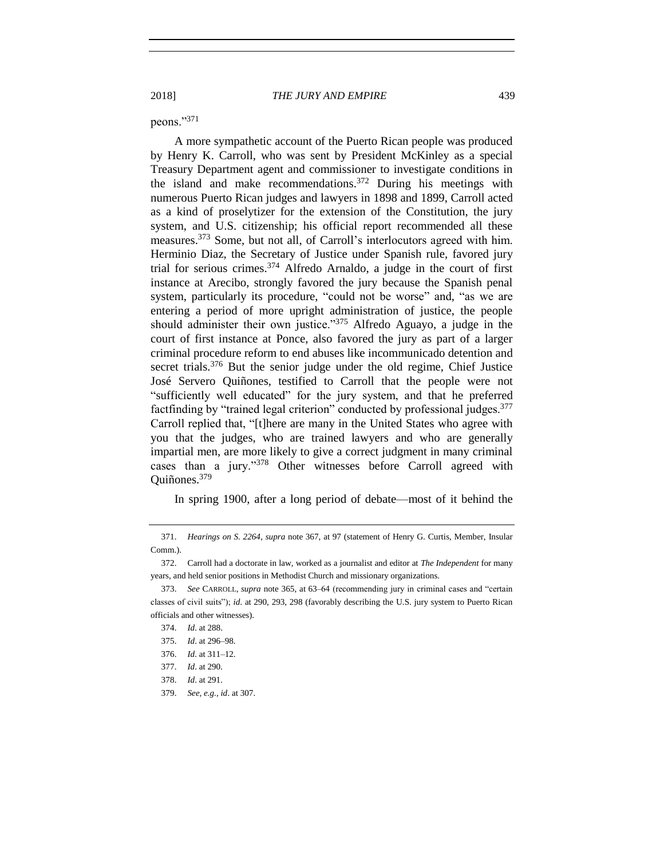peons."<sup>371</sup>

A more sympathetic account of the Puerto Rican people was produced by Henry K. Carroll, who was sent by President McKinley as a special Treasury Department agent and commissioner to investigate conditions in the island and make recommendations.<sup>372</sup> During his meetings with numerous Puerto Rican judges and lawyers in 1898 and 1899, Carroll acted as a kind of proselytizer for the extension of the Constitution, the jury system, and U.S. citizenship; his official report recommended all these measures.<sup>373</sup> Some, but not all, of Carroll's interlocutors agreed with him. Herminio Diaz, the Secretary of Justice under Spanish rule, favored jury trial for serious crimes.<sup>374</sup> Alfredo Arnaldo, a judge in the court of first instance at Arecibo, strongly favored the jury because the Spanish penal system, particularly its procedure, "could not be worse" and, "as we are entering a period of more upright administration of justice, the people should administer their own justice."<sup>375</sup> Alfredo Aguayo, a judge in the court of first instance at Ponce, also favored the jury as part of a larger criminal procedure reform to end abuses like incommunicado detention and secret trials.<sup>376</sup> But the senior judge under the old regime, Chief Justice José Servero Quiñones, testified to Carroll that the people were not "sufficiently well educated" for the jury system, and that he preferred factfinding by "trained legal criterion" conducted by professional judges.<sup>377</sup> Carroll replied that, "[t]here are many in the United States who agree with you that the judges, who are trained lawyers and who are generally impartial men, are more likely to give a correct judgment in many criminal cases than a jury."<sup>378</sup> Other witnesses before Carroll agreed with Quiñones.<sup>379</sup>

In spring 1900, after a long period of debate—most of it behind the

<sup>371.</sup> *Hearings on S. 2264*, *supra* note [367,](#page-63-0) at 97 (statement of Henry G. Curtis, Member, Insular Comm.).

<sup>372.</sup> Carroll had a doctorate in law, worked as a journalist and editor at *The Independent* for many years, and held senior positions in Methodist Church and missionary organizations.

<sup>373.</sup> *See* CARROLL, *supra* not[e 365,](#page-62-2) at 63–64 (recommending jury in criminal cases and "certain classes of civil suits"); *id*. at 290, 293, 298 (favorably describing the U.S. jury system to Puerto Rican officials and other witnesses).

<sup>374.</sup> *Id*. at 288.

<sup>375.</sup> *Id*. at 296–98.

<sup>376.</sup> *Id*. at 311–12.

<sup>377.</sup> *Id*. at 290.

<sup>378.</sup> *Id*. at 291.

<sup>379.</sup> *See, e.g., id*. at 307.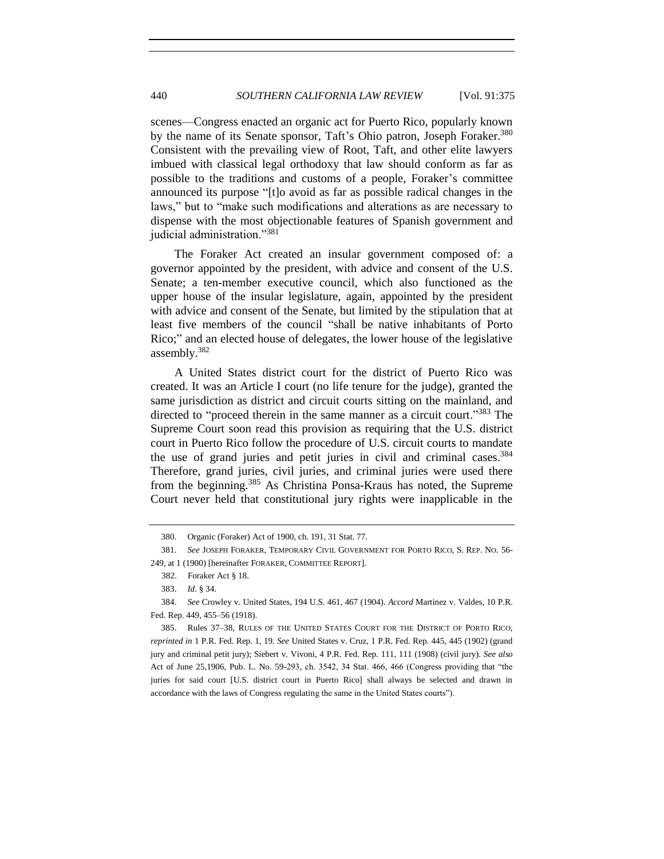scenes—Congress enacted an organic act for Puerto Rico, popularly known by the name of its Senate sponsor, Taft's Ohio patron, Joseph Foraker.<sup>380</sup> Consistent with the prevailing view of Root, Taft, and other elite lawyers imbued with classical legal orthodoxy that law should conform as far as possible to the traditions and customs of a people, Foraker's committee announced its purpose "[t]o avoid as far as possible radical changes in the laws," but to "make such modifications and alterations as are necessary to dispense with the most objectionable features of Spanish government and judicial administration."<sup>381</sup>

<span id="page-65-0"></span>The Foraker Act created an insular government composed of: a governor appointed by the president, with advice and consent of the U.S. Senate; a ten-member executive council, which also functioned as the upper house of the insular legislature, again, appointed by the president with advice and consent of the Senate, but limited by the stipulation that at least five members of the council "shall be native inhabitants of Porto Rico;" and an elected house of delegates, the lower house of the legislative assembly. 382

A United States district court for the district of Puerto Rico was created. It was an Article I court (no life tenure for the judge), granted the same jurisdiction as district and circuit courts sitting on the mainland, and directed to "proceed therein in the same manner as a circuit court."<sup>383</sup> The Supreme Court soon read this provision as requiring that the U.S. district court in Puerto Rico follow the procedure of U.S. circuit courts to mandate the use of grand juries and petit juries in civil and criminal cases.<sup>384</sup> Therefore, grand juries, civil juries, and criminal juries were used there from the beginning.<sup>385</sup> As Christina Ponsa-Kraus has noted, the Supreme Court never held that constitutional jury rights were inapplicable in the

<sup>380.</sup> Organic (Foraker) Act of 1900, ch. 191, 31 Stat. 77.

<sup>381.</sup> *See* JOSEPH FORAKER, TEMPORARY CIVIL GOVERNMENT FOR PORTO RICO, S. REP. NO. 56- 249, at 1 (1900) [hereinafter FORAKER, COMMITTEE REPORT].

 <sup>382.</sup> Foraker Act § 18.

<sup>383.</sup> *Id*. § 34.

<sup>384.</sup> *See* Crowley v. United States, 194 U.S. 461, 467 (1904). *Accord* Martinez v. Valdes, 10 P.R. Fed. Rep. 449, 455–56 (1918).

<sup>385.</sup> Rules 37–38, RULES OF THE UNITED STATES COURT FOR THE DISTRICT OF PORTO RICO, *reprinted in* 1 P.R. Fed. Rep. 1, 19. *See* United States v. Cruz, 1 P.R. Fed. Rep. 445, 445 (1902) (grand jury and criminal petit jury); Siebert v. Vivoni, 4 P.R. Fed. Rep. 111, 111 (1908) (civil jury). *See also* Act of June 25,1906, Pub. L. No. 59-293, ch. 3542, 34 Stat. 466, 466 (Congress providing that "the juries for said court [U.S. district court in Puerto Rico] shall always be selected and drawn in accordance with the laws of Congress regulating the same in the United States courts").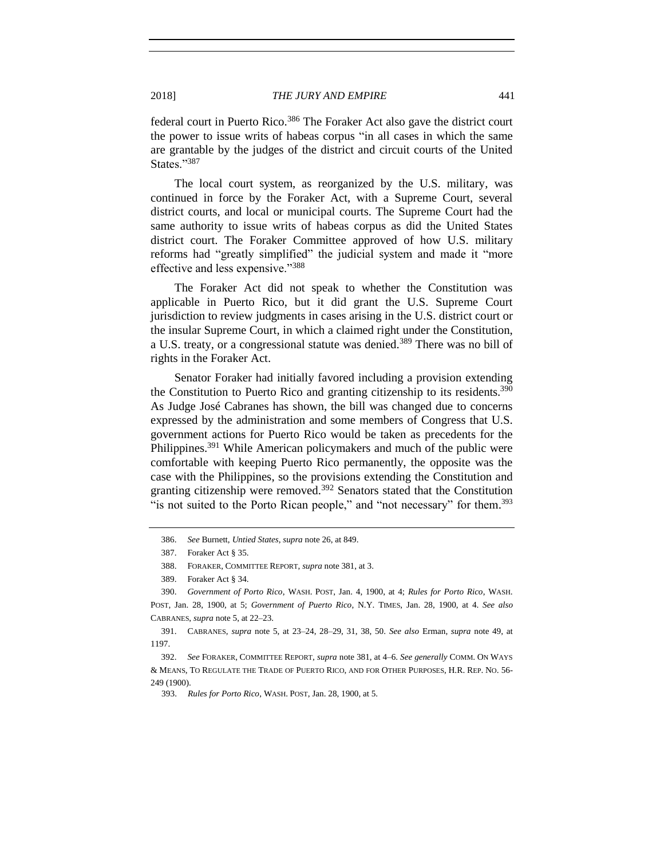federal court in Puerto Rico.<sup>386</sup> The Foraker Act also gave the district court the power to issue writs of habeas corpus "in all cases in which the same are grantable by the judges of the district and circuit courts of the United States."387

The local court system, as reorganized by the U.S. military, was continued in force by the Foraker Act, with a Supreme Court, several district courts, and local or municipal courts. The Supreme Court had the same authority to issue writs of habeas corpus as did the United States district court. The Foraker Committee approved of how U.S. military reforms had "greatly simplified" the judicial system and made it "more effective and less expensive."<sup>388</sup>

The Foraker Act did not speak to whether the Constitution was applicable in Puerto Rico, but it did grant the U.S. Supreme Court jurisdiction to review judgments in cases arising in the U.S. district court or the insular Supreme Court, in which a claimed right under the Constitution, a U.S. treaty, or a congressional statute was denied.<sup>389</sup> There was no bill of rights in the Foraker Act.

Senator Foraker had initially favored including a provision extending the Constitution to Puerto Rico and granting citizenship to its residents.<sup>390</sup> As Judge José Cabranes has shown, the bill was changed due to concerns expressed by the administration and some members of Congress that U.S. government actions for Puerto Rico would be taken as precedents for the Philippines.<sup>391</sup> While American policymakers and much of the public were comfortable with keeping Puerto Rico permanently, the opposite was the case with the Philippines, so the provisions extending the Constitution and granting citizenship were removed.<sup>392</sup> Senators stated that the Constitution "is not suited to the Porto Rican people," and "not necessary" for them.<sup>393</sup>

391. CABRANES, *supra* note [5,](#page-3-0) at 23–24, 28–29, 31, 38, 50. *See also* Erman, *supra* note [49,](#page-13-0) at 1197.

<sup>386.</sup> *See* Burnett, *Untied States*, *supra* not[e 26,](#page-7-0) at 849.

<sup>387.</sup> Foraker Act § 35.

<sup>388.</sup> FORAKER, COMMITTEE REPORT, *supra* not[e 381,](#page-65-0) at 3.

<sup>389.</sup> Foraker Act § 34.

<sup>390.</sup> *Government of Porto Rico*, WASH. POST, Jan. 4, 1900, at 4; *Rules for Porto Rico*, WASH. POST, Jan. 28, 1900, at 5; *Government of Puerto Rico*, N.Y. TIMES, Jan. 28, 1900, at 4. *See also* CABRANES, *supra* not[e 5,](#page-3-0) at 22–23.

<sup>392.</sup> *See* FORAKER, COMMITTEE REPORT, *supra* note [381,](#page-65-0) at 4–6. *See generally* COMM. ON WAYS & MEANS, TO REGULATE THE TRADE OF PUERTO RICO, AND FOR OTHER PURPOSES, H.R. REP. NO. 56- 249 (1900).

 <sup>393.</sup> *Rules for Porto Rico*, WASH. POST, Jan. 28, 1900, at 5.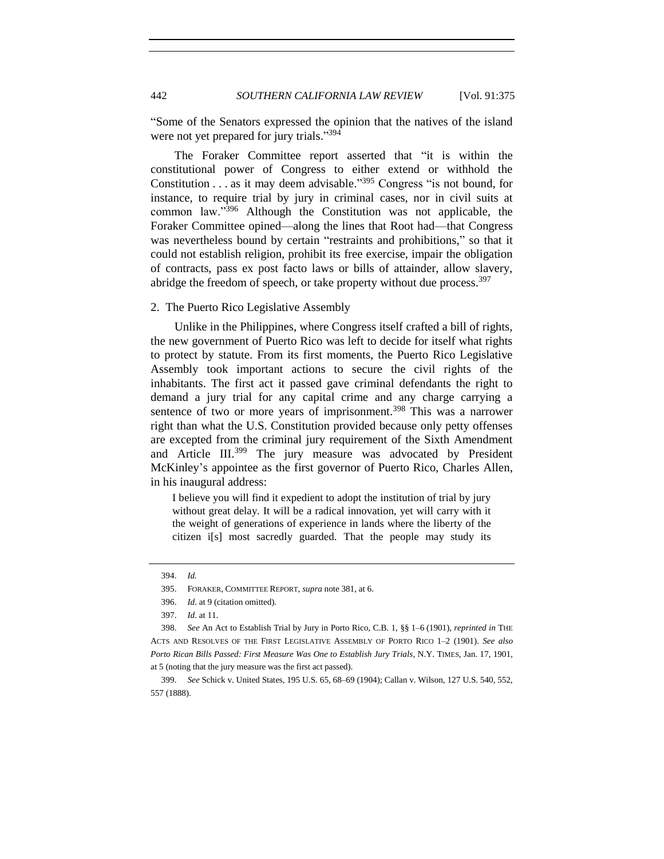"Some of the Senators expressed the opinion that the natives of the island were not yet prepared for jury trials."<sup>394</sup>

The Foraker Committee report asserted that "it is within the constitutional power of Congress to either extend or withhold the Constitution . . . as it may deem advisable." <sup>395</sup> Congress "is not bound, for instance, to require trial by jury in criminal cases, nor in civil suits at common law."<sup>396</sup> Although the Constitution was not applicable, the Foraker Committee opined—along the lines that Root had—that Congress was nevertheless bound by certain "restraints and prohibitions," so that it could not establish religion, prohibit its free exercise, impair the obligation of contracts, pass ex post facto laws or bills of attainder, allow slavery, abridge the freedom of speech, or take property without due process.<sup>397</sup>

### 2. The Puerto Rico Legislative Assembly

Unlike in the Philippines, where Congress itself crafted a bill of rights, the new government of Puerto Rico was left to decide for itself what rights to protect by statute. From its first moments, the Puerto Rico Legislative Assembly took important actions to secure the civil rights of the inhabitants. The first act it passed gave criminal defendants the right to demand a jury trial for any capital crime and any charge carrying a sentence of two or more years of imprisonment.<sup>398</sup> This was a narrower right than what the U.S. Constitution provided because only petty offenses are excepted from the criminal jury requirement of the Sixth Amendment and Article III.<sup>399</sup> The jury measure was advocated by President McKinley's appointee as the first governor of Puerto Rico, Charles Allen, in his inaugural address:

I believe you will find it expedient to adopt the institution of trial by jury without great delay. It will be a radical innovation, yet will carry with it the weight of generations of experience in lands where the liberty of the citizen i[s] most sacredly guarded. That the people may study its

<sup>394.</sup> *Id.*

<sup>395.</sup> FORAKER, COMMITTEE REPORT, *supra* not[e 381,](#page-65-0) at 6.

<sup>396.</sup> *Id*. at 9 (citation omitted).

<sup>397.</sup> *Id*. at 11.

<sup>398.</sup> *See* An Act to Establish Trial by Jury in Porto Rico, C.B. 1, §§ 1–6 (1901), *reprinted in* THE ACTS AND RESOLVES OF THE FIRST LEGISLATIVE ASSEMBLY OF PORTO RICO 1–2 (1901). *See also Porto Rican Bills Passed: First Measure Was One to Establish Jury Trials*, N.Y. TIMES, Jan. 17, 1901, at 5 (noting that the jury measure was the first act passed).

<sup>399.</sup> *See* Schick v. United States, 195 U.S. 65, 68–69 (1904); Callan v. Wilson, 127 U.S. 540, 552, 557 (1888).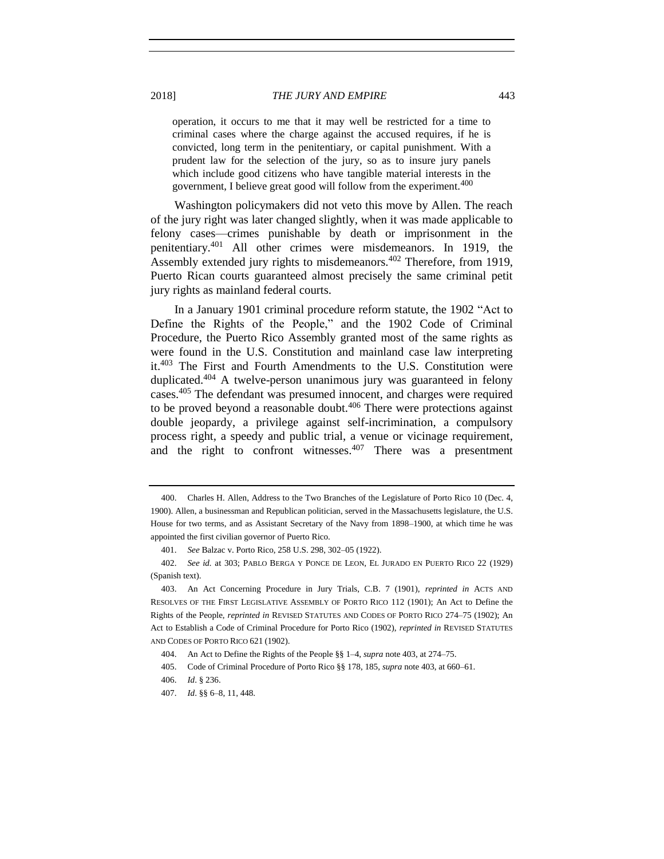operation, it occurs to me that it may well be restricted for a time to criminal cases where the charge against the accused requires, if he is convicted, long term in the penitentiary, or capital punishment. With a prudent law for the selection of the jury, so as to insure jury panels which include good citizens who have tangible material interests in the government, I believe great good will follow from the experiment.<sup>400</sup>

Washington policymakers did not veto this move by Allen. The reach of the jury right was later changed slightly, when it was made applicable to felony cases—crimes punishable by death or imprisonment in the penitentiary.<sup>401</sup> All other crimes were misdemeanors. In 1919, the Assembly extended jury rights to misdemeanors.<sup>402</sup> Therefore, from 1919, Puerto Rican courts guaranteed almost precisely the same criminal petit jury rights as mainland federal courts.

<span id="page-68-0"></span>In a January 1901 criminal procedure reform statute, the 1902 "Act to Define the Rights of the People," and the 1902 Code of Criminal Procedure, the Puerto Rico Assembly granted most of the same rights as were found in the U.S. Constitution and mainland case law interpreting it.<sup>403</sup> The First and Fourth Amendments to the U.S. Constitution were duplicated.<sup>404</sup> A twelve-person unanimous jury was guaranteed in felony cases.<sup>405</sup> The defendant was presumed innocent, and charges were required to be proved beyond a reasonable doubt. $406$  There were protections against double jeopardy, a privilege against self-incrimination, a compulsory process right, a speedy and public trial, a venue or vicinage requirement, and the right to confront witnesses.  $407$  There was a presentment

<sup>400.</sup> Charles H. Allen, Address to the Two Branches of the Legislature of Porto Rico 10 (Dec. 4, 1900). Allen, a businessman and Republican politician, served in the Massachusetts legislature, the U.S. House for two terms, and as Assistant Secretary of the Navy from 1898–1900, at which time he was appointed the first civilian governor of Puerto Rico.

<sup>401.</sup> *See* Balzac v. Porto Rico, 258 U.S. 298, 302–05 (1922).

<sup>402.</sup> *See id.* at 303; PABLO BERGA Y PONCE DE LEON, EL JURADO EN PUERTO RICO 22 (1929) (Spanish text).

<sup>403.</sup> An Act Concerning Procedure in Jury Trials, C.B. 7 (1901), *reprinted in* ACTS AND RESOLVES OF THE FIRST LEGISLATIVE ASSEMBLY OF PORTO RICO 112 (1901); An Act to Define the Rights of the People, *reprinted in* REVISED STATUTES AND CODES OF PORTO RICO 274–75 (1902); An Act to Establish a Code of Criminal Procedure for Porto Rico (1902), *reprinted in* REVISED STATUTES AND CODES OF PORTO RICO 621 (1902).

<sup>404.</sup> An Act to Define the Rights of the People §§ 1–4, *supra* not[e 403,](#page-68-0) at 274–75.

<sup>405.</sup> Code of Criminal Procedure of Porto Rico §§ 178, 185, *supra* not[e 403,](#page-68-0) at 660–61.

<sup>406.</sup> *Id*. § 236.

<sup>407.</sup> *Id*. §§ 6–8, 11, 448.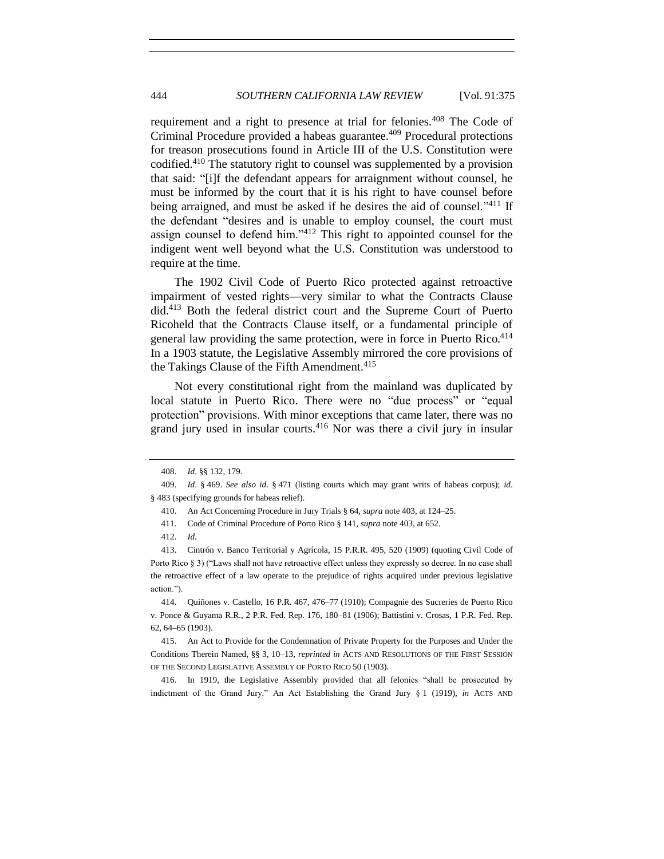requirement and a right to presence at trial for felonies.<sup>408</sup> The Code of Criminal Procedure provided a habeas guarantee.<sup>409</sup> Procedural protections for treason prosecutions found in Article III of the U.S. Constitution were codified.<sup>410</sup> The statutory right to counsel was supplemented by a provision that said: "[i]f the defendant appears for arraignment without counsel, he must be informed by the court that it is his right to have counsel before being arraigned, and must be asked if he desires the aid of counsel."<sup>411</sup> If the defendant "desires and is unable to employ counsel, the court must assign counsel to defend him."<sup>412</sup> This right to appointed counsel for the indigent went well beyond what the U.S. Constitution was understood to require at the time.

The 1902 Civil Code of Puerto Rico protected against retroactive impairment of vested rights—very similar to what the Contracts Clause did.<sup>413</sup> Both the federal district court and the Supreme Court of Puerto Ricoheld that the Contracts Clause itself, or a fundamental principle of general law providing the same protection, were in force in Puerto Rico.<sup>414</sup> In a 1903 statute, the Legislative Assembly mirrored the core provisions of the Takings Clause of the Fifth Amendment.<sup>415</sup>

Not every constitutional right from the mainland was duplicated by local statute in Puerto Rico. There were no "due process" or "equal protection" provisions. With minor exceptions that came later, there was no grand jury used in insular courts. $416$  Nor was there a civil jury in insular

416. In 1919, the Legislative Assembly provided that all felonies "shall be prosecuted by indictment of the Grand Jury." An Act Establishing the Grand Jury § 1 (1919), *in* ACTS AND

<sup>408.</sup> *Id*. §§ 132, 179.

<sup>409.</sup> *Id*. § 469. *See also id*. § 471 (listing courts which may grant writs of habeas corpus); *id*. § 483 (specifying grounds for habeas relief).

<sup>410.</sup> An Act Concerning Procedure in Jury Trials § 64, *supra* not[e 403,](#page-68-0) at 124–25.

<sup>411.</sup> Code of Criminal Procedure of Porto Rico § 141, *supra* not[e 403,](#page-68-0) at 652.

<sup>412.</sup> *Id.*

<sup>413.</sup> Cintrón v. Banco Territorial y Agrícola, 15 P.R.R. 495, 520 (1909) (quoting Civil Code of Porto Rico § 3) ("Laws shall not have retroactive effect unless they expressly so decree. In no case shall the retroactive effect of a law operate to the prejudice of rights acquired under previous legislative action.").

<sup>414.</sup> Quiñones v. Castello, 16 P.R. 467, 476–77 (1910); Compagnie des Sucreries de Puerto Rico v. Ponce & Guyama R.R., 2 P.R. Fed. Rep. 176, 180–81 (1906); Battistini v. Crosas, 1 P.R. Fed. Rep. 62, 64–65 (1903).

<sup>415.</sup> An Act to Provide for the Condemnation of Private Property for the Purposes and Under the Conditions Therein Named, §§ 3, 10–13, *reprinted in* ACTS AND RESOLUTIONS OF THE FIRST SESSION OF THE SECOND LEGISLATIVE ASSEMBLY OF PORTO RICO 50 (1903).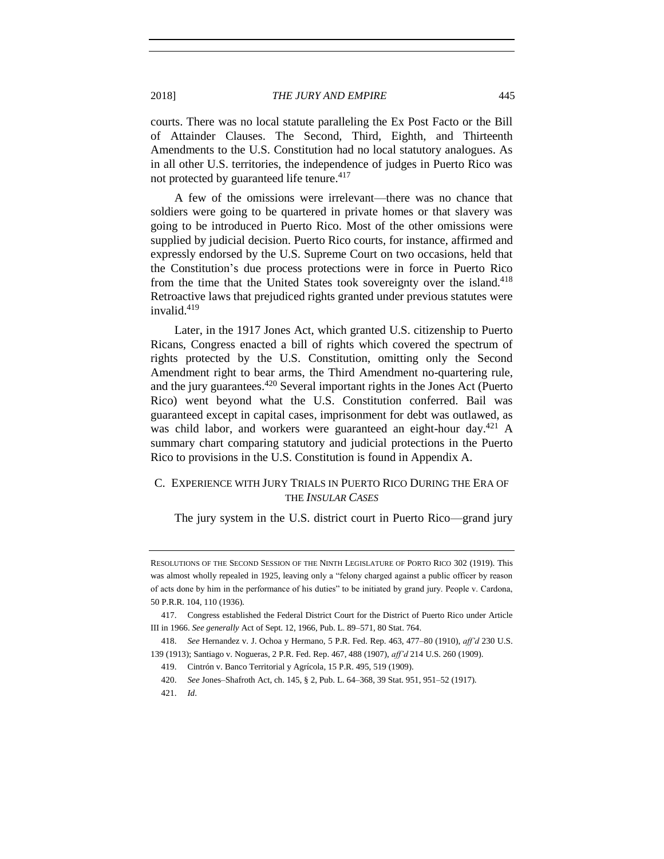2018] *THE JURY AND EMPIRE* 445

courts. There was no local statute paralleling the Ex Post Facto or the Bill of Attainder Clauses. The Second, Third, Eighth, and Thirteenth Amendments to the U.S. Constitution had no local statutory analogues. As in all other U.S. territories, the independence of judges in Puerto Rico was not protected by guaranteed life tenure.<sup>417</sup>

A few of the omissions were irrelevant—there was no chance that soldiers were going to be quartered in private homes or that slavery was going to be introduced in Puerto Rico. Most of the other omissions were supplied by judicial decision. Puerto Rico courts, for instance, affirmed and expressly endorsed by the U.S. Supreme Court on two occasions, held that the Constitution's due process protections were in force in Puerto Rico from the time that the United States took sovereignty over the island.<sup>418</sup> Retroactive laws that prejudiced rights granted under previous statutes were invalid.<sup>419</sup>

Later, in the 1917 Jones Act, which granted U.S. citizenship to Puerto Ricans, Congress enacted a bill of rights which covered the spectrum of rights protected by the U.S. Constitution, omitting only the Second Amendment right to bear arms, the Third Amendment no-quartering rule, and the jury guarantees.<sup>420</sup> Several important rights in the Jones Act (Puerto Rico) went beyond what the U.S. Constitution conferred. Bail was guaranteed except in capital cases, imprisonment for debt was outlawed, as was child labor, and workers were guaranteed an eight-hour day.<sup>421</sup> A summary chart comparing statutory and judicial protections in the Puerto Rico to provisions in the U.S. Constitution is found in Appendix A.

# C. EXPERIENCE WITH JURY TRIALS IN PUERTO RICO DURING THE ERA OF THE *INSULAR CASES*

The jury system in the U.S. district court in Puerto Rico—grand jury

RESOLUTIONS OF THE SECOND SESSION OF THE NINTH LEGISLATURE OF PORTO RICO 302 (1919). This was almost wholly repealed in 1925, leaving only a "felony charged against a public officer by reason of acts done by him in the performance of his duties" to be initiated by grand jury. People v. Cardona, 50 P.R.R. 104, 110 (1936).

<sup>417.</sup> Congress established the Federal District Court for the District of Puerto Rico under Article III in 1966. *See generally* Act of Sept. 12, 1966, Pub. L. 89–571, 80 Stat. 764.

<sup>418.</sup> *See* Hernandez v. J. Ochoa y Hermano, 5 P.R. Fed. Rep. 463, 477–80 (1910), *aff'd* 230 U.S. 139 (1913); Santiago v. Nogueras, 2 P.R. Fed. Rep. 467, 488 (1907), *aff'd* 214 U.S. 260 (1909).

<sup>419.</sup> Cintrón v. Banco Territorial y Agrícola, 15 P.R. 495, 519 (1909).

<sup>420.</sup> *See* Jones–Shafroth Act, ch. 145, § 2, Pub. L. 64–368, 39 Stat. 951, 951–52 (1917).

<sup>421.</sup> *Id*.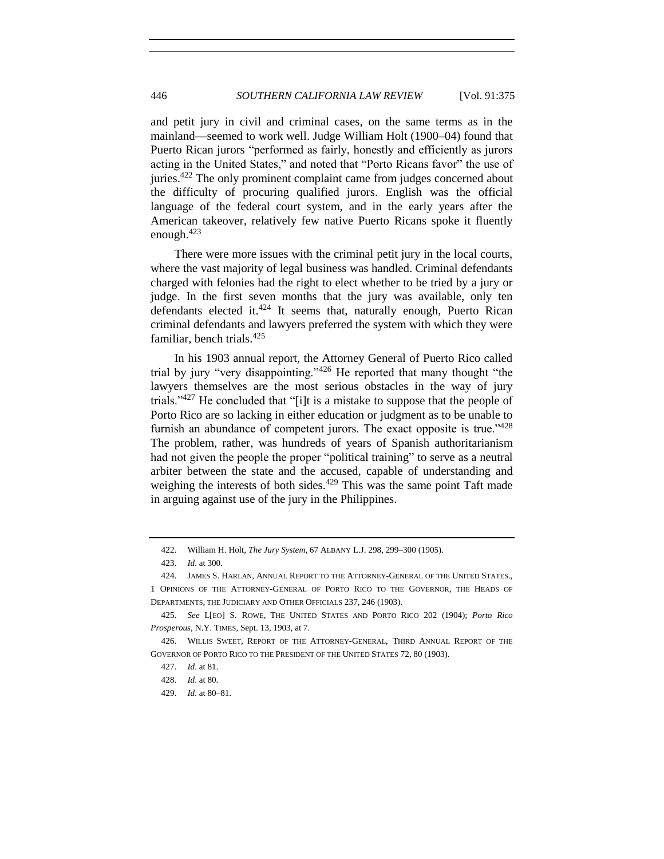and petit jury in civil and criminal cases, on the same terms as in the mainland—seemed to work well. Judge William Holt (1900–04) found that Puerto Rican jurors "performed as fairly, honestly and efficiently as jurors acting in the United States," and noted that "Porto Ricans favor" the use of juries.<sup>422</sup> The only prominent complaint came from judges concerned about the difficulty of procuring qualified jurors. English was the official language of the federal court system, and in the early years after the American takeover, relatively few native Puerto Ricans spoke it fluently enough. $423$ 

There were more issues with the criminal petit jury in the local courts, where the vast majority of legal business was handled. Criminal defendants charged with felonies had the right to elect whether to be tried by a jury or judge. In the first seven months that the jury was available, only ten defendants elected it. $424$  It seems that, naturally enough, Puerto Rican criminal defendants and lawyers preferred the system with which they were familiar, bench trials.<sup>425</sup>

In his 1903 annual report, the Attorney General of Puerto Rico called trial by jury "very disappointing."<sup>426</sup> He reported that many thought "the lawyers themselves are the most serious obstacles in the way of jury trials."<sup>427</sup> He concluded that "[i]t is a mistake to suppose that the people of Porto Rico are so lacking in either education or judgment as to be unable to furnish an abundance of competent jurors. The exact opposite is true." $428$ The problem, rather, was hundreds of years of Spanish authoritarianism had not given the people the proper "political training" to serve as a neutral arbiter between the state and the accused, capable of understanding and weighing the interests of both sides.<sup>429</sup> This was the same point Taft made in arguing against use of the jury in the Philippines.

<sup>422.</sup> William H. Holt, *The Jury System*, 67 ALBANY L.J. 298, 299–300 (1905).

<sup>423.</sup> *Id*. at 300.

<sup>424.</sup> JAMES S. HARLAN, ANNUAL REPORT TO THE ATTORNEY-GENERAL OF THE UNITED STATES., 1 OPINIONS OF THE ATTORNEY-GENERAL OF PORTO RICO TO THE GOVERNOR, THE HEADS OF DEPARTMENTS, THE JUDICIARY AND OTHER OFFICIALS 237, 246 (1903).

<sup>425.</sup> *See* L[EO] S. ROWE, THE UNITED STATES AND PORTO RICO 202 (1904); *Porto Rico Prosperous*, N.Y. TIMES, Sept. 13, 1903, at 7.

<sup>426.</sup> WILLIS SWEET, REPORT OF THE ATTORNEY-GENERAL, THIRD ANNUAL REPORT OF THE GOVERNOR OF PORTO RICO TO THE PRESIDENT OF THE UNITED STATES 72, 80 (1903).

<sup>427.</sup> *Id*. at 81.

<sup>428.</sup> *Id*. at 80.

<sup>429.</sup> *Id*. at 80–81.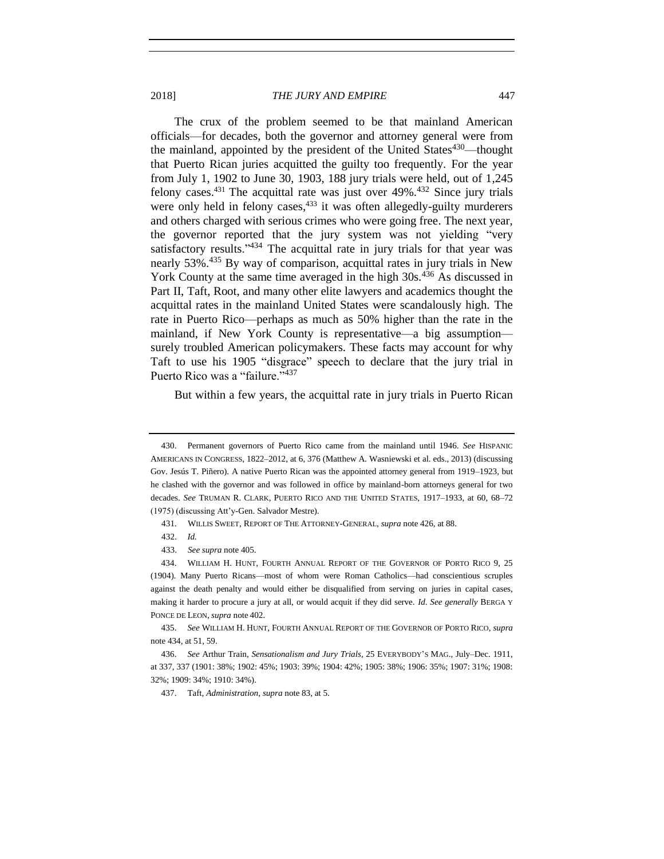<span id="page-72-0"></span>The crux of the problem seemed to be that mainland American officials—for decades, both the governor and attorney general were from the mainland, appointed by the president of the United States<sup>430</sup>—thought that Puerto Rican juries acquitted the guilty too frequently. For the year from July 1, 1902 to June 30, 1903, 188 jury trials were held, out of 1,245 felony cases. $431$  The acquittal rate was just over  $49\%$ .  $432$  Since jury trials were only held in felony cases, <sup>433</sup> it was often allegedly-guilty murderers and others charged with serious crimes who were going free. The next year, the governor reported that the jury system was not yielding "very satisfactory results." $434$  The acquittal rate in jury trials for that year was nearly 53%.<sup>435</sup> By way of comparison, acquittal rates in jury trials in New York County at the same time averaged in the high 30s.<sup>436</sup> As discussed in Part II, Taft, Root, and many other elite lawyers and academics thought the acquittal rates in the mainland United States were scandalously high. The rate in Puerto Rico—perhaps as much as 50% higher than the rate in the mainland, if New York County is representative—a big assumption surely troubled American policymakers. These facts may account for why Taft to use his 1905 "disgrace" speech to declare that the jury trial in Puerto Rico was a "failure."<sup>437</sup>

But within a few years, the acquittal rate in jury trials in Puerto Rican

<sup>430.</sup> Permanent governors of Puerto Rico came from the mainland until 1946. *See* HISPANIC AMERICANS IN CONGRESS, 1822–2012, at 6, 376 (Matthew A. Wasniewski et al. eds., 2013) (discussing Gov. Jesús T. Piñero). A native Puerto Rican was the appointed attorney general from 1919–1923, but he clashed with the governor and was followed in office by mainland-born attorneys general for two decades. *See* TRUMAN R. CLARK, PUERTO RICO AND THE UNITED STATES, 1917–1933, at 60, 68–72 (1975) (discussing Att'y-Gen. Salvador Mestre).

 <sup>431</sup>*.* WILLIS SWEET, REPORT OF THE ATTORNEY-GENERAL, *supra* not[e 426,](#page-71-0) at 88.

 <sup>432.</sup> *Id.*

 <sup>433.</sup> *See supra* not[e 405.](#page-68-0)

<sup>434.</sup> WILLIAM H. HUNT, FOURTH ANNUAL REPORT OF THE GOVERNOR OF PORTO RICO 9, 25 (1904). Many Puerto Ricans—most of whom were Roman Catholics—had conscientious scruples against the death penalty and would either be disqualified from serving on juries in capital cases, making it harder to procure a jury at all, or would acquit if they did serve. *Id*. *See generally* BERGA Y PONCE DE LEON, *supra* note [402.](#page-68-1)

<sup>435.</sup> *See* WILLIAM H. HUNT, FOURTH ANNUAL REPORT OF THE GOVERNOR OF PORTO RICO, *supra* note [434,](#page-72-0) at 51, 59.

<sup>436.</sup> *See* Arthur Train, *Sensationalism and Jury Trials*, 25 EVERYBODY'S MAG., July–Dec. 1911, at 337, 337 (1901: 38%; 1902: 45%; 1903: 39%; 1904: 42%; 1905: 38%; 1906: 35%; 1907: 31%; 1908: 32%; 1909: 34%; 1910: 34%).

<sup>437.</sup> Taft, *Administration*, *supra* not[e 83,](#page-19-0) at 5.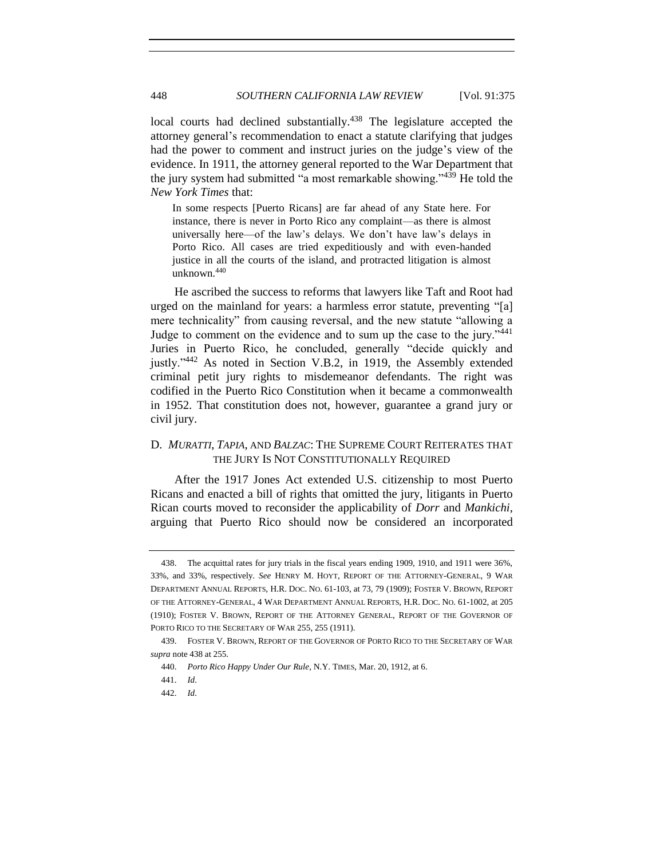<span id="page-73-0"></span>local courts had declined substantially.<sup>438</sup> The legislature accepted the attorney general's recommendation to enact a statute clarifying that judges had the power to comment and instruct juries on the judge's view of the evidence. In 1911, the attorney general reported to the War Department that the jury system had submitted "a most remarkable showing."<sup>439</sup> He told the *New York Times* that:

In some respects [Puerto Ricans] are far ahead of any State here. For instance, there is never in Porto Rico any complaint—as there is almost universally here—of the law's delays. We don't have law's delays in Porto Rico. All cases are tried expeditiously and with even-handed justice in all the courts of the island, and protracted litigation is almost unknown.<sup>440</sup>

He ascribed the success to reforms that lawyers like Taft and Root had urged on the mainland for years: a harmless error statute, preventing "[a] mere technicality" from causing reversal, and the new statute "allowing a Judge to comment on the evidence and to sum up the case to the jury."<sup>441</sup> Juries in Puerto Rico, he concluded, generally "decide quickly and justly."<sup>442</sup> As noted in Section V.B.2, in 1919, the Assembly extended criminal petit jury rights to misdemeanor defendants. The right was codified in the Puerto Rico Constitution when it became a commonwealth in 1952. That constitution does not, however, guarantee a grand jury or civil jury.

### D. *MURATTI*, *TAPIA*, AND *BALZAC*: THE SUPREME COURT REITERATES THAT THE JURY IS NOT CONSTITUTIONALLY REQUIRED

After the 1917 Jones Act extended U.S. citizenship to most Puerto Ricans and enacted a bill of rights that omitted the jury, litigants in Puerto Rican courts moved to reconsider the applicability of *Dorr* and *Mankichi*, arguing that Puerto Rico should now be considered an incorporated

<sup>438.</sup> The acquittal rates for jury trials in the fiscal years ending 1909, 1910, and 1911 were 36%, 33%, and 33%, respectively. *See* HENRY M. HOYT, REPORT OF THE ATTORNEY-GENERAL, 9 WAR DEPARTMENT ANNUAL REPORTS, H.R. DOC. NO. 61-103, at 73, 79 (1909); FOSTER V. BROWN, REPORT OF THE ATTORNEY-GENERAL, 4 WAR DEPARTMENT ANNUAL REPORTS, H.R. DOC. NO. 61-1002, at 205 (1910); FOSTER V. BROWN, REPORT OF THE ATTORNEY GENERAL, REPORT OF THE GOVERNOR OF PORTO RICO TO THE SECRETARY OF WAR 255, 255 (1911).

<sup>439.</sup> FOSTER V. BROWN, REPORT OF THE GOVERNOR OF PORTO RICO TO THE SECRETARY OF WAR *supra* not[e 438](#page-73-0) at 255.

<sup>440.</sup> *Porto Rico Happy Under Our Rule*, N.Y. TIMES, Mar. 20, 1912, at 6.

<sup>441.</sup> *Id*.

<sup>442.</sup> *Id*.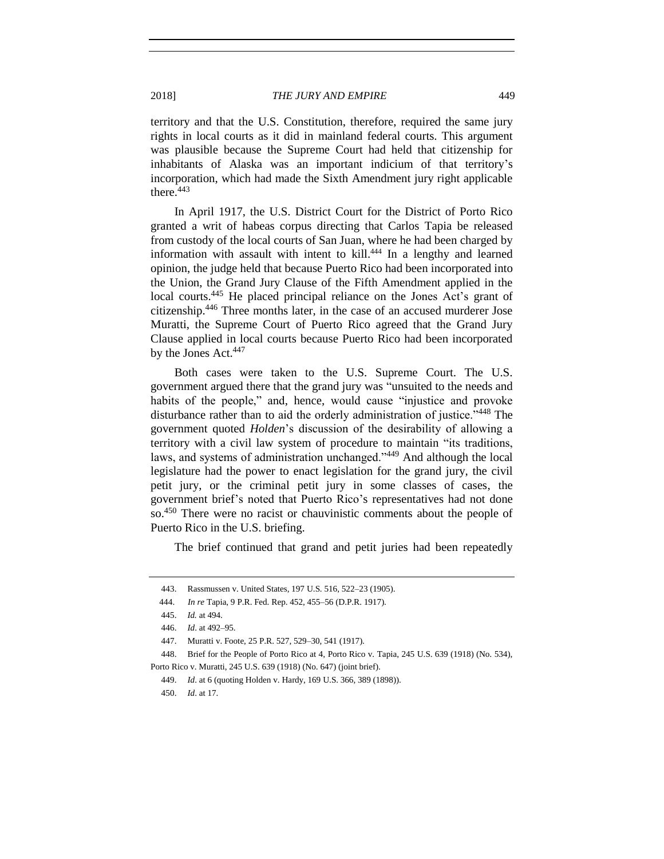territory and that the U.S. Constitution, therefore, required the same jury rights in local courts as it did in mainland federal courts. This argument was plausible because the Supreme Court had held that citizenship for inhabitants of Alaska was an important indicium of that territory's incorporation, which had made the Sixth Amendment jury right applicable there. $443$ 

In April 1917, the U.S. District Court for the District of Porto Rico granted a writ of habeas corpus directing that Carlos Tapia be released from custody of the local courts of San Juan, where he had been charged by information with assault with intent to kill. <sup>444</sup> In a lengthy and learned opinion, the judge held that because Puerto Rico had been incorporated into the Union, the Grand Jury Clause of the Fifth Amendment applied in the local courts.<sup>445</sup> He placed principal reliance on the Jones Act's grant of citizenship.<sup>446</sup> Three months later, in the case of an accused murderer Jose Muratti, the Supreme Court of Puerto Rico agreed that the Grand Jury Clause applied in local courts because Puerto Rico had been incorporated by the Jones Act.<sup>447</sup>

Both cases were taken to the U.S. Supreme Court. The U.S. government argued there that the grand jury was "unsuited to the needs and habits of the people," and, hence, would cause "injustice and provoke" disturbance rather than to aid the orderly administration of justice."<sup>448</sup> The government quoted *Holden*'s discussion of the desirability of allowing a territory with a civil law system of procedure to maintain "its traditions, laws, and systems of administration unchanged."<sup>449</sup> And although the local legislature had the power to enact legislation for the grand jury, the civil petit jury, or the criminal petit jury in some classes of cases, the government brief's noted that Puerto Rico's representatives had not done so. <sup>450</sup> There were no racist or chauvinistic comments about the people of Puerto Rico in the U.S. briefing.

The brief continued that grand and petit juries had been repeatedly

<sup>443.</sup> Rassmussen v. United States, 197 U.S. 516, 522–23 (1905).

 <sup>444.</sup> *In re* Tapia, 9 P.R. Fed. Rep. 452, 455–56 (D.P.R. 1917).

<sup>445.</sup> *Id.* at 494.

<sup>446.</sup> *Id*. at 492–95.

<sup>447.</sup> Muratti v. Foote, 25 P.R. 527, 529–30, 541 (1917).

<sup>448.</sup> Brief for the People of Porto Rico at 4, Porto Rico v. Tapia, 245 U.S. 639 (1918) (No. 534), Porto Rico v. Muratti, 245 U.S. 639 (1918) (No. 647) (joint brief).

<sup>449.</sup> *Id*. at 6 (quoting Holden v. Hardy, 169 U.S. 366, 389 (1898)).

<sup>450.</sup> *Id*. at 17.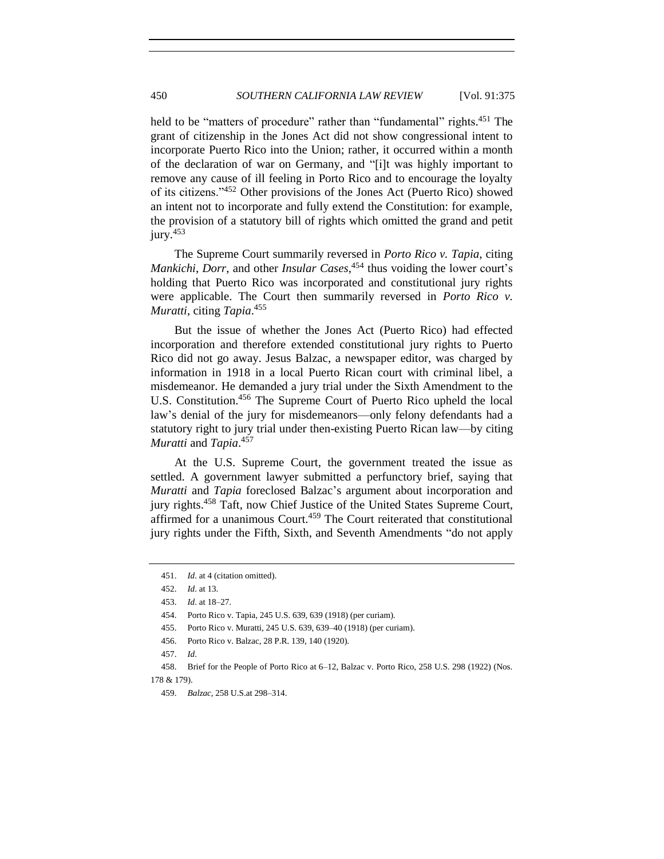held to be "matters of procedure" rather than "fundamental" rights.<sup>451</sup> The grant of citizenship in the Jones Act did not show congressional intent to incorporate Puerto Rico into the Union; rather, it occurred within a month of the declaration of war on Germany, and "[i]t was highly important to remove any cause of ill feeling in Porto Rico and to encourage the loyalty of its citizens."<sup>452</sup> Other provisions of the Jones Act (Puerto Rico) showed an intent not to incorporate and fully extend the Constitution: for example, the provision of a statutory bill of rights which omitted the grand and petit  $jurv.<sup>453</sup>$ 

The Supreme Court summarily reversed in *Porto Rico v. Tapia*, citing *Mankichi*, *Dorr*, and other *Insular Cases*, <sup>454</sup> thus voiding the lower court's holding that Puerto Rico was incorporated and constitutional jury rights were applicable. The Court then summarily reversed in *Porto Rico v. Muratti*, citing *Tapia*. 455

But the issue of whether the Jones Act (Puerto Rico) had effected incorporation and therefore extended constitutional jury rights to Puerto Rico did not go away. Jesus Balzac, a newspaper editor, was charged by information in 1918 in a local Puerto Rican court with criminal libel, a misdemeanor. He demanded a jury trial under the Sixth Amendment to the U.S. Constitution.<sup>456</sup> The Supreme Court of Puerto Rico upheld the local law's denial of the jury for misdemeanors—only felony defendants had a statutory right to jury trial under then-existing Puerto Rican law—by citing *Muratti* and *Tapia*. 457

At the U.S. Supreme Court, the government treated the issue as settled. A government lawyer submitted a perfunctory brief, saying that *Muratti* and *Tapia* foreclosed Balzac's argument about incorporation and jury rights.<sup>458</sup> Taft, now Chief Justice of the United States Supreme Court, affirmed for a unanimous Court.<sup>459</sup> The Court reiterated that constitutional jury rights under the Fifth, Sixth, and Seventh Amendments "do not apply

<sup>451.</sup> *Id*. at 4 (citation omitted).

<sup>452.</sup> *Id*. at 13.

<sup>453.</sup> *Id*. at 18–27.

<sup>454.</sup> Porto Rico v. Tapia, 245 U.S. 639, 639 (1918) (per curiam).

<sup>455.</sup> Porto Rico v. Muratti, 245 U.S. 639, 639–40 (1918) (per curiam).

<sup>456.</sup> Porto Rico v. Balzac, 28 P.R. 139, 140 (1920).

<sup>457.</sup> *Id*.

<sup>458.</sup> Brief for the People of Porto Rico at 6–12, Balzac v. Porto Rico, 258 U.S. 298 (1922) (Nos. 178 & 179).

<sup>459.</sup> *Balzac*, 258 U.S.at 298–314.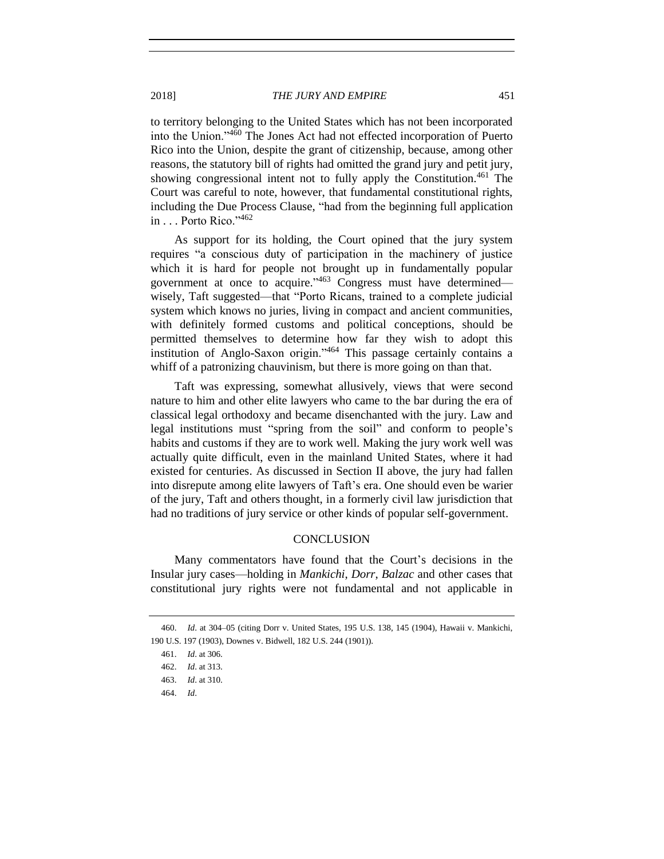to territory belonging to the United States which has not been incorporated into the Union."<sup>460</sup> The Jones Act had not effected incorporation of Puerto Rico into the Union, despite the grant of citizenship, because, among other reasons, the statutory bill of rights had omitted the grand jury and petit jury, showing congressional intent not to fully apply the Constitution.<sup>461</sup> The Court was careful to note, however, that fundamental constitutional rights, including the Due Process Clause, "had from the beginning full application in . . . Porto Rico."<sup>462</sup>

As support for its holding, the Court opined that the jury system requires "a conscious duty of participation in the machinery of justice which it is hard for people not brought up in fundamentally popular government at once to acquire."<sup>463</sup> Congress must have determined wisely, Taft suggested—that "Porto Ricans, trained to a complete judicial system which knows no juries, living in compact and ancient communities, with definitely formed customs and political conceptions, should be permitted themselves to determine how far they wish to adopt this institution of Anglo-Saxon origin."<sup>464</sup> This passage certainly contains a whiff of a patronizing chauvinism, but there is more going on than that.

Taft was expressing, somewhat allusively, views that were second nature to him and other elite lawyers who came to the bar during the era of classical legal orthodoxy and became disenchanted with the jury. Law and legal institutions must "spring from the soil" and conform to people's habits and customs if they are to work well. Making the jury work well was actually quite difficult, even in the mainland United States, where it had existed for centuries. As discussed in Section II above, the jury had fallen into disrepute among elite lawyers of Taft's era. One should even be warier of the jury, Taft and others thought, in a formerly civil law jurisdiction that had no traditions of jury service or other kinds of popular self-government.

#### **CONCLUSION**

Many commentators have found that the Court's decisions in the Insular jury cases—holding in *Mankichi*, *Dorr*, *Balzac* and other cases that constitutional jury rights were not fundamental and not applicable in

<sup>460.</sup> *Id*. at 304–05 (citing Dorr v. United States, 195 U.S. 138, 145 (1904), Hawaii v. Mankichi, 190 U.S. 197 (1903), Downes v. Bidwell, 182 U.S. 244 (1901)).

<sup>461.</sup> *Id*. at 306.

<sup>462.</sup> *Id*. at 313.

<sup>463.</sup> *Id*. at 310.

<sup>464.</sup> *Id*.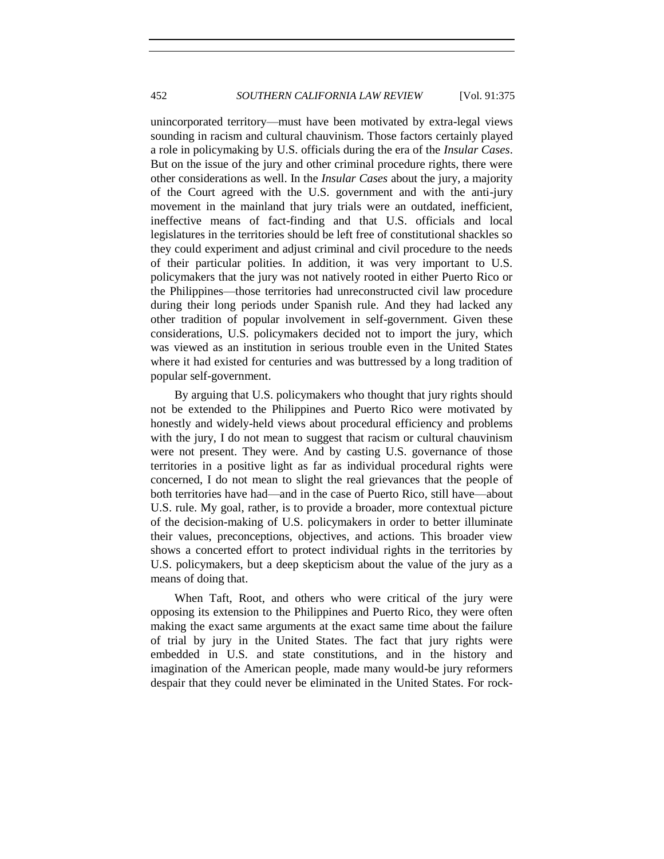unincorporated territory—must have been motivated by extra-legal views sounding in racism and cultural chauvinism. Those factors certainly played a role in policymaking by U.S. officials during the era of the *Insular Cases*. But on the issue of the jury and other criminal procedure rights, there were other considerations as well. In the *Insular Cases* about the jury, a majority of the Court agreed with the U.S. government and with the anti-jury movement in the mainland that jury trials were an outdated, inefficient, ineffective means of fact-finding and that U.S. officials and local legislatures in the territories should be left free of constitutional shackles so they could experiment and adjust criminal and civil procedure to the needs of their particular polities. In addition, it was very important to U.S. policymakers that the jury was not natively rooted in either Puerto Rico or the Philippines—those territories had unreconstructed civil law procedure during their long periods under Spanish rule. And they had lacked any other tradition of popular involvement in self-government. Given these considerations, U.S. policymakers decided not to import the jury, which was viewed as an institution in serious trouble even in the United States where it had existed for centuries and was buttressed by a long tradition of popular self-government.

By arguing that U.S. policymakers who thought that jury rights should not be extended to the Philippines and Puerto Rico were motivated by honestly and widely-held views about procedural efficiency and problems with the jury. I do not mean to suggest that racism or cultural chauvinism were not present. They were. And by casting U.S. governance of those territories in a positive light as far as individual procedural rights were concerned, I do not mean to slight the real grievances that the people of both territories have had—and in the case of Puerto Rico, still have—about U.S. rule. My goal, rather, is to provide a broader, more contextual picture of the decision-making of U.S. policymakers in order to better illuminate their values, preconceptions, objectives, and actions. This broader view shows a concerted effort to protect individual rights in the territories by U.S. policymakers, but a deep skepticism about the value of the jury as a means of doing that.

When Taft, Root, and others who were critical of the jury were opposing its extension to the Philippines and Puerto Rico, they were often making the exact same arguments at the exact same time about the failure of trial by jury in the United States. The fact that jury rights were embedded in U.S. and state constitutions, and in the history and imagination of the American people, made many would-be jury reformers despair that they could never be eliminated in the United States. For rock-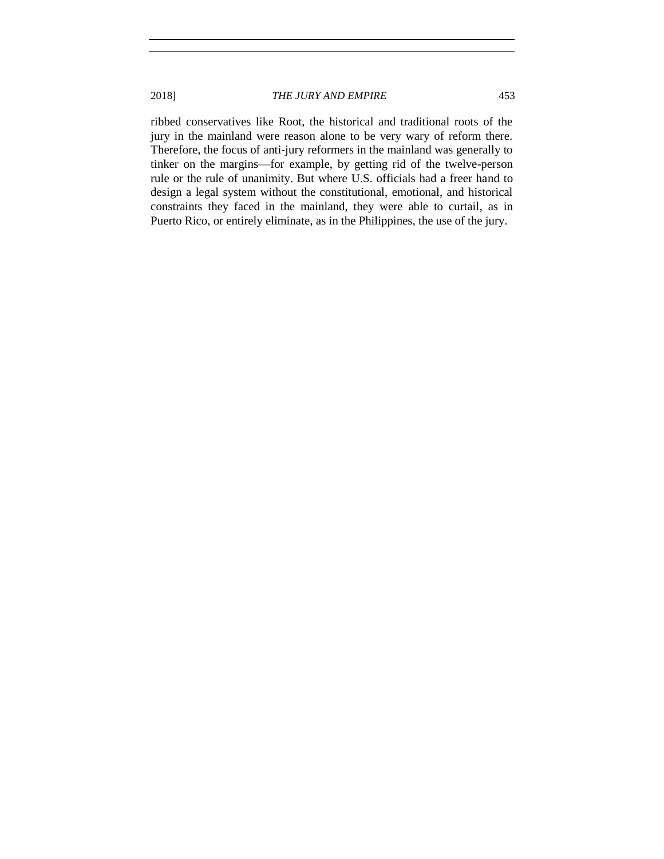ribbed conservatives like Root, the historical and traditional roots of the jury in the mainland were reason alone to be very wary of reform there. Therefore, the focus of anti-jury reformers in the mainland was generally to tinker on the margins—for example, by getting rid of the twelve-person rule or the rule of unanimity. But where U.S. officials had a freer hand to design a legal system without the constitutional, emotional, and historical constraints they faced in the mainland, they were able to curtail, as in Puerto Rico, or entirely eliminate, as in the Philippines, the use of the jury.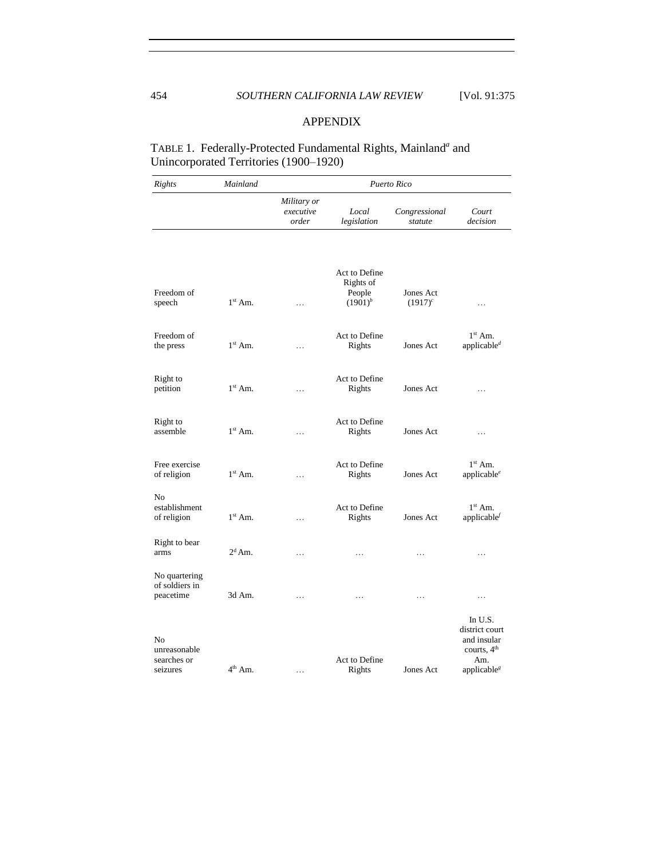### APPENDIX

# TABLE 1. Federally-Protected Fundamental Rights, Mainland<sup>a</sup> and Unincorporated Territories (1900–1920)

| Rights                                         | Mainland         | Puerto Rico                       |                                                      |                          |                                                                                             |  |
|------------------------------------------------|------------------|-----------------------------------|------------------------------------------------------|--------------------------|---------------------------------------------------------------------------------------------|--|
|                                                |                  | Military or<br>executive<br>order | Local<br>legislation                                 | Congressional<br>statute | Court<br>decision                                                                           |  |
| Freedom of<br>speech                           | $1st$ Am.        | $\cdots$                          | Act to Define<br>Rights of<br>People<br>$(1901)^{b}$ | Jones Act<br>$(1917)^c$  | .                                                                                           |  |
| Freedom of<br>the press                        | $1st$ Am.        | .                                 | Act to Define<br>Rights                              | Jones Act                | $1st$ Am.<br>applicable <sup>d</sup>                                                        |  |
| Right to<br>petition                           | $1st$ Am.        | $\cdots$                          | Act to Define<br>Rights                              | Jones Act                | .                                                                                           |  |
| Right to<br>assemble                           | $1st$ Am.        | $\cdots$                          | Act to Define<br>Rights                              | Jones Act                | .                                                                                           |  |
| Free exercise<br>of religion                   | $1st$ Am.        | .                                 | Act to Define<br>Rights                              | Jones Act                | $1st$ Am.<br>applicable $^e$                                                                |  |
| N <sub>0</sub><br>establishment<br>of religion | $1st$ Am.        | .                                 | Act to Define<br>Rights                              | Jones Act                | $1st$ Am.<br>applicable                                                                     |  |
| Right to bear<br>arms                          | $2^d$ Am.        | .                                 | .                                                    | .                        | .                                                                                           |  |
| No quartering<br>of soldiers in<br>peacetime   | 3d Am.           | .                                 | .                                                    | .                        | .                                                                                           |  |
| No<br>unreasonable<br>searches or<br>seizures  | $4^{\rm th}$ Am. | .                                 | Act to Define<br>Rights                              | Jones Act                | In U.S.<br>district court<br>and insular<br>courts, $4th$<br>Am.<br>applicable <sup>s</sup> |  |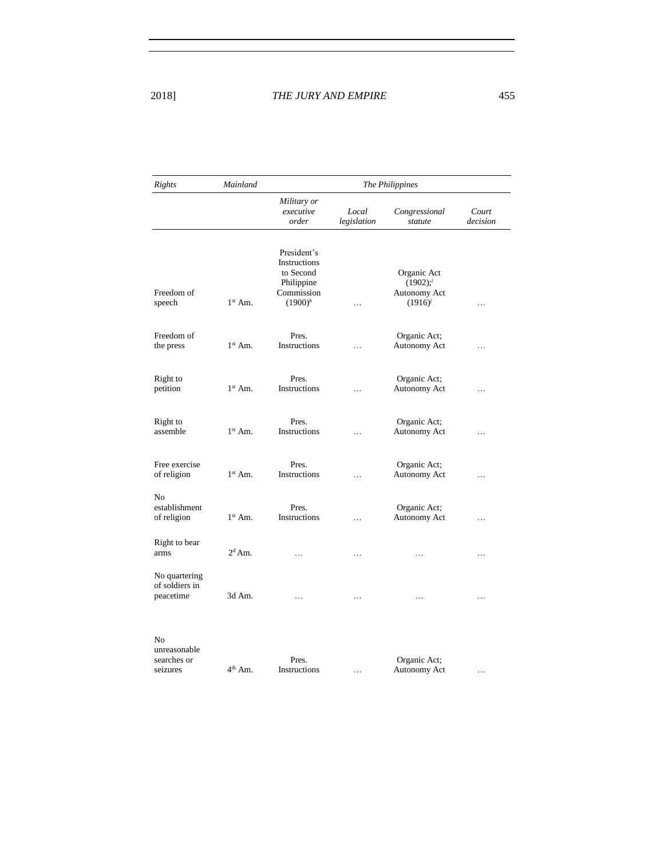| Rights                                         | Mainland  | The Philippines                                                                    |                      |                                                                       |                   |  |
|------------------------------------------------|-----------|------------------------------------------------------------------------------------|----------------------|-----------------------------------------------------------------------|-------------------|--|
|                                                |           | Military or<br>executive<br>order                                                  | Local<br>legislation | Congressional<br>statute                                              | Court<br>decision |  |
| Freedom of<br>speech                           | $1st$ Am. | President's<br>Instructions<br>to Second<br>Philippine<br>Commission<br>$(1900)^h$ | .                    | Organic Act<br>$(1902);$ <sup>i</sup><br>Autonomy Act<br>$(1916)^{j}$ | $\cdots$          |  |
| Freedom of<br>the press                        | $1st$ Am. | Pres.<br>Instructions                                                              | $\ddotsc$            | Organic Act;<br>Autonomy Act                                          | .                 |  |
| Right to<br>petition                           | $1st$ Am. | Pres.<br>Instructions                                                              | .                    | Organic Act;<br>Autonomy Act                                          | $\cdots$          |  |
| Right to<br>assemble                           | $1st$ Am. | Pres.<br>Instructions                                                              | .                    | Organic Act;<br>Autonomy Act                                          | $\cdots$          |  |
| Free exercise<br>of religion                   | $1st$ Am. | Pres.<br>Instructions                                                              | .                    | Organic Act;<br>Autonomy Act                                          | $\cdots$          |  |
| N <sub>0</sub><br>establishment<br>of religion | $1st$ Am. | Pres.<br>Instructions                                                              | .                    | Organic Act;<br>Autonomy Act                                          | $\cdots$          |  |
| Right to bear<br>arms                          | $2^d$ Am. | $\cdots$                                                                           | $\cdots$             | $\cdots$                                                              | $\cdots$          |  |
| No quartering<br>of soldiers in<br>peacetime   | 3d Am.    | .                                                                                  | .                    |                                                                       | .                 |  |
| N <sub>0</sub><br>unreasonable<br>searches or  |           | Pres.                                                                              |                      | Organic Act;                                                          |                   |  |

Instructions …

Autonomy Act …

seizures

 $4<sup>th</sup>$  Am.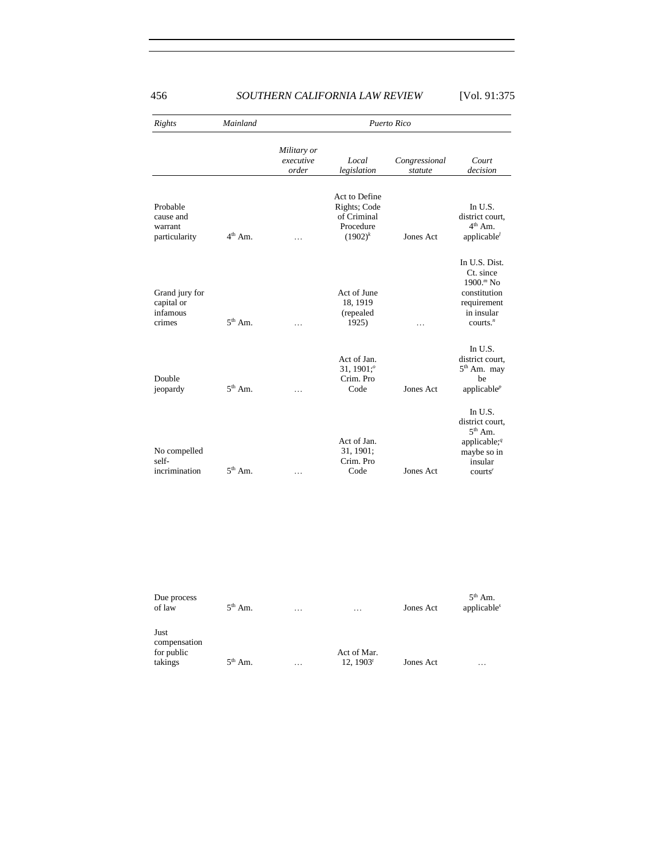| <b>Rights</b><br>Probable<br>cause and<br>warrant<br>particularity | Mainland     | Puerto Rico                       |                                                                         |                          |                                                                                                                 |  |
|--------------------------------------------------------------------|--------------|-----------------------------------|-------------------------------------------------------------------------|--------------------------|-----------------------------------------------------------------------------------------------------------------|--|
|                                                                    |              | Military or<br>executive<br>order | Local<br>legislation                                                    | Congressional<br>statute | Court<br>decision                                                                                               |  |
|                                                                    | $4th$ Am.    | $\cdots$                          | Act to Define<br>Rights; Code<br>of Criminal<br>Procedure<br>$(1902)^k$ | Jones Act                | In $U.S.$<br>district court,<br>$4th$ Am.<br>applicable $\ell$                                                  |  |
| Grand jury for<br>capital or<br>infamous<br>crimes                 | $5^{th}$ Am. | .                                 | Act of June<br>18, 1919<br>(repealed<br>1925)                           | .                        | In U.S. Dist.<br>Ct. since<br>$1900.^m$ No<br>constitution<br>requirement<br>in insular<br>counts. <sup>n</sup> |  |
| Double<br>jeopardy                                                 | $5th$ Am.    | .                                 | Act of Jan.<br>31, 1901: $^{\circ}$<br>Crim. Pro<br>Code                | Jones Act                | In U.S.<br>district court,<br>$5th$ Am. may<br>be<br>applicable $P$                                             |  |
| No compelled<br>self-<br>incrimination                             | $5th$ Am.    | .                                 | Act of Jan.<br>31, 1901;<br>Crim. Pro<br>Code                           | Jones Act                | In U.S.<br>district court.<br>$5th$ Am.<br>applicable; $q$<br>maybe so in<br>insular<br>counts <sup>r</sup>     |  |

| Due process<br>of law                         | $5^{\text{th}}$ Am. | $\cdots$ | $\cdots$                 | Jones Act | $5th$ Am.<br>applicable <sup>s</sup> |
|-----------------------------------------------|---------------------|----------|--------------------------|-----------|--------------------------------------|
| Just<br>compensation<br>for public<br>takings | $5th$ Am.           | $\cdots$ | Act of Mar.<br>12, 1903' | Jones Act | .                                    |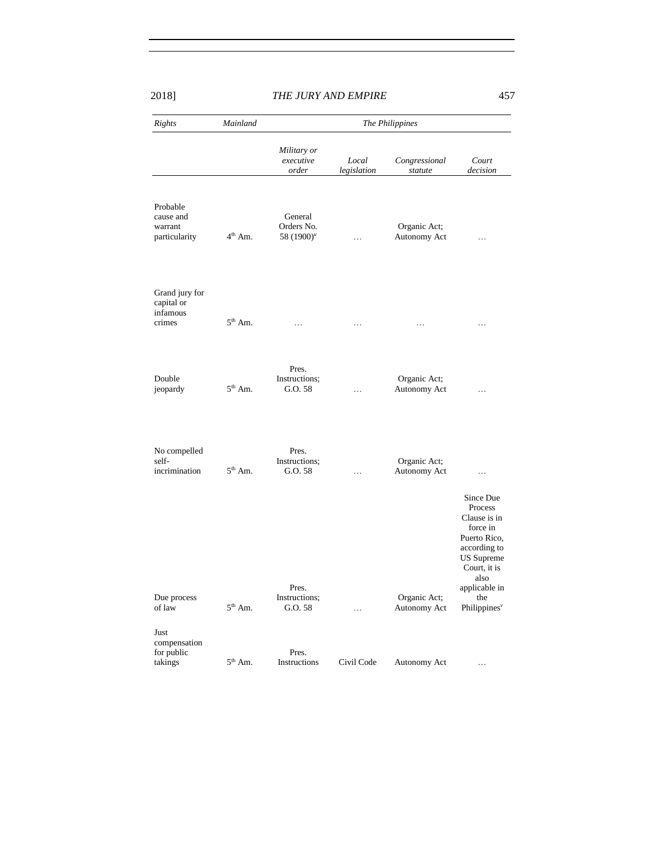| Rights                                             | Mainland            |                                        | The Philippines      |                              |                                                                                                                                                                                   |  |  |
|----------------------------------------------------|---------------------|----------------------------------------|----------------------|------------------------------|-----------------------------------------------------------------------------------------------------------------------------------------------------------------------------------|--|--|
|                                                    |                     | Military or<br>executive<br>order      | Local<br>legislation | Congressional<br>statute     | Court<br>decision                                                                                                                                                                 |  |  |
| Probable<br>cause and<br>warrant<br>particularity  | $4^{\rm th}$ Am.    | General<br>Orders No.<br>58 $(1900)^u$ | .                    | Organic Act;<br>Autonomy Act | .                                                                                                                                                                                 |  |  |
| Grand jury for<br>capital or<br>infamous<br>crimes | $5^{\text{th}}$ Am. | $\cdots$                               | .                    | .                            | $\ldots$                                                                                                                                                                          |  |  |
| Double<br>jeopardy                                 | $5th$ Am.           | Pres.<br>Instructions;<br>G.O. 58      | $\cdots$             | Organic Act;<br>Autonomy Act | $\cdots$                                                                                                                                                                          |  |  |
| No compelled<br>self-<br>incrimination             | $5^{\text{th}}$ Am. | Pres.<br>Instructions;<br>G.0.58       | $\cdots$             | Organic Act;<br>Autonomy Act | $\cdots$                                                                                                                                                                          |  |  |
| Due process<br>of law                              | $5^{\text{th}}$ Am. | Pres.<br>Instructions;<br>G.O. 58      | .                    | Organic Act;<br>Autonomy Act | Since Due<br>Process<br>Clause is in<br>force in<br>Puerto Rico,<br>according to<br><b>US</b> Supreme<br>Court, it is<br>also<br>applicable in<br>the<br>Philippines <sup>v</sup> |  |  |
| Just<br>compensation<br>for public<br>takings      | $5th$ Am.           | Pres.<br>Instructions                  | Civil Code           | Autonomy Act                 | $\cdots$                                                                                                                                                                          |  |  |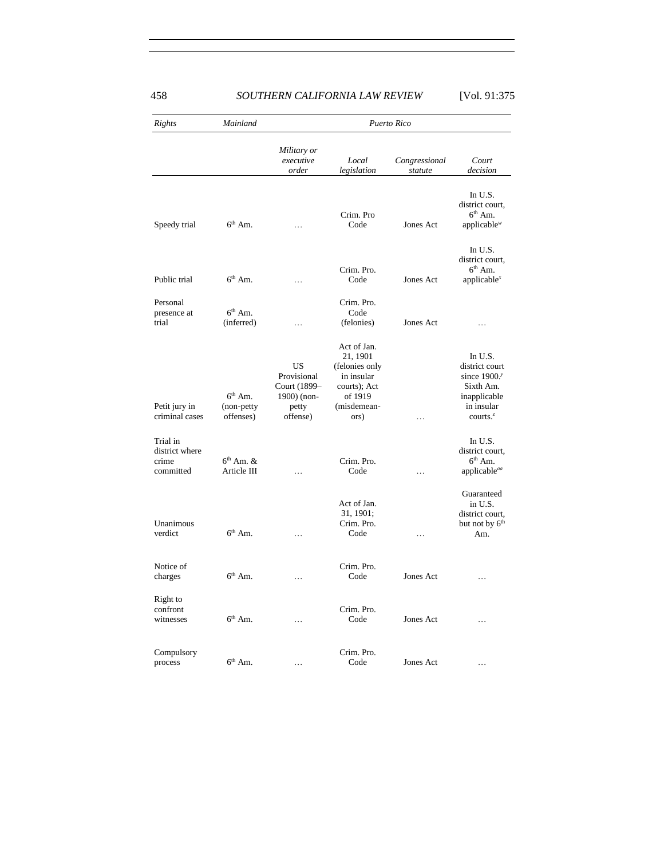| Rights                                           | Mainland                             |                                                                       | Puerto Rico                                                                                               |                          |                                                                                                       |  |  |
|--------------------------------------------------|--------------------------------------|-----------------------------------------------------------------------|-----------------------------------------------------------------------------------------------------------|--------------------------|-------------------------------------------------------------------------------------------------------|--|--|
|                                                  |                                      | Military or<br>executive<br>order                                     | Local<br>legislation                                                                                      | Congressional<br>statute | Court<br>decision                                                                                     |  |  |
| Speedy trial                                     | $6th$ Am.                            | .                                                                     | Crim. Pro<br>Code                                                                                         | Jones Act                | In U.S.<br>district court,<br>$6th$ Am.<br>applicable <sup>w</sup>                                    |  |  |
| Public trial                                     | $6th$ Am.                            | $\cdots$                                                              | Crim. Pro.<br>Code                                                                                        | Jones Act                | In U.S.<br>district court,<br>$6th$ Am.<br>applicable $x$                                             |  |  |
| Personal<br>presence at<br>trial                 | $6th$ Am.<br>(inferred)              | $\cdots$                                                              | Crim. Pro.<br>Code<br>(felonies)                                                                          | Jones Act                | $\cdots$                                                                                              |  |  |
| Petit jury in<br>criminal cases                  | $6th$ Am.<br>(non-petty<br>offenses) | US<br>Provisional<br>Court (1899–<br>1900) (non-<br>petty<br>offense) | Act of Jan.<br>21, 1901<br>(felonies only<br>in insular<br>courts); Act<br>of 1919<br>(misdemean-<br>ors) | .                        | In U.S.<br>district court<br>since $1900$ .<br>Sixth Am.<br>inapplicable<br>in insular<br>courts. $z$ |  |  |
| Trial in<br>district where<br>crime<br>committed | $6th$ Am, $\&$<br>Article III        | .                                                                     | Crim. Pro.<br>Code                                                                                        | $\cdots$                 | In U.S.<br>district court,<br>$6th$ Am.<br>applicable <sup>aa</sup>                                   |  |  |
| Unanimous<br>verdict                             | $6th$ Am.                            | .                                                                     | Act of Jan.<br>31, 1901;<br>Crim. Pro.<br>Code                                                            | $\cdots$                 | Guaranteed<br>in U.S.<br>district court,<br>but not by $6th$<br>Am.                                   |  |  |
| Notice of<br>charges                             | $6th$ Am.                            | .                                                                     | Crim. Pro.<br>Code                                                                                        | Jones Act                | .                                                                                                     |  |  |
| Right to<br>confront<br>witnesses                | $6th$ Am.                            | .                                                                     | Crim. Pro.<br>Code                                                                                        | Jones Act                | $\ldots$                                                                                              |  |  |
| Compulsory<br>process                            | $6th$ Am.                            |                                                                       | Crim. Pro.<br>Code                                                                                        | Jones Act                | .                                                                                                     |  |  |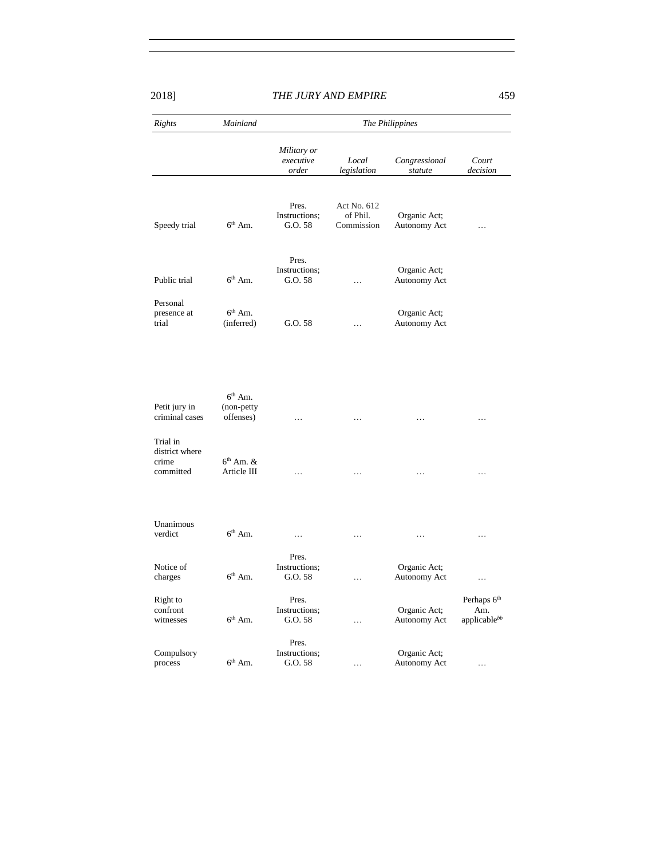| Rights                                           | Mainland                     | The Philippines                   |                                       |                              |                                                      |  |
|--------------------------------------------------|------------------------------|-----------------------------------|---------------------------------------|------------------------------|------------------------------------------------------|--|
|                                                  |                              | Military or<br>executive<br>order | Local<br>legislation                  | Congressional<br>statute     | Court<br>decision                                    |  |
| Speedy trial                                     | $6th$ Am.                    | Pres.<br>Instructions;<br>G.O. 58 | Act No. 612<br>of Phil.<br>Commission | Organic Act;<br>Autonomy Act |                                                      |  |
| Public trial                                     | $6th$ Am.                    | Pres.<br>Instructions;<br>G.O. 58 | $\ldots$                              | Organic Act;<br>Autonomy Act |                                                      |  |
| Personal<br>presence at<br>trial                 | $6th$ Am.<br>(inferred)      | G.O. 58                           | .                                     | Organic Act;<br>Autonomy Act |                                                      |  |
| Petit jury in                                    | $6th$ Am.<br>(non-petty      |                                   |                                       |                              |                                                      |  |
| criminal cases                                   | offenses)                    | .                                 | .                                     | .                            | .                                                    |  |
| Trial in<br>district where<br>crime<br>committed | $6th$ Am. $&$<br>Article III | $\ddots$                          | $\cdots$                              | .                            | $\ddots$                                             |  |
| Unanimous<br>verdict                             | $6th$ Am.                    | $\ldots$                          | $\cdots$                              | .                            | $\cdots$                                             |  |
| Notice of<br>charges                             | $6th$ Am.                    | Pres.<br>Instructions;<br>G.O. 58 | .                                     | Organic Act;<br>Autonomy Act | .                                                    |  |
| Right to<br>confront<br>witnesses                | $6th$ Am.                    | Pres.<br>Instructions;<br>G.O. 58 | $\cdots$                              | Organic Act;<br>Autonomy Act | Perhaps 6 <sup>th</sup><br>Am.<br>applicable $^{bb}$ |  |
| Compulsory<br>process                            | $6th$ Am.                    | Pres.<br>Instructions;<br>G.O. 58 | .                                     | Organic Act;<br>Autonomy Act | .                                                    |  |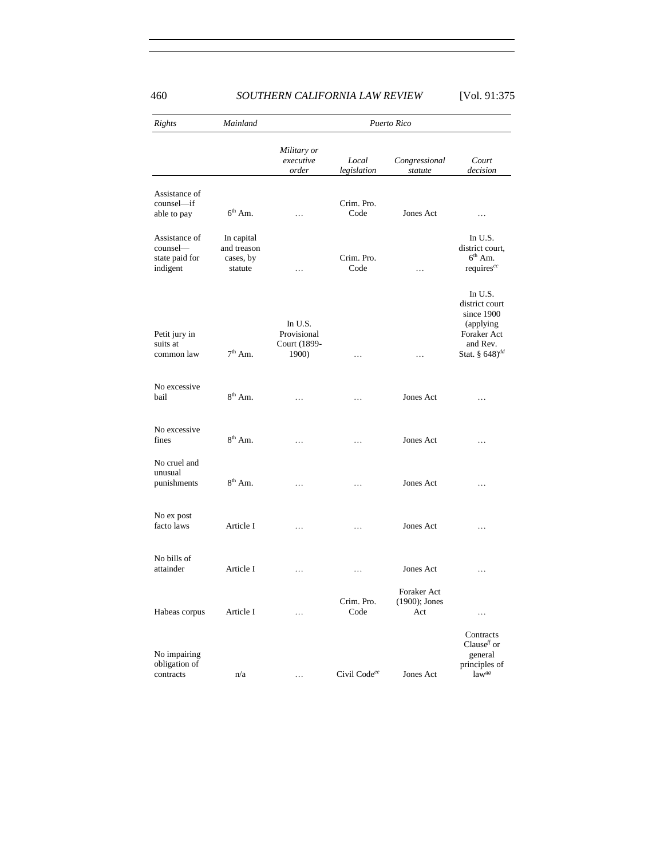| Rights                                                  | Mainland                                          | Puerto Rico                                     |                      |                                     |                                                                                                                |  |
|---------------------------------------------------------|---------------------------------------------------|-------------------------------------------------|----------------------|-------------------------------------|----------------------------------------------------------------------------------------------------------------|--|
|                                                         |                                                   | Military or<br>executive<br>order               | Local<br>legislation | Congressional<br>statute            | Court<br>decision                                                                                              |  |
| Assistance of<br>counsel-if<br>able to pay              | $6th$ Am.                                         | .                                               | Crim. Pro.<br>Code   | Jones Act                           | .                                                                                                              |  |
| Assistance of<br>counsel-<br>state paid for<br>indigent | In capital<br>and treason<br>cases, by<br>statute | .                                               | Crim. Pro.<br>Code   | .                                   | In U.S.<br>district court,<br>$6th$ Am.<br>requires <sup>cc</sup>                                              |  |
| Petit jury in<br>suits at<br>common law                 | $7^{\rm th}$ Am.                                  | In U.S.<br>Provisional<br>Court (1899-<br>1900) | $\cdots$             | $\cdots$                            | In U.S.<br>district court<br>since 1900<br>(applying)<br>Foraker Act<br>and Rev.<br>Stat. § 648) <sup>dd</sup> |  |
| No excessive<br>bail                                    | $8th$ Am.                                         | .                                               | .                    | Jones Act                           | .                                                                                                              |  |
| No excessive<br>fines                                   | $8^{\text{th}}$ Am.                               | .                                               | .                    | Jones Act                           | $\cdots$                                                                                                       |  |
| No cruel and<br>unusual<br>punishments                  | $8th$ Am.                                         | .                                               | .                    | Jones Act                           | .                                                                                                              |  |
| No ex post<br>facto laws                                | Article I                                         | .                                               | .                    | Jones Act                           | .                                                                                                              |  |
| No bills of<br>attainder                                | Article I                                         | .                                               | .                    | Jones Act                           | $\cdots$                                                                                                       |  |
| Habeas corpus                                           | Article I                                         | .                                               | Crim. Pro.<br>Code   | Foraker Act<br>(1900); Jones<br>Act |                                                                                                                |  |
| No impairing<br>obligation of<br>contracts              | n/a                                               | $\ldots$                                        | Civil Codeee         | Jones Act                           | Contracts<br>Clause <sup>ff</sup> or<br>general<br>principles of<br>law <sup>gg</sup>                          |  |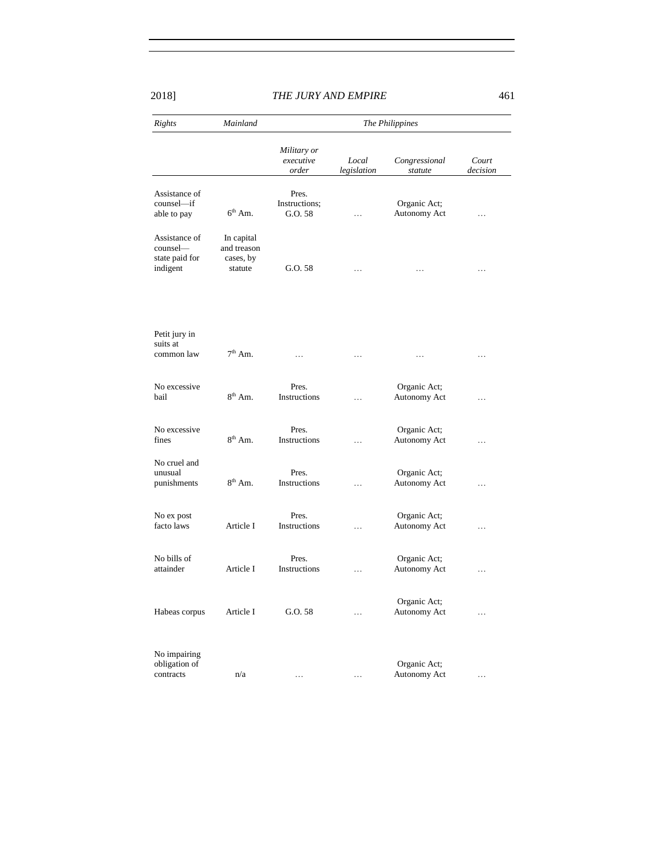| Rights                                                  | Mainland                                          |                                   |                      | The Philippines              |                   |
|---------------------------------------------------------|---------------------------------------------------|-----------------------------------|----------------------|------------------------------|-------------------|
|                                                         |                                                   | Military or<br>executive<br>order | Local<br>legislation | Congressional<br>statute     | Court<br>decision |
| Assistance of<br>counsel—if<br>able to pay              | $6th$ Am.                                         | Pres.<br>Instructions;<br>G.O. 58 |                      | Organic Act;<br>Autonomy Act | .                 |
| Assistance of<br>counsel-<br>state paid for<br>indigent | In capital<br>and treason<br>cases, by<br>statute | G.O. 58                           | .                    |                              | .                 |
| Petit jury in<br>suits at<br>common law                 | $7th$ Am.                                         | $\cdots$                          | $\cdots$             | .                            | $\cdots$          |
| No excessive<br>bail                                    | $8th$ Am.                                         | Pres.<br>Instructions             | .                    | Organic Act;<br>Autonomy Act | .                 |
| No excessive<br>fines                                   | $8th$ Am.                                         | Pres.<br>Instructions             | .                    | Organic Act;<br>Autonomy Act | $\cdots$          |
| No cruel and<br>unusual<br>punishments                  | $8th$ Am.                                         | Pres.<br>Instructions             | .                    | Organic Act;<br>Autonomy Act | .                 |
| No ex post<br>facto laws                                | Article I                                         | Pres.<br>Instructions             | .                    | Organic Act;<br>Autonomy Act | .                 |
| No bills of<br>attainder                                | Article I                                         | Pres.<br>Instructions             | $\cdots$             | Organic Act;<br>Autonomy Act | $\cdots$          |
| Habeas corpus                                           | Article I                                         | G.O. 58                           | .                    | Organic Act;<br>Autonomy Act | .                 |
| No impairing<br>obligation of<br>contracts              | n/a                                               |                                   | .                    | Organic Act;<br>Autonomy Act | .                 |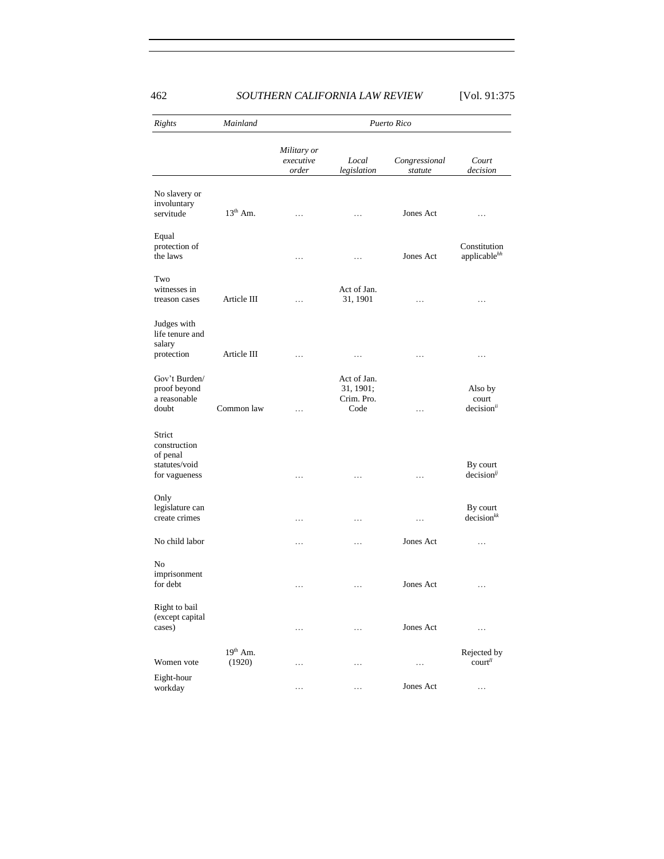| Rights                                                               | Mainland             | Puerto Rico                       |                                                |                          |                                              |  |
|----------------------------------------------------------------------|----------------------|-----------------------------------|------------------------------------------------|--------------------------|----------------------------------------------|--|
|                                                                      |                      | Military or<br>executive<br>order | Local<br>legislation                           | Congressional<br>statute | Court<br>decision                            |  |
| No slavery or<br>involuntary<br>servitude                            | $13th$ Am.           | $\cdots$                          | .                                              | Jones Act                | .                                            |  |
| Equal<br>protection of<br>the laws                                   |                      | $\cdots$                          | .                                              | Jones Act                | Constitution<br>applicable <sup>hh</sup>     |  |
| Two<br>witnesses in<br>treason cases                                 | Article III          | .                                 | Act of Jan.<br>31, 1901                        | .                        | .                                            |  |
| Judges with<br>life tenure and<br>salary<br>protection               | Article III          | $\cdots$                          | .                                              | $\cdots$                 | $\cdots$                                     |  |
| Gov't Burden/<br>proof beyond<br>a reasonable<br>doubt               | Common law           | $\cdots$                          | Act of Jan.<br>31, 1901;<br>Crim. Pro.<br>Code | .                        | Also by<br>court<br>decision <sup>ii</sup>   |  |
| Strict<br>construction<br>of penal<br>statutes/void<br>for vagueness |                      | .                                 | .                                              | .                        | By court<br>$decision^{jj}$                  |  |
| Only<br>legislature can<br>create crimes                             |                      | $\ldots$                          | .                                              | $\ldots$                 | By court<br>decision <sup>kk</sup>           |  |
| No child labor                                                       |                      |                                   | .                                              | Jones Act                | .                                            |  |
| N <sub>0</sub><br>imprisonment<br>for debt                           |                      | .                                 | .                                              | Jones Act                | $\ldots$                                     |  |
| Right to bail<br>(except capital<br>cases)                           |                      | $\cdots$                          | .                                              | Jones Act                | $\ddots$                                     |  |
| Women vote                                                           | $19th$ Am.<br>(1920) | .                                 | .                                              | .                        | Rejected by<br>$\text{court}^{\prime\prime}$ |  |
| Eight-hour<br>workday                                                |                      | $\ldots$                          | .                                              | Jones Act                | $\cdots$                                     |  |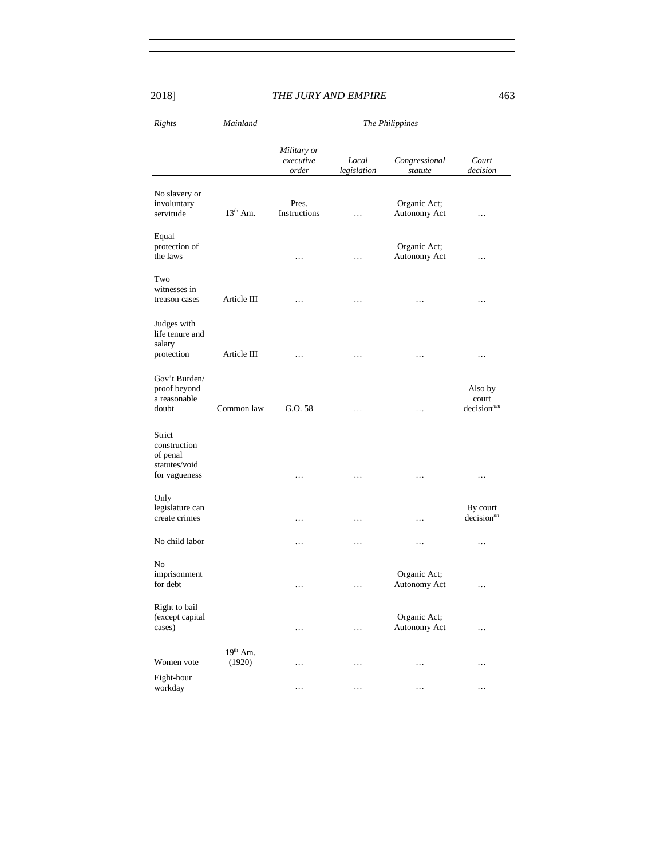| Rights                                                               | Mainland             | The Philippines                   |                      |                              |                                            |  |
|----------------------------------------------------------------------|----------------------|-----------------------------------|----------------------|------------------------------|--------------------------------------------|--|
|                                                                      |                      | Military or<br>executive<br>order | Local<br>legislation | Congressional<br>statute     | Court<br>decision                          |  |
| No slavery or<br>involuntary<br>servitude                            | $13th$ Am.           | Pres.<br>Instructions             | .                    | Organic Act;<br>Autonomy Act | .                                          |  |
| Equal<br>protection of<br>the laws                                   |                      | $\cdots$                          | $\cdots$             | Organic Act;<br>Autonomy Act | $\cdots$                                   |  |
| Two<br>witnesses in<br>treason cases                                 | Article III          | .                                 | .                    |                              | $\ldots$                                   |  |
| Judges with<br>life tenure and<br>salary<br>protection               | Article III          | .                                 | $\cdots$             | $\cdots$                     | .                                          |  |
| Gov't Burden/<br>proof beyond<br>a reasonable<br>doubt               | Common law           | G.O. 58                           | .                    | .                            | Also by<br>court<br>decision <sup>mm</sup> |  |
| Strict<br>construction<br>of penal<br>statutes/void<br>for vagueness |                      |                                   | .                    | .                            | $\ldots$                                   |  |
| Only<br>legislature can<br>create crimes                             |                      | .                                 | .                    | .                            | By court<br>decision <sup>m</sup>          |  |
| No child labor                                                       |                      | .                                 | .                    | .                            | $\ldots$                                   |  |
| No<br>imprisonment<br>for debt                                       |                      | .                                 | .                    | Organic Act;<br>Autonomy Act | .                                          |  |
| Right to bail<br>(except capital<br>cases)                           |                      | $\cdots$                          | $\cdots$             | Organic Act;<br>Autonomy Act | .                                          |  |
| Women vote                                                           | $19th$ Am.<br>(1920) | .                                 | $\cdots$             | $\ldots$                     | .                                          |  |
| Eight-hour<br>workday                                                |                      | .                                 | .                    | .                            | .                                          |  |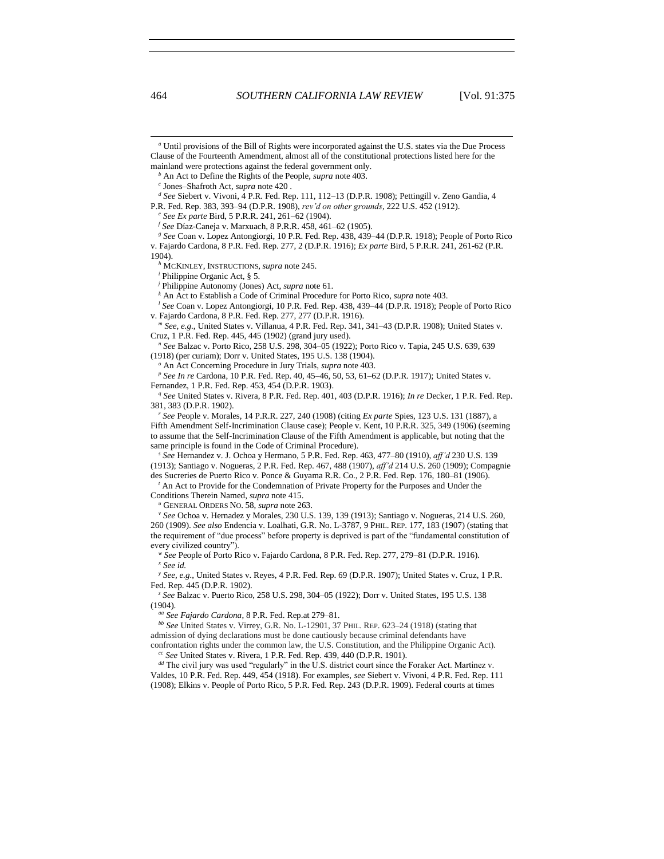*<sup>a</sup>* Until provisions of the Bill of Rights were incorporated against the U.S. states via the Due Process Clause of the Fourteenth Amendment, almost all of the constitutional protections listed here for the mainland were protections against the federal government only.

*<sup>d</sup> See* Siebert v. Vivoni, 4 P.R. Fed. Rep. 111, 112–13 (D.P.R. 1908); Pettingill v. Zeno Gandia, 4 P.R. Fed. Rep. 383, 393–94 (D.P.R. 1908), *rev'd on other grounds*, 222 U.S. 452 (1912).

*<sup>e</sup> See Ex parte* Bird, 5 P.R.R. 241, 261–62 (1904).

*<sup>f</sup> See* Díaz-Caneja v. Marxuach, 8 P.R.R. 458, 461–62 (1905).

*<sup>g</sup> See* Coan v. Lopez Antongiorgi, 10 P.R. Fed. Rep. 438, 439–44 (D.P.R. 1918); People of Porto Rico v. Fajardo Cardona, 8 P.R. Fed. Rep. 277, 2 (D.P.R. 1916); *Ex parte* Bird, 5 P.R.R. 241, 261-62 (P.R. 1904).

*<sup>h</sup>* MCKINLEY, INSTRUCTIONS, *supra* not[e 245.](#page-45-0)

*<sup>i</sup>* Philippine Organic Act, § 5.

*<sup>j</sup>* Philippine Autonomy (Jones) Act, *supra* not[e 61.](#page-15-0)

*<sup>k</sup>* An Act to Establish a Code of Criminal Procedure for Porto Rico, *supra* not[e 403.](#page-68-2)

*<sup>l</sup> See* Coan v. Lopez Antongiorgi, 10 P.R. Fed. Rep. 438, 439–44 (D.P.R. 1918); People of Porto Rico v. Fajardo Cardona, 8 P.R. Fed. Rep. 277, 277 (D.P.R. 1916).

*<sup>m</sup> See, e.g.*, United States v. Villanua, 4 P.R. Fed. Rep. 341, 341–43 (D.P.R. 1908); United States v. Cruz, 1 P.R. Fed. Rep. 445, 445 (1902) (grand jury used).

*<sup>n</sup> See* Balzac v. Porto Rico, 258 U.S. 298, 304–05 (1922); Porto Rico v. Tapia, 245 U.S. 639, 639 (1918) (per curiam); Dorr v. United States, 195 U.S. 138 (1904).

*<sup>o</sup>* An Act Concerning Procedure in Jury Trials, *supra* not[e 403.](#page-68-2)

*<sup>p</sup> See In re* Cardona, 10 P.R. Fed. Rep. 40, 45–46, 50, 53, 61–62 (D.P.R. 1917); United States v. Fernandez, 1 P.R. Fed. Rep. 453, 454 (D.P.R. 1903).

*<sup>q</sup> See* United States v. Rivera, 8 P.R. Fed. Rep. 401, 403 (D.P.R. 1916); *In re* Decker, 1 P.R. Fed. Rep. 381, 383 (D.P.R. 1902).

*<sup>r</sup> See* People v. Morales, 14 P.R.R. 227, 240 (1908) (citing *Ex parte* Spies, 123 U.S. 131 (1887), a Fifth Amendment Self-Incrimination Clause case); People v. Kent, 10 P.R.R. 325, 349 (1906) (seeming to assume that the Self-Incrimination Clause of the Fifth Amendment is applicable, but noting that the same principle is found in the Code of Criminal Procedure).

*<sup>s</sup> See* Hernandez v. J. Ochoa y Hermano, 5 P.R. Fed. Rep. 463, 477–80 (1910), *aff'd* 230 U.S. 139 (1913); Santiago v. Nogueras, 2 P.R. Fed. Rep. 467, 488 (1907), *aff'd* 214 U.S. 260 (1909); Compagnie des Sucreries de Puerto Rico v. Ponce & Guyama R.R. Co., 2 P.R. Fed. Rep. 176, 180–81 (1906).

*<sup>t</sup>* An Act to Provide for the Condemnation of Private Property for the Purposes and Under the Conditions Therein Named, *supra* not[e 415.](#page-69-0)

*<sup>u</sup>* GENERAL ORDERS NO. 58, *supra* not[e 263.](#page-47-0)

*<sup>v</sup> See* Ochoa v. Hernadez y Morales, 230 U.S. 139, 139 (1913); Santiago v. Nogueras, 214 U.S. 260, 260 (1909). *See also* Endencia v. Loalhati, G.R. No. L-3787, 9 PHIL. REP. 177, 183 (1907) (stating that the requirement of "due process" before property is deprived is part of the "fundamental constitution of every civilized country").

*<sup>w</sup> See* People of Porto Rico v. Fajardo Cardona, 8 P.R. Fed. Rep. 277, 279–81 (D.P.R. 1916). *<sup>x</sup> See id.*

*y See, e.g.*, United States v. Reyes, 4 P.R. Fed. Rep. 69 (D.P.R. 1907); United States v. Cruz, 1 P.R. Fed. Rep. 445 (D.P.R. 1902).

*<sup>z</sup> See* Balzac v. Puerto Rico, 258 U.S. 298, 304–05 (1922); Dorr v. United States, 195 U.S. 138 (1904).

*aa See Fajardo Cardona*, 8 P.R. Fed. Rep.at 279–81.

*bb See* United States v. Virrey, G.R. No. L-12901, 37 PHIL. REP. 623–24 (1918) (stating that admission of dying declarations must be done cautiously because criminal defendants have confrontation rights under the common law, the U.S. Constitution, and the Philippine Organic Act).

*cc See* United States v. Rivera, 1 P.R. Fed. Rep. 439, 440 (D.P.R. 1901).

*dd* The civil jury was used "regularly" in the U.S. district court since the Foraker Act. Martinez v. Valdes, 10 P.R. Fed. Rep. 449, 454 (1918). For examples, *see* Siebert v. Vivoni, 4 P.R. Fed. Rep. 111 (1908); Elkins v. People of Porto Rico, 5 P.R. Fed. Rep. 243 (D.P.R. 1909). Federal courts at times

l

*<sup>b</sup>* An Act to Define the Rights of the People, *supra* note [403.](#page-68-2) 

*c* Jones–Shafroth Act, *supra* not[e 420](#page-70-0) .